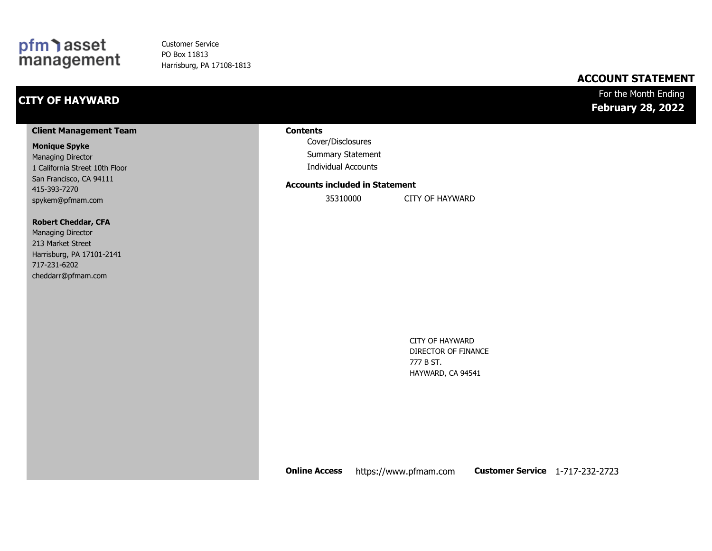### pfm asset<br>management

Customer Service PO Box 11813 Harrisburg, PA 17108-1813

### **ACCOUNT STATEMENT**

### **CITY OF HAYWARD**

#### For the Month Ending **February 28, 2022**

#### **Client Management Team**

#### **Monique Spyke**

Managing Director 1 California Street 10th Floor San Francisco, CA 94111 415-393-7270 spykem@pfmam.com

#### **Robert Cheddar, CFA**

| <b>Managing Director</b>  |
|---------------------------|
| 213 Market Street         |
| Harrisburg, PA 17101-2141 |
| 717-231-6202              |
| cheddarr@pfmam.com        |

#### **Contents**

Cover/Disclosures Summary Statement Individual Accounts

#### **Accounts included in Statement**

35310000 CITY OF HAYWARD

CITY OF HAYWARD DIRECTOR OF FINANCE 777 B ST. HAYWARD, CA 94541

**Online Access** https://www.pfmam.com **Customer Service** 1-717-232-2723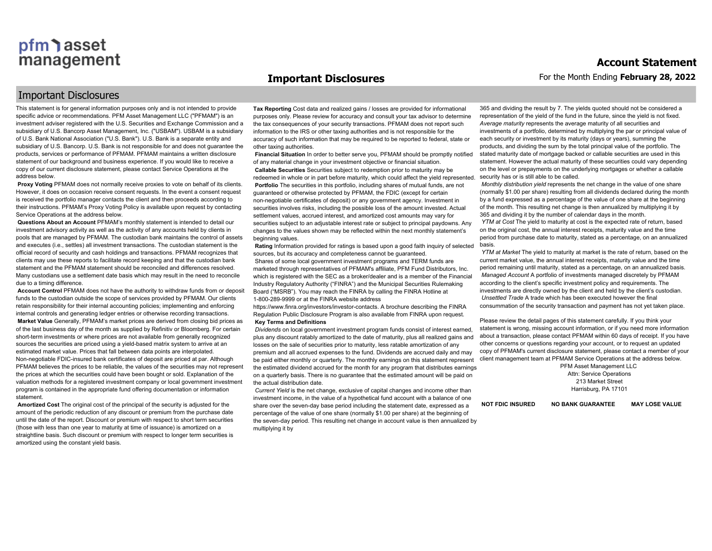#### **Important Disclosures**

#### Important Disclosures

This statement is for general information purposes only and is not intended to provide specific advice or recommendations. PFM Asset Management LLC ("PFMAM") is an investment adviser registered with the U.S. Securities and Exchange Commission and a subsidiary of U.S. Bancorp Asset Management, Inc. ("USBAM"). USBAM is a subsidiary of U.S. Bank National Association ("U.S. Bank"). U.S. Bank is a separate entity and subsidiary of U.S. Bancorp. U.S. Bank is not responsible for and does not guarantee the products, services or performance of PFMAM. PFMAM maintains a written disclosure statement of our background and business experience. If you would like to receive a copy of our current disclosure statement, please contact Service Operations at the address below.

**Proxy Voting** PFMAM does not normally receive proxies to vote on behalf of its clients. However, it does on occasion receive consent requests. In the event a consent request is received the portfolio manager contacts the client and then proceeds according to their instructions. PFMAM's Proxy Voting Policy is available upon request by contacting Service Operations at the address below.

**Questions About an Account** PFMAM's monthly statement is intended to detail our investment advisory activity as well as the activity of any accounts held by clients in pools that are managed by PFMAM. The custodian bank maintains the control of assets and executes (i.e., settles) all investment transactions. The custodian statement is the official record of security and cash holdings and transactions. PFMAM recognizes that clients may use these reports to facilitate record keeping and that the custodian bank statement and the PFMAM statement should be reconciled and differences resolved. Many custodians use a settlement date basis which may result in the need to reconcile due to a timing difference.

**Account Control** PFMAM does not have the authority to withdraw funds from or deposit funds to the custodian outside the scope of services provided by PFMAM. Our clients retain responsibility for their internal accounting policies; implementing and enforcing internal controls and generating ledger entries or otherwise recording transactions. **Market Value** Generally, PFMAM's market prices are derived from closing bid prices as of the last business day of the month as supplied by Refinitiv or Bloomberg. For certain short-term investments or where prices are not available from generally recognized sources the securities are priced using a yield-based matrix system to arrive at an estimated market value. Prices that fall between data points are interpolated. Non-negotiable FDIC-insured bank certificates of deposit are priced at par. Although PFMAM believes the prices to be reliable, the values of the securities may not represent the prices at which the securities could have been bought or sold. Explanation of the valuation methods for a registered investment company or local government investment program is contained in the appropriate fund offering documentation or information statement.

**Amortized Cost** The original cost of the principal of the security is adjusted for the amount of the periodic reduction of any discount or premium from the purchase date until the date of the report. Discount or premium with respect to short term securities (those with less than one year to maturity at time of issuance) is amortized on a straightline basis. Such discount or premium with respect to longer term securities is amortized using the constant yield basis.

**Tax Reporting** Cost data and realized gains / losses are provided for informational purposes only. Please review for accuracy and consult your tax advisor to determine the tax consequences of your security transactions. PFMAM does not report such information to the IRS or other taxing authorities and is not responsible for the accuracy of such information that may be required to be reported to federal, state or other taxing authorities.

**Financial Situation** In order to better serve you, PFMAM should be promptly notified of any material change in your investment objective or financial situation. **Callable Securities** Securities subject to redemption prior to maturity may be redeemed in whole or in part before maturity, which could affect the yield represented. **Portfolio** The securities in this portfolio, including shares of mutual funds, are not guaranteed or otherwise protected by PFMAM, the FDIC (except for certain non-negotiable certificates of deposit) or any government agency. Investment in securities involves risks, including the possible loss of the amount invested. Actual settlement values, accrued interest, and amortized cost amounts may vary for securities subject to an adjustable interest rate or subject to principal paydowns. Any changes to the values shown may be reflected within the next monthly statement's beginning values.

**Rating** Information provided for ratings is based upon a good faith inquiry of selected sources, but its accuracy and completeness cannot be quaranteed Shares of some local government investment programs and TERM funds are marketed through representatives of PFMAM's affiliate, PFM Fund Distributors, Inc. which is registered with the SEC as a broker/dealer and is a member of the Financial Industry Regulatory Authority ("FINRA") and the Municipal Securities Rulemaking Board ("MSRB"). You may reach the FINRA by calling the FINRA Hotline at 1-800-289-9999 or at the FINRA website address

https://www.finra.org/investors/investor-contacts. A brochure describing the FINRA Regulation Public Disclosure Program is also available from FINRA upon request. **Key Terms and Definitions**

*Dividends* on local government investment program funds consist of interest earned, plus any discount ratably amortized to the date of maturity, plus all realized gains and losses on the sale of securities prior to maturity, less ratable amortization of any premium and all accrued expenses to the fund. Dividends are accrued daily and may be paid either monthly or quarterly. The monthly earnings on this statement represent the estimated dividend accrued for the month for any program that distributes earnings on a quarterly basis. There is no guarantee that the estimated amount will be paid on the actual distribution date.

*Current Yield* is the net change, exclusive of capital changes and income other than investment income, in the value of a hypothetical fund account with a balance of one share over the seven-day base period including the statement date, expressed as a percentage of the value of one share (normally \$1.00 per share) at the beginning of the seven-day period. This resulting net change in account value is then annualized by multiplying it by

365 and dividing the result by 7. The yields quoted should not be considered a representation of the yield of the fund in the future, since the yield is not fixed. *Average maturity* represents the average maturity of all securities and investments of a portfolio, determined by multiplying the par or principal value of each security or investment by its maturity (days or years), summing the products, and dividing the sum by the total principal value of the portfolio. The stated maturity date of mortgage backed or callable securities are used in this statement. However the actual maturity of these securities could vary depending on the level or prepayments on the underlying mortgages or whether a callable security has or is still able to be called.

*Monthly distribution yield* represents the net change in the value of one share (normally \$1.00 per share) resulting from all dividends declared during the month by a fund expressed as a percentage of the value of one share at the beginning of the month. This resulting net change is then annualized by multiplying it by 365 and dividing it by the number of calendar days in the month.

*YTM at Cost* The yield to maturity at cost is the expected rate of return, based on the original cost, the annual interest receipts, maturity value and the time period from purchase date to maturity, stated as a percentage, on an annualized basis.

*YTM at Market* The yield to maturity at market is the rate of return, based on the current market value, the annual interest receipts, maturity value and the time period remaining until maturity, stated as a percentage, on an annualized basis. *Managed Account* A portfolio of investments managed discretely by PFMAM according to the client's specific investment policy and requirements. The investments are directly owned by the client and held by the client's custodian. *Unsettled Trade* A trade which has been executed however the final consummation of the security transaction and payment has not yet taken place.

Please review the detail pages of this statement carefully. If you think your statement is wrong, missing account information, or if you need more information about a transaction, please contact PFMAM within 60 days of receipt. If you have other concerns or questions regarding your account, or to request an updated copy of PFMAM's current disclosure statement, please contact a member of your client management team at PFMAM Service Operations at the address below.

> PFM Asset Management LLC Attn: Service Operations 213 Market Street Harrisburg, PA 17101

**NOT FDIC INSURED NO BANK GUARANTEE MAY LOSE VALUE**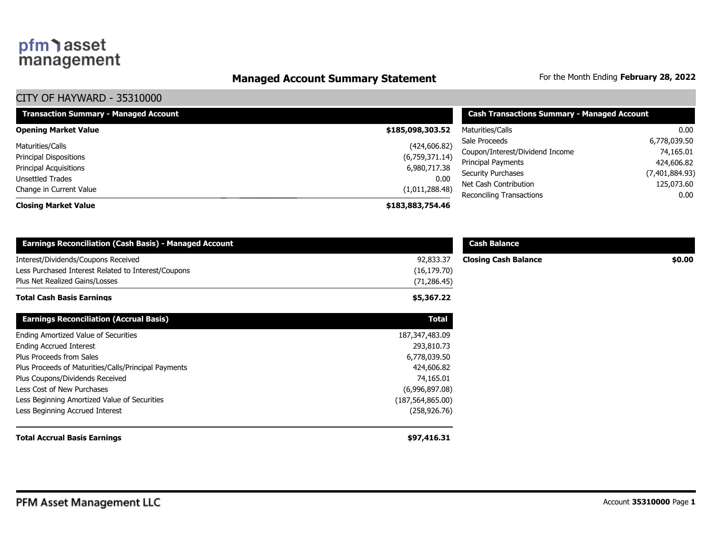### **Managed Account Summary Statement** For the Month Ending February 28, 2022

| <b>Transaction Summary - Managed Account</b> | <b>Cash Transactions Summary - Managed Account</b> |                                 |                |
|----------------------------------------------|----------------------------------------------------|---------------------------------|----------------|
| <b>Opening Market Value</b>                  | \$185,098,303.52                                   | Maturities/Calls                | 0.00           |
| Maturities/Calls                             | (424, 606.82)                                      | Sale Proceeds                   | 6,778,039.50   |
| <b>Principal Dispositions</b>                | (6,759,371.14)                                     | Coupon/Interest/Dividend Income | 74,165.01      |
| Principal Acquisitions                       | 6,980,717.38                                       | Principal Payments              | 424,606.82     |
| Unsettled Trades                             | 0.00                                               | <b>Security Purchases</b>       | (7,401,884.93) |
| Change in Current Value                      | (1,011,288.48)                                     | Net Cash Contribution           | 125,073.60     |
|                                              |                                                    | Reconciling Transactions        | 0.00           |
| <b>Closing Market Value</b>                  | \$183,883,754.46                                   |                                 |                |

| <b>Earnings Reconciliation (Cash Basis) - Managed Account</b>                                                                |                                           | <b>Cash Balance</b>         |        |
|------------------------------------------------------------------------------------------------------------------------------|-------------------------------------------|-----------------------------|--------|
| Interest/Dividends/Coupons Received<br>Less Purchased Interest Related to Interest/Coupons<br>Plus Net Realized Gains/Losses | 92,833.37<br>(16, 179.70)<br>(71, 286.45) | <b>Closing Cash Balance</b> | \$0.00 |
| <b>Total Cash Basis Earnings</b>                                                                                             | \$5,367.22                                |                             |        |
| <b>Earnings Reconciliation (Accrual Basis)</b>                                                                               | <b>Total</b>                              |                             |        |
| Ending Amortized Value of Securities                                                                                         | 187,347,483.09                            |                             |        |
| <b>Ending Accrued Interest</b>                                                                                               | 293,810.73                                |                             |        |
| Plus Proceeds from Sales                                                                                                     | 6,778,039.50                              |                             |        |
| Plus Proceeds of Maturities/Calls/Principal Payments                                                                         | 424,606.82                                |                             |        |
| Plus Coupons/Dividends Received                                                                                              | 74,165.01                                 |                             |        |
| Less Cost of New Purchases                                                                                                   | (6,996,897.08)                            |                             |        |
| Less Beginning Amortized Value of Securities                                                                                 | (187, 564, 865.00)                        |                             |        |
| Less Beginning Accrued Interest                                                                                              | (258, 926.76)                             |                             |        |
| <b>Total Accrual Basis Earnings</b>                                                                                          | \$97,416.31                               |                             |        |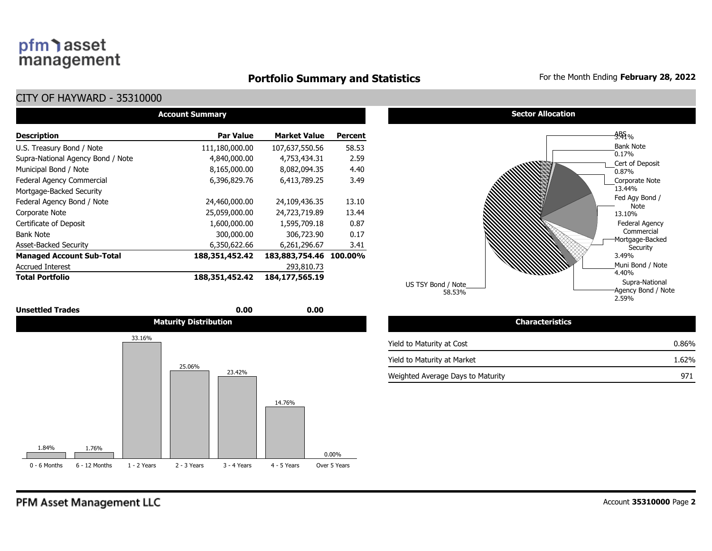#### **Portfolio Summary and Statistics** For the Month Ending **February 28, 2022**

| <b>Account Summary</b>            |                  |                        |         |  |  |  |  |  |  |  |
|-----------------------------------|------------------|------------------------|---------|--|--|--|--|--|--|--|
| <b>Description</b>                | <b>Par Value</b> | <b>Market Value</b>    | Percent |  |  |  |  |  |  |  |
| U.S. Treasury Bond / Note         | 111,180,000.00   | 107,637,550.56         | 58.53   |  |  |  |  |  |  |  |
| Supra-National Agency Bond / Note | 4,840,000.00     | 4,753,434.31           | 2.59    |  |  |  |  |  |  |  |
| Municipal Bond / Note             | 8,165,000.00     | 8,082,094.35           | 4.40    |  |  |  |  |  |  |  |
| Federal Agency Commercial         | 6,396,829.76     | 6,413,789.25           | 3.49    |  |  |  |  |  |  |  |
| Mortgage-Backed Security          |                  |                        |         |  |  |  |  |  |  |  |
| Federal Agency Bond / Note        | 24,460,000.00    | 24,109,436.35          | 13.10   |  |  |  |  |  |  |  |
| Corporate Note                    | 25,059,000.00    | 24,723,719.89          | 13.44   |  |  |  |  |  |  |  |
| Certificate of Deposit            | 1,600,000.00     | 1,595,709.18           | 0.87    |  |  |  |  |  |  |  |
| <b>Bank Note</b>                  | 300,000.00       | 306,723.90             | 0.17    |  |  |  |  |  |  |  |
| <b>Asset-Backed Security</b>      | 6,350,622.66     | 6,261,296.67           | 3.41    |  |  |  |  |  |  |  |
| <b>Managed Account Sub-Total</b>  | 188,351,452.42   | 183,883,754.46 100.00% |         |  |  |  |  |  |  |  |
| <b>Accrued Interest</b>           |                  | 293,810.73             |         |  |  |  |  |  |  |  |
| <b>Total Portfolio</b>            | 188,351,452.42   | 184,177,565.19         |         |  |  |  |  |  |  |  |





| <b>Characteristics</b>            |          |
|-----------------------------------|----------|
| Yield to Maturity at Cost         | $0.86\%$ |
| Yield to Maturity at Market       | 1.62%    |
| Weighted Average Days to Maturity | 971      |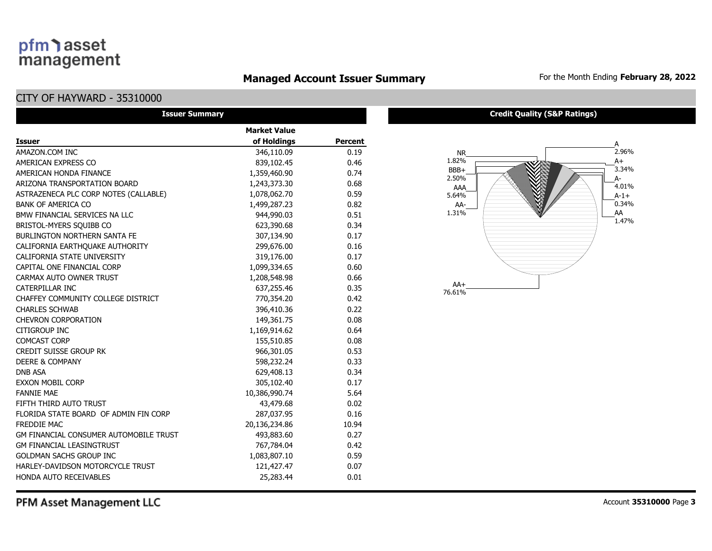### **Managed Account Issuer Summary** For the Month Ending February 28, 2022

### CITY OF HAYWARD - 35310000

| <b>Issuer Summary</b>                         |                     |                |
|-----------------------------------------------|---------------------|----------------|
|                                               | <b>Market Value</b> |                |
| <b>Issuer</b>                                 | of Holdings         | <b>Percent</b> |
| AMAZON.COM INC                                | 346,110.09          | 0.19           |
| AMERICAN EXPRESS CO                           | 839,102.45          | 0.46           |
| AMERICAN HONDA FINANCE                        | 1,359,460.90        | 0.74           |
| ARIZONA TRANSPORTATION BOARD                  | 1,243,373.30        | 0.68           |
| ASTRAZENECA PLC CORP NOTES (CALLABLE)         | 1,078,062.70        | 0.59           |
| <b>BANK OF AMERICA CO</b>                     | 1,499,287.23        | 0.82           |
| BMW FINANCIAL SERVICES NA LLC                 | 944,990.03          | 0.51           |
| BRISTOL-MYERS SQUIBB CO                       | 623,390.68          | 0.34           |
| <b>BURLINGTON NORTHERN SANTA FE</b>           | 307,134.90          | 0.17           |
| CALIFORNIA EARTHQUAKE AUTHORITY               | 299,676.00          | 0.16           |
| <b>CALIFORNIA STATE UNIVERSITY</b>            | 319,176.00          | 0.17           |
| CAPITAL ONE FINANCIAL CORP                    | 1,099,334.65        | 0.60           |
| CARMAX AUTO OWNER TRUST                       | 1,208,548.98        | 0.66           |
| CATERPILLAR INC                               | 637,255.46          | 0.35           |
| CHAFFEY COMMUNITY COLLEGE DISTRICT            | 770,354.20          | 0.42           |
| <b>CHARLES SCHWAB</b>                         | 396,410.36          | 0.22           |
| <b>CHEVRON CORPORATION</b>                    | 149,361.75          | 0.08           |
| CITIGROUP INC                                 | 1,169,914.62        | 0.64           |
| <b>COMCAST CORP</b>                           | 155,510.85          | 0.08           |
| <b>CREDIT SUISSE GROUP RK</b>                 | 966,301.05          | 0.53           |
| <b>DEERE &amp; COMPANY</b>                    | 598,232.24          | 0.33           |
| <b>DNB ASA</b>                                | 629,408.13          | 0.34           |
| <b>EXXON MOBIL CORP</b>                       | 305,102.40          | 0.17           |
| <b>FANNIE MAE</b>                             | 10,386,990.74       | 5.64           |
| FIFTH THIRD AUTO TRUST                        | 43,479.68           | 0.02           |
| FLORIDA STATE BOARD OF ADMIN FIN CORP         | 287,037.95          | 0.16           |
| <b>FREDDIE MAC</b>                            | 20,136,234.86       | 10.94          |
| <b>GM FINANCIAL CONSUMER AUTOMOBILE TRUST</b> | 493,883.60          | 0.27           |
| <b>GM FINANCIAL LEASINGTRUST</b>              | 767,784.04          | 0.42           |
| <b>GOLDMAN SACHS GROUP INC</b>                | 1,083,807.10        | 0.59           |
| HARLEY-DAVIDSON MOTORCYCLE TRUST              | 121,427.47          | 0.07           |
| HONDA AUTO RECEIVABLES                        | 25,283.44           | 0.01           |

#### **Credit Quality (S&P Ratings)**

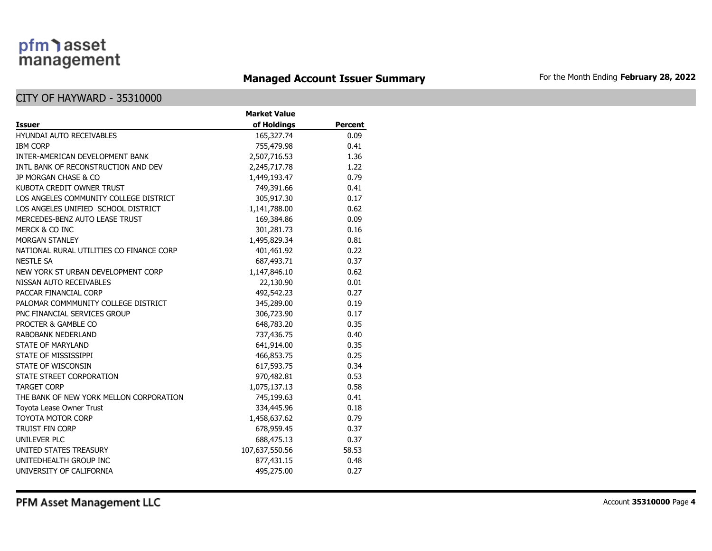### **Managed Account Issuer Summary** For the Month Ending February 28, 2022

|                                          | <b>Market Value</b> |                |  |  |  |  |  |  |  |
|------------------------------------------|---------------------|----------------|--|--|--|--|--|--|--|
| <b>Issuer</b>                            | of Holdings         | <b>Percent</b> |  |  |  |  |  |  |  |
| <b>HYUNDAI AUTO RECEIVABLES</b>          | 165,327.74          | 0.09           |  |  |  |  |  |  |  |
| <b>IBM CORP</b>                          | 755,479.98          | 0.41           |  |  |  |  |  |  |  |
| INTER-AMERICAN DEVELOPMENT BANK          | 2,507,716.53        | 1.36           |  |  |  |  |  |  |  |
| INTL BANK OF RECONSTRUCTION AND DEV      | 2,245,717.78        | 1.22           |  |  |  |  |  |  |  |
| JP MORGAN CHASE & CO                     | 1,449,193.47        | 0.79           |  |  |  |  |  |  |  |
| KUBOTA CREDIT OWNER TRUST                | 749,391.66          | 0.41           |  |  |  |  |  |  |  |
| LOS ANGELES COMMUNITY COLLEGE DISTRICT   | 305,917.30          | 0.17           |  |  |  |  |  |  |  |
| LOS ANGELES UNIFIED SCHOOL DISTRICT      | 1,141,788.00        | 0.62           |  |  |  |  |  |  |  |
| MERCEDES-BENZ AUTO LEASE TRUST           | 169,384.86          | 0.09           |  |  |  |  |  |  |  |
| MERCK & CO INC                           | 301,281.73          | 0.16           |  |  |  |  |  |  |  |
| <b>MORGAN STANLEY</b>                    | 1,495,829.34        | 0.81           |  |  |  |  |  |  |  |
| NATIONAL RURAL UTILITIES CO FINANCE CORP | 401,461.92          | 0.22           |  |  |  |  |  |  |  |
| <b>NESTLE SA</b>                         | 687,493.71          | 0.37           |  |  |  |  |  |  |  |
| NEW YORK ST URBAN DEVELOPMENT CORP       | 1,147,846.10        | 0.62           |  |  |  |  |  |  |  |
| NISSAN AUTO RECEIVABLES                  | 22,130.90           | 0.01           |  |  |  |  |  |  |  |
| PACCAR FINANCIAL CORP                    | 492,542.23          | 0.27           |  |  |  |  |  |  |  |
| PALOMAR COMMMUNITY COLLEGE DISTRICT      | 345,289.00          | 0.19           |  |  |  |  |  |  |  |
| PNC FINANCIAL SERVICES GROUP             | 306,723.90          | 0.17           |  |  |  |  |  |  |  |
| PROCTER & GAMBLE CO                      | 648,783.20          | 0.35           |  |  |  |  |  |  |  |
| RABOBANK NEDERLAND                       | 737,436.75          | 0.40           |  |  |  |  |  |  |  |
| <b>STATE OF MARYLAND</b>                 | 641,914.00          | 0.35           |  |  |  |  |  |  |  |
| STATE OF MISSISSIPPI                     | 466,853.75          | 0.25           |  |  |  |  |  |  |  |
| STATE OF WISCONSIN                       | 617,593.75          | 0.34           |  |  |  |  |  |  |  |
| STATE STREET CORPORATION                 | 970,482.81          | 0.53           |  |  |  |  |  |  |  |
| <b>TARGET CORP</b>                       | 1,075,137.13        | 0.58           |  |  |  |  |  |  |  |
| THE BANK OF NEW YORK MELLON CORPORATION  | 745,199.63          | 0.41           |  |  |  |  |  |  |  |
| Toyota Lease Owner Trust                 | 334,445.96          | 0.18           |  |  |  |  |  |  |  |
| <b>TOYOTA MOTOR CORP</b>                 | 1,458,637.62        | 0.79           |  |  |  |  |  |  |  |
| <b>TRUIST FIN CORP</b>                   | 678,959.45          | 0.37           |  |  |  |  |  |  |  |
| <b>UNILEVER PLC</b>                      | 688,475.13          | 0.37           |  |  |  |  |  |  |  |
| UNITED STATES TREASURY                   | 107,637,550.56      | 58.53          |  |  |  |  |  |  |  |
| UNITEDHEALTH GROUP INC                   | 877,431.15          | 0.48           |  |  |  |  |  |  |  |
| UNIVERSITY OF CALIFORNIA                 | 495,275.00          | 0.27           |  |  |  |  |  |  |  |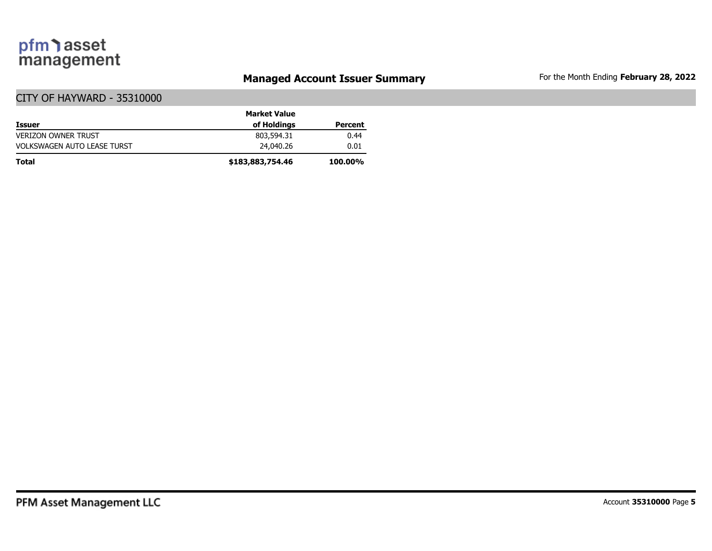### **Managed Account Issuer Summary** For the Month Ending February 28, 2022

|                                    | <b>Market Value</b> |                |
|------------------------------------|---------------------|----------------|
| <b>Issuer</b>                      | of Holdings         | Percent        |
| <b>VERIZON OWNER TRUST</b>         | 803,594.31          | 0.44           |
| <b>VOLKSWAGEN AUTO LEASE TURST</b> | 24,040,26           | 0.01           |
| <b>Total</b>                       | \$183,883,754.46    | <b>100.00%</b> |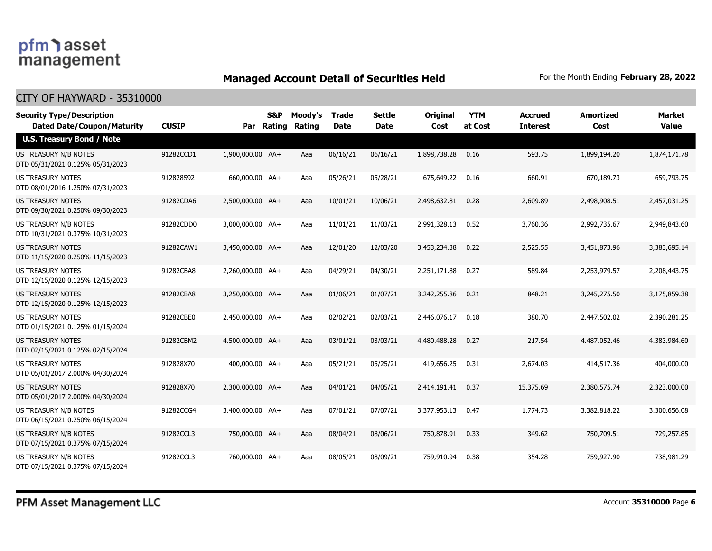### **Managed Account Detail of Securities Held** For the Month Ending February 28, 2022

| <b>Security Type/Description</b><br><b>Dated Date/Coupon/Maturity</b> | <b>CUSIP</b> |                  | <b>S&amp;P</b><br>Par Rating | Moody's<br>Rating | <b>Trade</b><br><b>Date</b> | <b>Settle</b><br><b>Date</b> | <b>Original</b><br>Cost | <b>YTM</b><br>at Cost | <b>Accrued</b><br><b>Interest</b> | <b>Amortized</b><br>Cost | <b>Market</b><br><b>Value</b> |
|-----------------------------------------------------------------------|--------------|------------------|------------------------------|-------------------|-----------------------------|------------------------------|-------------------------|-----------------------|-----------------------------------|--------------------------|-------------------------------|
| <b>U.S. Treasury Bond / Note</b>                                      |              |                  |                              |                   |                             |                              |                         |                       |                                   |                          |                               |
| US TREASURY N/B NOTES<br>DTD 05/31/2021 0.125% 05/31/2023             | 91282CCD1    | 1,900,000.00 AA+ |                              | Aaa               | 06/16/21                    | 06/16/21                     | 1,898,738.28            | 0.16                  | 593.75                            | 1,899,194.20             | 1,874,171.78                  |
| US TREASURY NOTES<br>DTD 08/01/2016 1.250% 07/31/2023                 | 912828S92    | 660,000.00 AA+   |                              | Aaa               | 05/26/21                    | 05/28/21                     | 675,649.22              | 0.16                  | 660.91                            | 670,189.73               | 659,793.75                    |
| <b>US TREASURY NOTES</b><br>DTD 09/30/2021 0.250% 09/30/2023          | 91282CDA6    | 2,500,000.00 AA+ |                              | Aaa               | 10/01/21                    | 10/06/21                     | 2,498,632.81            | 0.28                  | 2,609.89                          | 2,498,908.51             | 2,457,031.25                  |
| US TREASURY N/B NOTES<br>DTD 10/31/2021 0.375% 10/31/2023             | 91282CDD0    | 3,000,000.00 AA+ |                              | Aaa               | 11/01/21                    | 11/03/21                     | 2,991,328.13            | 0.52                  | 3,760.36                          | 2,992,735.67             | 2,949,843.60                  |
| <b>US TREASURY NOTES</b><br>DTD 11/15/2020 0.250% 11/15/2023          | 91282CAW1    | 3,450,000.00 AA+ |                              | Aaa               | 12/01/20                    | 12/03/20                     | 3,453,234.38            | 0.22                  | 2,525.55                          | 3,451,873.96             | 3,383,695.14                  |
| <b>US TREASURY NOTES</b><br>DTD 12/15/2020 0.125% 12/15/2023          | 91282CBA8    | 2,260,000.00 AA+ |                              | Aaa               | 04/29/21                    | 04/30/21                     | 2,251,171.88            | 0.27                  | 589.84                            | 2,253,979.57             | 2,208,443.75                  |
| <b>US TREASURY NOTES</b><br>DTD 12/15/2020 0.125% 12/15/2023          | 91282CBA8    | 3,250,000.00 AA+ |                              | Aaa               | 01/06/21                    | 01/07/21                     | 3,242,255.86            | 0.21                  | 848.21                            | 3,245,275.50             | 3,175,859.38                  |
| <b>US TREASURY NOTES</b><br>DTD 01/15/2021 0.125% 01/15/2024          | 91282CBE0    | 2,450,000.00 AA+ |                              | Aaa               | 02/02/21                    | 02/03/21                     | 2,446,076.17            | 0.18                  | 380.70                            | 2,447,502.02             | 2,390,281.25                  |
| US TREASURY NOTES<br>DTD 02/15/2021 0.125% 02/15/2024                 | 91282CBM2    | 4,500,000.00 AA+ |                              | Aaa               | 03/01/21                    | 03/03/21                     | 4,480,488.28            | 0.27                  | 217.54                            | 4,487,052.46             | 4,383,984.60                  |
| <b>US TREASURY NOTES</b><br>DTD 05/01/2017 2.000% 04/30/2024          | 912828X70    | 400,000.00 AA+   |                              | Aaa               | 05/21/21                    | 05/25/21                     | 419,656.25              | 0.31                  | 2,674.03                          | 414,517.36               | 404,000.00                    |
| <b>US TREASURY NOTES</b><br>DTD 05/01/2017 2.000% 04/30/2024          | 912828X70    | 2,300,000.00 AA+ |                              | Aaa               | 04/01/21                    | 04/05/21                     | 2,414,191.41            | 0.37                  | 15,375.69                         | 2,380,575.74             | 2,323,000.00                  |
| US TREASURY N/B NOTES<br>DTD 06/15/2021 0.250% 06/15/2024             | 91282CCG4    | 3,400,000.00 AA+ |                              | Aaa               | 07/01/21                    | 07/07/21                     | 3,377,953.13            | 0.47                  | 1,774.73                          | 3,382,818.22             | 3,300,656.08                  |
| <b>US TREASURY N/B NOTES</b><br>DTD 07/15/2021 0.375% 07/15/2024      | 91282CCL3    | 750,000.00 AA+   |                              | Aaa               | 08/04/21                    | 08/06/21                     | 750,878.91              | 0.33                  | 349.62                            | 750,709.51               | 729,257.85                    |
| US TREASURY N/B NOTES<br>DTD 07/15/2021 0.375% 07/15/2024             | 91282CCL3    | 760,000.00 AA+   |                              | Aaa               | 08/05/21                    | 08/09/21                     | 759,910.94              | 0.38                  | 354.28                            | 759,927.90               | 738,981.29                    |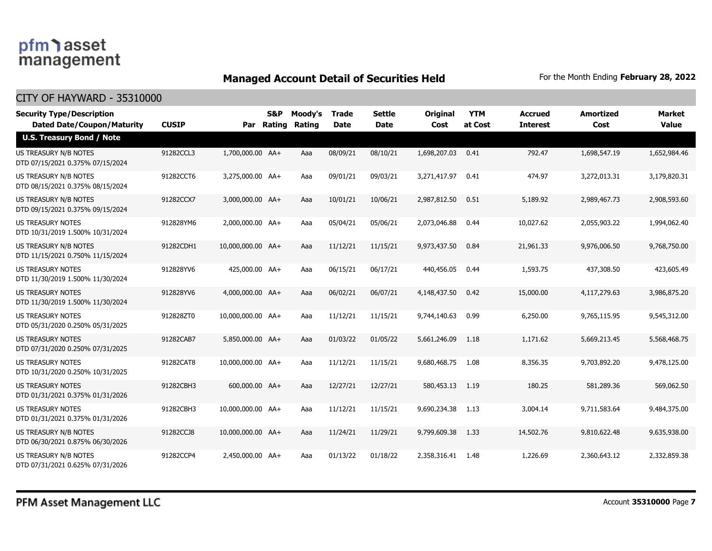### **Managed Account Detail of Securities Held** For the Month Ending February 28, 2022

| <b>Security Type/Description</b><br><b>Dated Date/Coupon/Maturity</b> | <b>CUSIP</b> |                   | S&P<br>Par Rating | Moody's<br>Rating | <b>Trade</b><br><b>Date</b> | <b>Settle</b><br><b>Date</b> | <b>Original</b><br>Cost | <b>YTM</b><br>at Cost | <b>Accrued</b><br><b>Interest</b> | <b>Amortized</b><br>Cost | <b>Market</b><br><b>Value</b> |
|-----------------------------------------------------------------------|--------------|-------------------|-------------------|-------------------|-----------------------------|------------------------------|-------------------------|-----------------------|-----------------------------------|--------------------------|-------------------------------|
| <b>U.S. Treasury Bond / Note</b>                                      |              |                   |                   |                   |                             |                              |                         |                       |                                   |                          |                               |
| US TREASURY N/B NOTES<br>DTD 07/15/2021 0.375% 07/15/2024             | 91282CCL3    | 1,700,000.00 AA+  |                   | Aaa               | 08/09/21                    | 08/10/21                     | 1,698,207.03            | 0.41                  | 792.47                            | 1,698,547.19             | 1,652,984.46                  |
| US TREASURY N/B NOTES<br>DTD 08/15/2021 0.375% 08/15/2024             | 91282CCT6    | 3,275,000.00 AA+  |                   | Aaa               | 09/01/21                    | 09/03/21                     | 3,271,417.97            | 0.41                  | 474.97                            | 3,272,013.31             | 3,179,820.31                  |
| <b>US TREASURY N/B NOTES</b><br>DTD 09/15/2021 0.375% 09/15/2024      | 91282CCX7    | 3,000,000.00 AA+  |                   | Aaa               | 10/01/21                    | 10/06/21                     | 2,987,812.50            | 0.51                  | 5,189.92                          | 2,989,467.73             | 2,908,593.60                  |
| <b>US TREASURY NOTES</b><br>DTD 10/31/2019 1.500% 10/31/2024          | 912828YM6    | 2,000,000.00 AA+  |                   | Aaa               | 05/04/21                    | 05/06/21                     | 2,073,046.88            | 0.44                  | 10,027.62                         | 2,055,903.22             | 1,994,062.40                  |
| <b>US TREASURY N/B NOTES</b><br>DTD 11/15/2021 0.750% 11/15/2024      | 91282CDH1    | 10,000,000.00 AA+ |                   | Aaa               | 11/12/21                    | 11/15/21                     | 9,973,437.50            | 0.84                  | 21,961.33                         | 9,976,006.50             | 9,768,750.00                  |
| US TREASURY NOTES<br>DTD 11/30/2019 1.500% 11/30/2024                 | 912828YV6    | 425,000.00 AA+    |                   | Aaa               | 06/15/21                    | 06/17/21                     | 440,456.05              | 0.44                  | 1,593.75                          | 437,308.50               | 423,605.49                    |
| <b>US TREASURY NOTES</b><br>DTD 11/30/2019 1.500% 11/30/2024          | 912828YV6    | 4,000,000.00 AA+  |                   | Aaa               | 06/02/21                    | 06/07/21                     | 4,148,437.50            | 0.42                  | 15,000.00                         | 4,117,279.63             | 3,986,875.20                  |
| US TREASURY NOTES<br>DTD 05/31/2020 0.250% 05/31/2025                 | 912828ZT0    | 10,000,000.00 AA+ |                   | Aaa               | 11/12/21                    | 11/15/21                     | 9,744,140.63            | 0.99                  | 6,250.00                          | 9,765,115.95             | 9,545,312.00                  |
| US TREASURY NOTES<br>DTD 07/31/2020 0.250% 07/31/2025                 | 91282CAB7    | 5,850,000.00 AA+  |                   | Aaa               | 01/03/22                    | 01/05/22                     | 5,661,246.09            | 1.18                  | 1,171.62                          | 5,669,213.45             | 5,568,468.75                  |
| <b>US TREASURY NOTES</b><br>DTD 10/31/2020 0.250% 10/31/2025          | 91282CAT8    | 10,000,000.00 AA+ |                   | Aaa               | 11/12/21                    | 11/15/21                     | 9,680,468.75            | 1.08                  | 8,356.35                          | 9,703,892.20             | 9,478,125.00                  |
| <b>US TREASURY NOTES</b><br>DTD 01/31/2021 0.375% 01/31/2026          | 91282CBH3    | 600,000.00 AA+    |                   | Aaa               | 12/27/21                    | 12/27/21                     | 580,453.13              | 1.19                  | 180.25                            | 581,289.36               | 569,062.50                    |
| <b>US TREASURY NOTES</b><br>DTD 01/31/2021 0.375% 01/31/2026          | 91282CBH3    | 10,000,000.00 AA+ |                   | Aaa               | 11/12/21                    | 11/15/21                     | 9,690,234.38            | 1.13                  | 3,004.14                          | 9,711,583.64             | 9,484,375.00                  |
| <b>US TREASURY N/B NOTES</b><br>DTD 06/30/2021 0.875% 06/30/2026      | 91282CCJ8    | 10,000,000.00 AA+ |                   | Aaa               | 11/24/21                    | 11/29/21                     | 9,799,609.38            | 1.33                  | 14,502.76                         | 9,810,622.48             | 9,635,938.00                  |
| US TREASURY N/B NOTES<br>DTD 07/31/2021 0.625% 07/31/2026             | 91282CCP4    | 2,450,000.00 AA+  |                   | Aaa               | 01/13/22                    | 01/18/22                     | 2,358,316.41            | 1.48                  | 1,226.69                          | 2,360,643.12             | 2,332,859.38                  |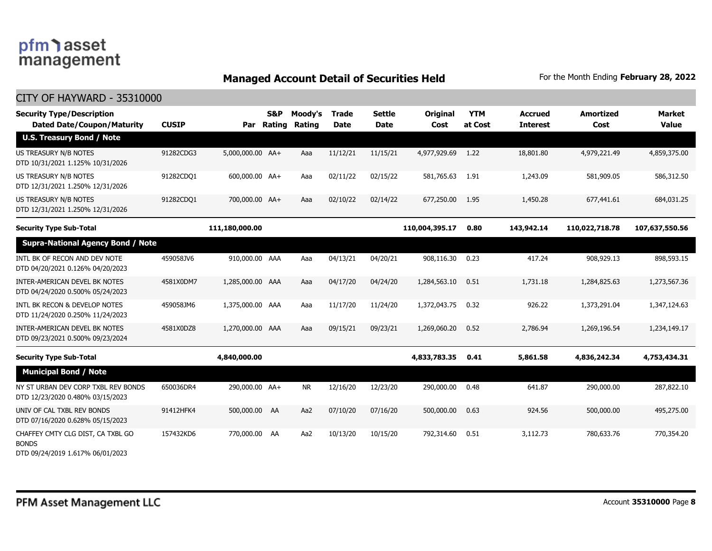### **Managed Account Detail of Securities Held** For the Month Ending February 28, 2022

| <b>Security Type/Description</b><br><b>Dated Date/Coupon/Maturity</b>                 | <b>CUSIP</b> | Par              | <b>S&amp;P</b><br>Rating | Moody's<br>Rating | Trade<br><b>Date</b> | <b>Settle</b><br><b>Date</b> | Original<br>Cost | <b>YTM</b><br>at Cost | <b>Accrued</b><br><b>Interest</b> | <b>Amortized</b><br>Cost | <b>Market</b><br><b>Value</b> |
|---------------------------------------------------------------------------------------|--------------|------------------|--------------------------|-------------------|----------------------|------------------------------|------------------|-----------------------|-----------------------------------|--------------------------|-------------------------------|
| <b>U.S. Treasury Bond / Note</b>                                                      |              |                  |                          |                   |                      |                              |                  |                       |                                   |                          |                               |
| US TREASURY N/B NOTES<br>DTD 10/31/2021 1.125% 10/31/2026                             | 91282CDG3    | 5,000,000.00 AA+ |                          | Aaa               | 11/12/21             | 11/15/21                     | 4,977,929.69     | 1.22                  | 18,801.80                         | 4,979,221.49             | 4,859,375.00                  |
| US TREASURY N/B NOTES<br>DTD 12/31/2021 1.250% 12/31/2026                             | 91282CDQ1    | 600,000.00 AA+   |                          | Aaa               | 02/11/22             | 02/15/22                     | 581,765.63       | 1.91                  | 1,243.09                          | 581,909.05               | 586,312.50                    |
| US TREASURY N/B NOTES<br>DTD 12/31/2021 1.250% 12/31/2026                             | 91282CDQ1    | 700,000.00 AA+   |                          | Aaa               | 02/10/22             | 02/14/22                     | 677,250.00       | 1.95                  | 1,450.28                          | 677,441.61               | 684,031.25                    |
| <b>Security Type Sub-Total</b>                                                        |              | 111,180,000.00   |                          |                   |                      |                              | 110,004,395.17   | 0.80                  | 143,942.14                        | 110,022,718.78           | 107,637,550.56                |
| <b>Supra-National Agency Bond / Note</b>                                              |              |                  |                          |                   |                      |                              |                  |                       |                                   |                          |                               |
| INTL BK OF RECON AND DEV NOTE<br>DTD 04/20/2021 0.126% 04/20/2023                     | 459058JV6    | 910,000.00 AAA   |                          | Aaa               | 04/13/21             | 04/20/21                     | 908,116.30       | 0.23                  | 417.24                            | 908,929.13               | 898,593.15                    |
| <b>INTER-AMERICAN DEVEL BK NOTES</b><br>DTD 04/24/2020 0.500% 05/24/2023              | 4581X0DM7    | 1,285,000.00 AAA |                          | Aaa               | 04/17/20             | 04/24/20                     | 1,284,563.10     | 0.51                  | 1,731.18                          | 1,284,825.63             | 1,273,567.36                  |
| INTL BK RECON & DEVELOP NOTES<br>DTD 11/24/2020 0.250% 11/24/2023                     | 459058JM6    | 1,375,000.00 AAA |                          | Aaa               | 11/17/20             | 11/24/20                     | 1,372,043.75     | 0.32                  | 926.22                            | 1,373,291.04             | 1,347,124.63                  |
| INTER-AMERICAN DEVEL BK NOTES<br>DTD 09/23/2021 0.500% 09/23/2024                     | 4581X0DZ8    | 1,270,000.00 AAA |                          | Aaa               | 09/15/21             | 09/23/21                     | 1,269,060.20     | 0.52                  | 2,786.94                          | 1,269,196.54             | 1,234,149.17                  |
| <b>Security Type Sub-Total</b>                                                        |              | 4,840,000.00     |                          |                   |                      |                              | 4,833,783.35     | 0.41                  | 5,861.58                          | 4,836,242.34             | 4,753,434.31                  |
| <b>Municipal Bond / Note</b>                                                          |              |                  |                          |                   |                      |                              |                  |                       |                                   |                          |                               |
| NY ST URBAN DEV CORP TXBL REV BONDS<br>DTD 12/23/2020 0.480% 03/15/2023               | 650036DR4    | 290,000.00 AA+   |                          | <b>NR</b>         | 12/16/20             | 12/23/20                     | 290,000.00       | 0.48                  | 641.87                            | 290,000.00               | 287,822.10                    |
| UNIV OF CAL TXBL REV BONDS<br>DTD 07/16/2020 0.628% 05/15/2023                        | 91412HFK4    | 500,000.00 AA    |                          | Aa <sub>2</sub>   | 07/10/20             | 07/16/20                     | 500,000.00       | 0.63                  | 924.56                            | 500,000,00               | 495,275.00                    |
| CHAFFEY CMTY CLG DIST, CA TXBL GO<br><b>BONDS</b><br>DTD 09/24/2019 1.617% 06/01/2023 | 157432KD6    | 770,000.00       | AA                       | Aa2               | 10/13/20             | 10/15/20                     | 792,314.60       | 0.51                  | 3,112.73                          | 780,633.76               | 770,354.20                    |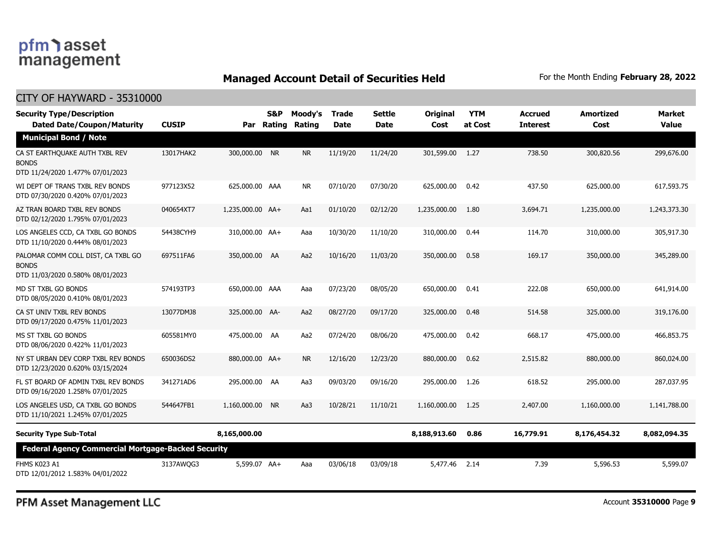### **Managed Account Detail of Securities Held** For the Month Ending February 28, 2022

#### CITY OF HAYWARD - 35310000

| <b>Security Type/Description</b><br><b>Dated Date/Coupon/Maturity</b>                  | <b>CUSIP</b> |                  | S&P<br>Par Rating | Moody's<br>Rating | <b>Trade</b><br><b>Date</b> | <b>Settle</b><br>Date | <b>Original</b><br>Cost | <b>YTM</b><br>at Cost | <b>Accrued</b><br><b>Interest</b> | <b>Amortized</b><br>Cost | <b>Market</b><br><b>Value</b> |
|----------------------------------------------------------------------------------------|--------------|------------------|-------------------|-------------------|-----------------------------|-----------------------|-------------------------|-----------------------|-----------------------------------|--------------------------|-------------------------------|
| <b>Municipal Bond / Note</b>                                                           |              |                  |                   |                   |                             |                       |                         |                       |                                   |                          |                               |
| CA ST EARTHQUAKE AUTH TXBL REV<br><b>BONDS</b><br>DTD 11/24/2020 1.477% 07/01/2023     | 13017HAK2    | 300,000.00 NR    |                   | <b>NR</b>         | 11/19/20                    | 11/24/20              | 301,599.00              | 1.27                  | 738.50                            | 300,820.56               | 299,676.00                    |
| WI DEPT OF TRANS TXBL REV BONDS<br>DTD 07/30/2020 0.420% 07/01/2023                    | 977123X52    | 625,000.00 AAA   |                   | <b>NR</b>         | 07/10/20                    | 07/30/20              | 625,000.00              | 0.42                  | 437.50                            | 625,000.00               | 617,593.75                    |
| AZ TRAN BOARD TXBL REV BONDS<br>DTD 02/12/2020 1.795% 07/01/2023                       | 040654XT7    | 1,235,000.00 AA+ |                   | Aa1               | 01/10/20                    | 02/12/20              | 1,235,000.00            | 1.80                  | 3,694.71                          | 1,235,000.00             | 1,243,373.30                  |
| LOS ANGELES CCD, CA TXBL GO BONDS<br>DTD 11/10/2020 0.444% 08/01/2023                  | 54438CYH9    | 310,000.00 AA+   |                   | Aaa               | 10/30/20                    | 11/10/20              | 310,000.00              | 0.44                  | 114.70                            | 310,000.00               | 305,917.30                    |
| PALOMAR COMM COLL DIST, CA TXBL GO<br><b>BONDS</b><br>DTD 11/03/2020 0.580% 08/01/2023 | 697511FA6    | 350,000,00 AA    |                   | Aa2               | 10/16/20                    | 11/03/20              | 350,000,00              | 0.58                  | 169.17                            | 350,000.00               | 345,289,00                    |
| MD ST TXBL GO BONDS<br>DTD 08/05/2020 0.410% 08/01/2023                                | 574193TP3    | 650,000.00 AAA   |                   | Aaa               | 07/23/20                    | 08/05/20              | 650,000.00              | 0.41                  | 222.08                            | 650,000.00               | 641,914.00                    |
| CA ST UNIV TXBL REV BONDS<br>DTD 09/17/2020 0.475% 11/01/2023                          | 13077DMJ8    | 325,000.00 AA-   |                   | Aa2               | 08/27/20                    | 09/17/20              | 325,000.00              | 0.48                  | 514.58                            | 325,000.00               | 319,176.00                    |
| MS ST TXBL GO BONDS<br>DTD 08/06/2020 0.422% 11/01/2023                                | 605581MY0    | 475,000.00 AA    |                   | Aa2               | 07/24/20                    | 08/06/20              | 475,000.00              | 0.42                  | 668.17                            | 475,000.00               | 466,853,75                    |
| NY ST URBAN DEV CORP TXBL REV BONDS<br>DTD 12/23/2020 0.620% 03/15/2024                | 650036DS2    | 880,000.00 AA+   |                   | <b>NR</b>         | 12/16/20                    | 12/23/20              | 880,000.00              | 0.62                  | 2,515.82                          | 880,000.00               | 860,024.00                    |
| FL ST BOARD OF ADMIN TXBL REV BONDS<br>DTD 09/16/2020 1.258% 07/01/2025                | 341271AD6    | 295,000.00 AA    |                   | Aa3               | 09/03/20                    | 09/16/20              | 295,000.00              | 1.26                  | 618.52                            | 295,000.00               | 287,037.95                    |
| LOS ANGELES USD, CA TXBL GO BONDS<br>DTD 11/10/2021 1.245% 07/01/2025                  | 544647FB1    | 1,160,000.00     | <b>NR</b>         | Aa3               | 10/28/21                    | 11/10/21              | 1,160,000.00            | 1.25                  | 2,407.00                          | 1,160,000.00             | 1,141,788.00                  |
| <b>Security Type Sub-Total</b>                                                         |              | 8,165,000.00     |                   |                   |                             |                       | 8,188,913.60            | 0.86                  | 16,779.91                         | 8,176,454.32             | 8,082,094.35                  |
| <b>Federal Agency Commercial Mortgage-Backed Security</b>                              |              |                  |                   |                   |                             |                       |                         |                       |                                   |                          |                               |
| FHMS K023 A1<br>DTD 12/01/2012 1.583% 04/01/2022                                       | 3137AWQG3    | 5,599.07 AA+     |                   | Aaa               | 03/06/18                    | 03/09/18              | 5,477.46                | 2.14                  | 7.39                              | 5,596.53                 | 5,599.07                      |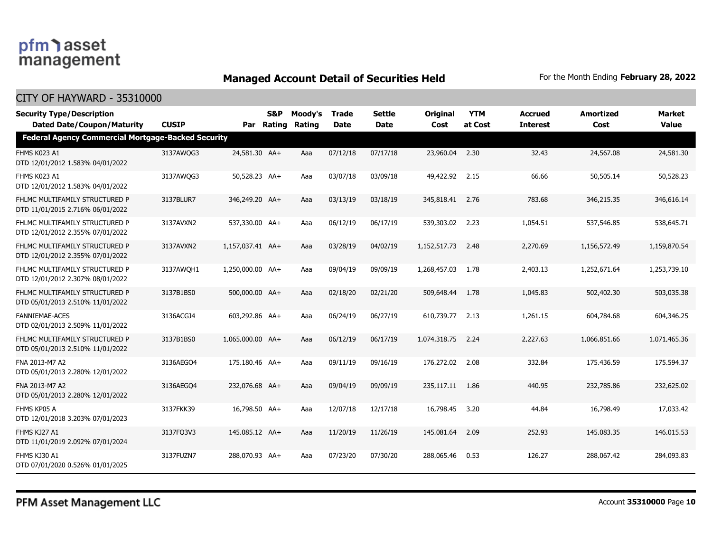### **Managed Account Detail of Securities Held** For the Month Ending February 28, 2022

| <b>Security Type/Description</b><br><b>Dated Date/Coupon/Maturity</b> | <b>CUSIP</b> | Par              | S&P<br>Rating | Moody's<br>Rating | <b>Trade</b><br><b>Date</b> | <b>Settle</b><br><b>Date</b> | <b>Original</b><br>Cost | <b>YTM</b><br>at Cost | <b>Accrued</b><br><b>Interest</b> | <b>Amortized</b><br>Cost | <b>Market</b><br><b>Value</b> |
|-----------------------------------------------------------------------|--------------|------------------|---------------|-------------------|-----------------------------|------------------------------|-------------------------|-----------------------|-----------------------------------|--------------------------|-------------------------------|
| <b>Federal Agency Commercial Mortgage-Backed Security</b>             |              |                  |               |                   |                             |                              |                         |                       |                                   |                          |                               |
| FHMS K023 A1<br>DTD 12/01/2012 1.583% 04/01/2022                      | 3137AWQG3    | 24,581.30 AA+    |               | Aaa               | 07/12/18                    | 07/17/18                     | 23,960.04               | 2.30                  | 32.43                             | 24,567.08                | 24,581.30                     |
| FHMS K023 A1<br>DTD 12/01/2012 1.583% 04/01/2022                      | 3137AWQG3    | 50,528.23 AA+    |               | Aaa               | 03/07/18                    | 03/09/18                     | 49,422.92 2.15          |                       | 66.66                             | 50,505.14                | 50,528.23                     |
| FHLMC MULTIFAMILY STRUCTURED P<br>DTD 11/01/2015 2.716% 06/01/2022    | 3137BLUR7    | 346,249.20 AA+   |               | Aaa               | 03/13/19                    | 03/18/19                     | 345,818.41 2.76         |                       | 783.68                            | 346,215.35               | 346,616.14                    |
| FHLMC MULTIFAMILY STRUCTURED P<br>DTD 12/01/2012 2.355% 07/01/2022    | 3137AVXN2    | 537,330.00 AA+   |               | Aaa               | 06/12/19                    | 06/17/19                     | 539,303.02 2.23         |                       | 1,054.51                          | 537,546.85               | 538,645.71                    |
| FHLMC MULTIFAMILY STRUCTURED P<br>DTD 12/01/2012 2.355% 07/01/2022    | 3137AVXN2    | 1.157.037.41 AA+ |               | Aaa               | 03/28/19                    | 04/02/19                     | 1,152,517.73            | 2.48                  | 2,270.69                          | 1,156,572.49             | 1,159,870.54                  |
| FHLMC MULTIFAMILY STRUCTURED P<br>DTD 12/01/2012 2.307% 08/01/2022    | 3137AWOH1    | 1,250,000.00 AA+ |               | Aaa               | 09/04/19                    | 09/09/19                     | 1,268,457.03            | 1.78                  | 2,403.13                          | 1,252,671.64             | 1,253,739.10                  |
| FHLMC MULTIFAMILY STRUCTURED P<br>DTD 05/01/2013 2.510% 11/01/2022    | 3137B1BS0    | 500,000.00 AA+   |               | Aaa               | 02/18/20                    | 02/21/20                     | 509,648.44              | 1.78                  | 1,045.83                          | 502,402.30               | 503,035.38                    |
| <b>FANNIEMAE-ACES</b><br>DTD 02/01/2013 2.509% 11/01/2022             | 3136ACGJ4    | 603,292.86 AA+   |               | Aaa               | 06/24/19                    | 06/27/19                     | 610,739.77 2.13         |                       | 1,261.15                          | 604,784.68               | 604,346.25                    |
| FHLMC MULTIFAMILY STRUCTURED P<br>DTD 05/01/2013 2.510% 11/01/2022    | 3137B1BS0    | 1,065,000.00 AA+ |               | Aaa               | 06/12/19                    | 06/17/19                     | 1,074,318.75            | 2.24                  | 2,227.63                          | 1,066,851.66             | 1,071,465,36                  |
| FNA 2013-M7 A2<br>DTD 05/01/2013 2.280% 12/01/2022                    | 3136AEGO4    | 175,180.46 AA+   |               | Aaa               | 09/11/19                    | 09/16/19                     | 176,272.02              | 2.08                  | 332.84                            | 175,436.59               | 175,594.37                    |
| FNA 2013-M7 A2<br>DTD 05/01/2013 2.280% 12/01/2022                    | 3136AEGO4    | 232,076.68 AA+   |               | Aaa               | 09/04/19                    | 09/09/19                     | 235,117.11 1.86         |                       | 440.95                            | 232,785.86               | 232,625.02                    |
| FHMS KP05 A<br>DTD 12/01/2018 3.203% 07/01/2023                       | 3137FKK39    | 16,798.50 AA+    |               | Aaa               | 12/07/18                    | 12/17/18                     | 16,798.45               | 3.20                  | 44.84                             | 16,798.49                | 17,033.42                     |
| FHMS KJ27 A1<br>DTD 11/01/2019 2.092% 07/01/2024                      | 3137FQ3V3    | 145,085.12 AA+   |               | Aaa               | 11/20/19                    | 11/26/19                     | 145,081.64              | 2.09                  | 252.93                            | 145,083.35               | 146,015.53                    |
| FHMS KJ30 A1<br>DTD 07/01/2020 0.526% 01/01/2025                      | 3137FUZN7    | 288,070.93 AA+   |               | Aaa               | 07/23/20                    | 07/30/20                     | 288,065.46              | 0.53                  | 126.27                            | 288,067.42               | 284,093.83                    |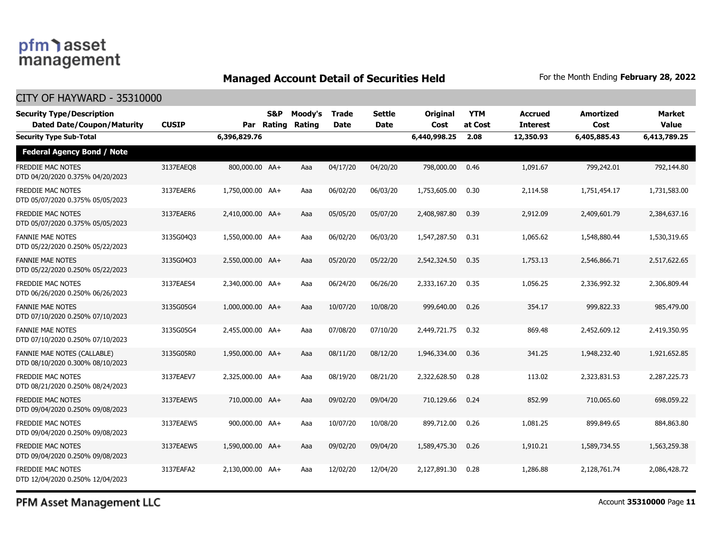### **Managed Account Detail of Securities Held** For the Month Ending February 28, 2022

#### CITY OF HAYWARD - 35310000

| <b>Security Type/Description</b><br><b>Dated Date/Coupon/Maturity</b> | <b>CUSIP</b> | Par              | S&P<br>Rating | Moody's<br>Rating | <b>Trade</b><br><b>Date</b> | <b>Settle</b><br>Date | <b>Original</b><br>Cost | <b>YTM</b><br>at Cost | <b>Accrued</b><br><b>Interest</b> | <b>Amortized</b><br>Cost | <b>Market</b><br><b>Value</b> |
|-----------------------------------------------------------------------|--------------|------------------|---------------|-------------------|-----------------------------|-----------------------|-------------------------|-----------------------|-----------------------------------|--------------------------|-------------------------------|
| <b>Security Type Sub-Total</b>                                        |              | 6,396,829.76     |               |                   |                             |                       | 6,440,998.25            | 2.08                  | 12,350.93                         | 6,405,885.43             | 6,413,789.25                  |
| <b>Federal Agency Bond / Note</b>                                     |              |                  |               |                   |                             |                       |                         |                       |                                   |                          |                               |
| FREDDIE MAC NOTES<br>DTD 04/20/2020 0.375% 04/20/2023                 | 3137EAEO8    | 800,000.00 AA+   |               | Aaa               | 04/17/20                    | 04/20/20              | 798,000.00              | 0.46                  | 1,091.67                          | 799,242.01               | 792,144.80                    |
| FREDDIE MAC NOTES<br>DTD 05/07/2020 0.375% 05/05/2023                 | 3137EAER6    | 1,750,000.00 AA+ |               | Aaa               | 06/02/20                    | 06/03/20              | 1,753,605.00            | 0.30                  | 2,114.58                          | 1,751,454.17             | 1,731,583.00                  |
| <b>FREDDIE MAC NOTES</b><br>DTD 05/07/2020 0.375% 05/05/2023          | 3137EAER6    | 2,410,000.00 AA+ |               | Aaa               | 05/05/20                    | 05/07/20              | 2,408,987.80            | 0.39                  | 2,912.09                          | 2,409,601.79             | 2,384,637.16                  |
| FANNIE MAE NOTES<br>DTD 05/22/2020 0.250% 05/22/2023                  | 3135G04Q3    | 1,550,000.00 AA+ |               | Aaa               | 06/02/20                    | 06/03/20              | 1,547,287.50            | 0.31                  | 1,065.62                          | 1,548,880.44             | 1,530,319.65                  |
| FANNIE MAE NOTES<br>DTD 05/22/2020 0.250% 05/22/2023                  | 3135G04Q3    | 2,550,000.00 AA+ |               | Aaa               | 05/20/20                    | 05/22/20              | 2,542,324.50            | 0.35                  | 1,753.13                          | 2,546,866.71             | 2,517,622.65                  |
| FREDDIE MAC NOTES<br>DTD 06/26/2020 0.250% 06/26/2023                 | 3137EAES4    | 2.340.000.00 AA+ |               | Aaa               | 06/24/20                    | 06/26/20              | 2,333,167,20            | 0.35                  | 1,056.25                          | 2,336,992.32             | 2,306,809,44                  |
| <b>FANNIE MAE NOTES</b><br>DTD 07/10/2020 0.250% 07/10/2023           | 3135G05G4    | 1,000,000.00 AA+ |               | Aaa               | 10/07/20                    | 10/08/20              | 999,640.00              | 0.26                  | 354.17                            | 999,822.33               | 985,479.00                    |
| <b>FANNIE MAE NOTES</b><br>DTD 07/10/2020 0.250% 07/10/2023           | 3135G05G4    | 2,455,000.00 AA+ |               | Aaa               | 07/08/20                    | 07/10/20              | 2,449,721.75            | 0.32                  | 869.48                            | 2,452,609.12             | 2,419,350.95                  |
| FANNIE MAE NOTES (CALLABLE)<br>DTD 08/10/2020 0.300% 08/10/2023       | 3135G05R0    | 1,950,000.00 AA+ |               | Aaa               | 08/11/20                    | 08/12/20              | 1,946,334.00            | 0.36                  | 341.25                            | 1,948,232.40             | 1,921,652.85                  |
| FREDDIE MAC NOTES<br>DTD 08/21/2020 0.250% 08/24/2023                 | 3137EAEV7    | 2,325,000.00 AA+ |               | Aaa               | 08/19/20                    | 08/21/20              | 2,322,628.50            | 0.28                  | 113.02                            | 2,323,831.53             | 2,287,225.73                  |
| FREDDIE MAC NOTES<br>DTD 09/04/2020 0.250% 09/08/2023                 | 3137EAEW5    | 710,000.00 AA+   |               | Aaa               | 09/02/20                    | 09/04/20              | 710,129.66              | 0.24                  | 852.99                            | 710,065.60               | 698,059.22                    |
| FREDDIE MAC NOTES<br>DTD 09/04/2020 0.250% 09/08/2023                 | 3137EAEW5    | 900,000.00 AA+   |               | Aaa               | 10/07/20                    | 10/08/20              | 899,712.00              | 0.26                  | 1,081.25                          | 899,849.65               | 884,863.80                    |
| <b>FREDDIE MAC NOTES</b><br>DTD 09/04/2020 0.250% 09/08/2023          | 3137EAEW5    | 1,590,000.00 AA+ |               | Aaa               | 09/02/20                    | 09/04/20              | 1,589,475.30            | 0.26                  | 1,910.21                          | 1,589,734.55             | 1,563,259.38                  |
| FREDDIE MAC NOTES<br>DTD 12/04/2020 0.250% 12/04/2023                 | 3137EAFA2    | 2,130,000.00 AA+ |               | Aaa               | 12/02/20                    | 12/04/20              | 2,127,891.30            | 0.28                  | 1,286.88                          | 2,128,761.74             | 2,086,428.72                  |

PFM Asset Management LLC

Account **35310000** Page **11**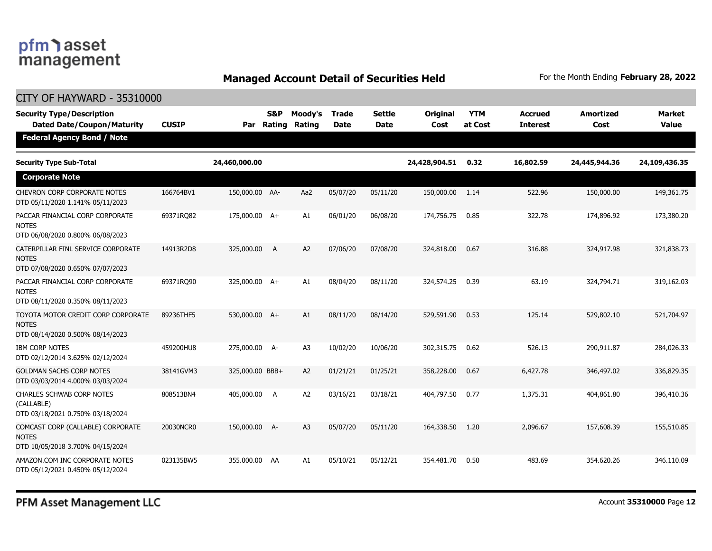### **Managed Account Detail of Securities Held** For the Month Ending February 28, 2022

| <b>CITY OF HAYWARD - 35310000</b>                                                      |              |                 |                          |                   |                             |                              |                  |                       |                                   |                          |                               |
|----------------------------------------------------------------------------------------|--------------|-----------------|--------------------------|-------------------|-----------------------------|------------------------------|------------------|-----------------------|-----------------------------------|--------------------------|-------------------------------|
| <b>Security Type/Description</b><br><b>Dated Date/Coupon/Maturity</b>                  | <b>CUSIP</b> | Par             | <b>S&amp;P</b><br>Rating | Moody's<br>Rating | <b>Trade</b><br><b>Date</b> | <b>Settle</b><br><b>Date</b> | Original<br>Cost | <b>YTM</b><br>at Cost | <b>Accrued</b><br><b>Interest</b> | <b>Amortized</b><br>Cost | <b>Market</b><br><b>Value</b> |
| <b>Federal Agency Bond / Note</b>                                                      |              |                 |                          |                   |                             |                              |                  |                       |                                   |                          |                               |
| <b>Security Type Sub-Total</b>                                                         |              | 24,460,000.00   |                          |                   |                             |                              | 24,428,904.51    | 0.32                  | 16,802.59                         | 24,445,944.36            | 24,109,436.35                 |
| <b>Corporate Note</b>                                                                  |              |                 |                          |                   |                             |                              |                  |                       |                                   |                          |                               |
| CHEVRON CORP CORPORATE NOTES<br>DTD 05/11/2020 1.141% 05/11/2023                       | 166764BV1    | 150,000.00 AA-  |                          | Aa2               | 05/07/20                    | 05/11/20                     | 150,000.00       | 1.14                  | 522.96                            | 150,000.00               | 149,361.75                    |
| PACCAR FINANCIAL CORP CORPORATE<br>notes<br>DTD 06/08/2020 0.800% 06/08/2023           | 69371RO82    | 175,000.00 A+   |                          | A1                | 06/01/20                    | 06/08/20                     | 174,756.75       | 0.85                  | 322.78                            | 174,896.92               | 173,380,20                    |
| CATERPILLAR FINL SERVICE CORPORATE<br><b>NOTES</b><br>DTD 07/08/2020 0.650% 07/07/2023 | 14913R2D8    | 325,000.00      | - A                      | A <sub>2</sub>    | 07/06/20                    | 07/08/20                     | 324,818.00       | 0.67                  | 316.88                            | 324,917.98               | 321,838.73                    |
| PACCAR FINANCIAL CORP CORPORATE<br><b>NOTES</b><br>DTD 08/11/2020 0.350% 08/11/2023    | 69371RO90    | 325,000.00 A+   |                          | A1                | 08/04/20                    | 08/11/20                     | 324,574.25       | 0.39                  | 63.19                             | 324,794.71               | 319,162.03                    |
| TOYOTA MOTOR CREDIT CORP CORPORATE<br><b>NOTES</b><br>DTD 08/14/2020 0.500% 08/14/2023 | 89236THF5    | 530,000.00 A+   |                          | A1                | 08/11/20                    | 08/14/20                     | 529,591.90       | 0.53                  | 125.14                            | 529,802.10               | 521,704.97                    |
| <b>IBM CORP NOTES</b><br>DTD 02/12/2014 3.625% 02/12/2024                              | 459200HU8    | 275,000.00 A-   |                          | A <sub>3</sub>    | 10/02/20                    | 10/06/20                     | 302,315.75       | 0.62                  | 526.13                            | 290,911.87               | 284,026.33                    |
| <b>GOLDMAN SACHS CORP NOTES</b><br>DTD 03/03/2014 4.000% 03/03/2024                    | 38141GVM3    | 325,000.00 BBB+ |                          | A <sub>2</sub>    | 01/21/21                    | 01/25/21                     | 358,228.00       | 0.67                  | 6,427.78                          | 346,497.02               | 336,829.35                    |
| CHARLES SCHWAB CORP NOTES<br>(CALLABLE)<br>DTD 03/18/2021 0.750% 03/18/2024            | 808513BN4    | 405,000.00      | $\overline{A}$           | A <sub>2</sub>    | 03/16/21                    | 03/18/21                     | 404,797.50       | 0.77                  | 1,375.31                          | 404,861.80               | 396,410.36                    |
| COMCAST CORP (CALLABLE) CORPORATE<br><b>NOTES</b><br>DTD 10/05/2018 3.700% 04/15/2024  | 20030NCR0    | 150,000.00 A-   |                          | A3                | 05/07/20                    | 05/11/20                     | 164,338.50       | 1.20                  | 2,096.67                          | 157,608.39               | 155,510.85                    |
| AMAZON.COM INC CORPORATE NOTES<br>DTD 05/12/2021 0.450% 05/12/2024                     | 023135BW5    | 355,000.00 AA   |                          | A1                | 05/10/21                    | 05/12/21                     | 354,481.70       | 0.50                  | 483.69                            | 354,620.26               | 346,110.09                    |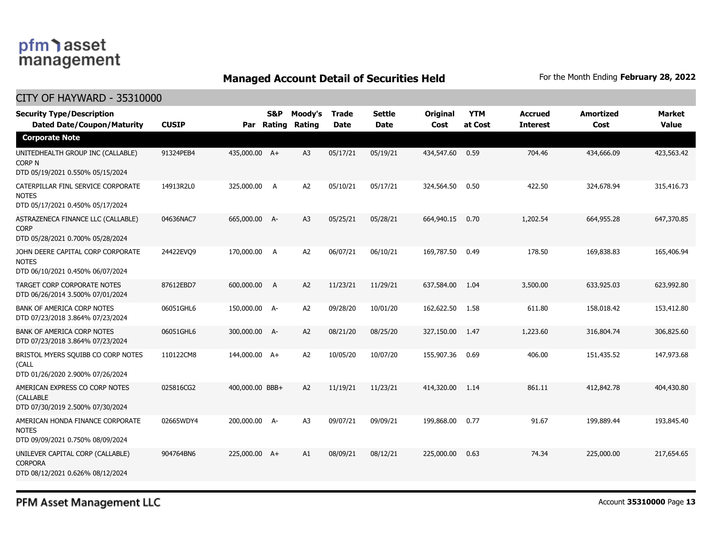### **Managed Account Detail of Securities Held** For the Month Ending February 28, 2022

#### CITY OF HAYWARD - 35310000

| <b>Security Type/Description</b><br><b>Dated Date/Coupon/Maturity</b>                  | <b>CUSIP</b> | Par             | <b>S&amp;P</b><br>Rating | Moody's<br>Rating | <b>Trade</b><br><b>Date</b> | <b>Settle</b><br>Date | Original<br>Cost | <b>YTM</b><br>at Cost | <b>Accrued</b><br><b>Interest</b> | <b>Amortized</b><br>Cost | <b>Market</b><br><b>Value</b> |
|----------------------------------------------------------------------------------------|--------------|-----------------|--------------------------|-------------------|-----------------------------|-----------------------|------------------|-----------------------|-----------------------------------|--------------------------|-------------------------------|
| <b>Corporate Note</b>                                                                  |              |                 |                          |                   |                             |                       |                  |                       |                                   |                          |                               |
| UNITEDHEALTH GROUP INC (CALLABLE)<br><b>CORP N</b><br>DTD 05/19/2021 0.550% 05/15/2024 | 91324PEB4    | 435,000.00 A+   |                          | A <sub>3</sub>    | 05/17/21                    | 05/19/21              | 434,547.60       | 0.59                  | 704.46                            | 434,666.09               | 423,563.42                    |
| CATERPILLAR FINL SERVICE CORPORATE<br><b>NOTES</b><br>DTD 05/17/2021 0.450% 05/17/2024 | 14913R2L0    | 325,000.00 A    |                          | A2                | 05/10/21                    | 05/17/21              | 324,564.50       | 0.50                  | 422.50                            | 324,678.94               | 315,416.73                    |
| ASTRAZENECA FINANCE LLC (CALLABLE)<br><b>CORP</b><br>DTD 05/28/2021 0.700% 05/28/2024  | 04636NAC7    | 665,000.00 A-   |                          | A3                | 05/25/21                    | 05/28/21              | 664,940.15       | 0.70                  | 1,202.54                          | 664,955.28               | 647,370.85                    |
| JOHN DEERE CAPITAL CORP CORPORATE<br><b>NOTES</b><br>DTD 06/10/2021 0.450% 06/07/2024  | 24422EVO9    | 170,000.00      | A                        | A <sub>2</sub>    | 06/07/21                    | 06/10/21              | 169,787.50       | 0.49                  | 178.50                            | 169,838.83               | 165,406.94                    |
| TARGET CORP CORPORATE NOTES<br>DTD 06/26/2014 3.500% 07/01/2024                        | 87612EBD7    | 600,000.00      | A                        | A2                | 11/23/21                    | 11/29/21              | 637,584.00       | 1.04                  | 3,500.00                          | 633,925.03               | 623,992.80                    |
| BANK OF AMERICA CORP NOTES<br>DTD 07/23/2018 3.864% 07/23/2024                         | 06051GHL6    | 150,000.00 A-   |                          | A2                | 09/28/20                    | 10/01/20              | 162,622.50       | 1.58                  | 611.80                            | 158,018.42               | 153,412.80                    |
| <b>BANK OF AMERICA CORP NOTES</b><br>DTD 07/23/2018 3.864% 07/23/2024                  | 06051GHL6    | 300,000.00 A-   |                          | A2                | 08/21/20                    | 08/25/20              | 327,150.00       | 1.47                  | 1,223.60                          | 316,804.74               | 306,825.60                    |
| BRISTOL MYERS SQUIBB CO CORP NOTES<br>(CALL<br>DTD 01/26/2020 2.900% 07/26/2024        | 110122CM8    | 144,000.00 A+   |                          | A <sub>2</sub>    | 10/05/20                    | 10/07/20              | 155,907.36       | 0.69                  | 406.00                            | 151,435.52               | 147,973.68                    |
| AMERICAN EXPRESS CO CORP NOTES<br>(CALLABLE<br>DTD 07/30/2019 2.500% 07/30/2024        | 025816CG2    | 400,000.00 BBB+ |                          | A <sub>2</sub>    | 11/19/21                    | 11/23/21              | 414,320.00       | 1.14                  | 861.11                            | 412,842.78               | 404,430.80                    |
| AMERICAN HONDA FINANCE CORPORATE<br><b>NOTES</b><br>DTD 09/09/2021 0.750% 08/09/2024   | 02665WDY4    | 200,000.00 A-   |                          | A <sub>3</sub>    | 09/07/21                    | 09/09/21              | 199,868.00       | 0.77                  | 91.67                             | 199,889.44               | 193,845.40                    |
| UNILEVER CAPITAL CORP (CALLABLE)<br><b>CORPORA</b><br>DTD 08/12/2021 0.626% 08/12/2024 | 904764BN6    | 225,000.00 A+   |                          | A1                | 08/09/21                    | 08/12/21              | 225,000.00       | 0.63                  | 74.34                             | 225,000.00               | 217,654.65                    |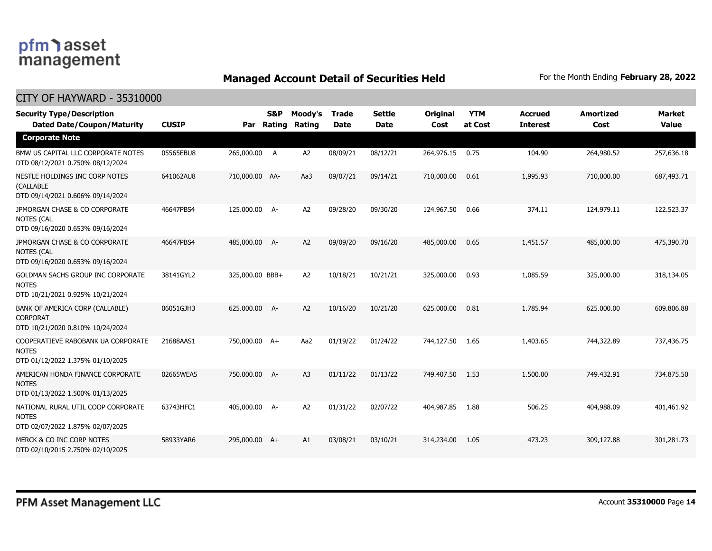### **Managed Account Detail of Securities Held** For the Month Ending February 28, 2022

| <b>Security Type/Description</b><br><b>Dated Date/Coupon/Maturity</b>                  | <b>CUSIP</b> | Par             | S&P<br>Rating | Moody's<br>Rating | Trade<br><b>Date</b> | Settle<br><b>Date</b> | Original<br>Cost | <b>YTM</b><br>at Cost | <b>Accrued</b><br><b>Interest</b> | <b>Amortized</b><br>Cost | <b>Market</b><br><b>Value</b> |
|----------------------------------------------------------------------------------------|--------------|-----------------|---------------|-------------------|----------------------|-----------------------|------------------|-----------------------|-----------------------------------|--------------------------|-------------------------------|
| <b>Corporate Note</b>                                                                  |              |                 |               |                   |                      |                       |                  |                       |                                   |                          |                               |
| BMW US CAPITAL LLC CORPORATE NOTES<br>DTD 08/12/2021 0.750% 08/12/2024                 | 05565EBU8    | 265,000.00      | A             | A <sub>2</sub>    | 08/09/21             | 08/12/21              | 264,976.15       | 0.75                  | 104.90                            | 264,980.52               | 257,636.18                    |
| NESTLE HOLDINGS INC CORP NOTES<br>(CALLABLE<br>DTD 09/14/2021 0.606% 09/14/2024        | 641062AU8    | 710,000.00 AA-  |               | Aa3               | 09/07/21             | 09/14/21              | 710,000.00       | 0.61                  | 1,995.93                          | 710,000.00               | 687,493.71                    |
| JPMORGAN CHASE & CO CORPORATE<br><b>NOTES (CAL</b><br>DTD 09/16/2020 0.653% 09/16/2024 | 46647PBS4    | 125,000.00 A-   |               | A2                | 09/28/20             | 09/30/20              | 124,967.50       | 0.66                  | 374.11                            | 124,979.11               | 122,523.37                    |
| JPMORGAN CHASE & CO CORPORATE<br><b>NOTES (CAL</b><br>DTD 09/16/2020 0.653% 09/16/2024 | 46647PBS4    | 485,000.00 A-   |               | A2                | 09/09/20             | 09/16/20              | 485,000.00       | 0.65                  | 1,451.57                          | 485,000.00               | 475,390.70                    |
| GOLDMAN SACHS GROUP INC CORPORATE<br><b>NOTES</b><br>DTD 10/21/2021 0.925% 10/21/2024  | 38141GYL2    | 325,000.00 BBB+ |               | A2                | 10/18/21             | 10/21/21              | 325,000.00       | 0.93                  | 1,085.59                          | 325,000.00               | 318,134.05                    |
| BANK OF AMERICA CORP (CALLABLE)<br><b>CORPORAT</b><br>DTD 10/21/2020 0.810% 10/24/2024 | 06051GJH3    | 625,000.00 A-   |               | A2                | 10/16/20             | 10/21/20              | 625,000.00       | 0.81                  | 1,785.94                          | 625,000.00               | 609,806.88                    |
| COOPERATIEVE RABOBANK UA CORPORATE<br><b>NOTES</b><br>DTD 01/12/2022 1.375% 01/10/2025 | 21688AAS1    | 750,000.00 A+   |               | Aa2               | 01/19/22             | 01/24/22              | 744,127.50       | 1.65                  | 1,403.65                          | 744,322.89               | 737,436.75                    |
| AMERICAN HONDA FINANCE CORPORATE<br><b>NOTES</b><br>DTD 01/13/2022 1.500% 01/13/2025   | 02665WEA5    | 750,000.00 A-   |               | A <sub>3</sub>    | 01/11/22             | 01/13/22              | 749,407.50       | 1.53                  | 1,500.00                          | 749,432.91               | 734,875.50                    |
| NATIONAL RURAL UTIL COOP CORPORATE<br><b>NOTES</b><br>DTD 02/07/2022 1.875% 02/07/2025 | 63743HFC1    | 405,000.00 A-   |               | A2                | 01/31/22             | 02/07/22              | 404,987.85       | 1.88                  | 506.25                            | 404,988.09               | 401,461.92                    |
| MERCK & CO INC CORP NOTES<br>DTD 02/10/2015 2.750% 02/10/2025                          | 58933YAR6    | 295,000.00 A+   |               | A1                | 03/08/21             | 03/10/21              | 314,234.00       | 1.05                  | 473.23                            | 309,127.88               | 301,281.73                    |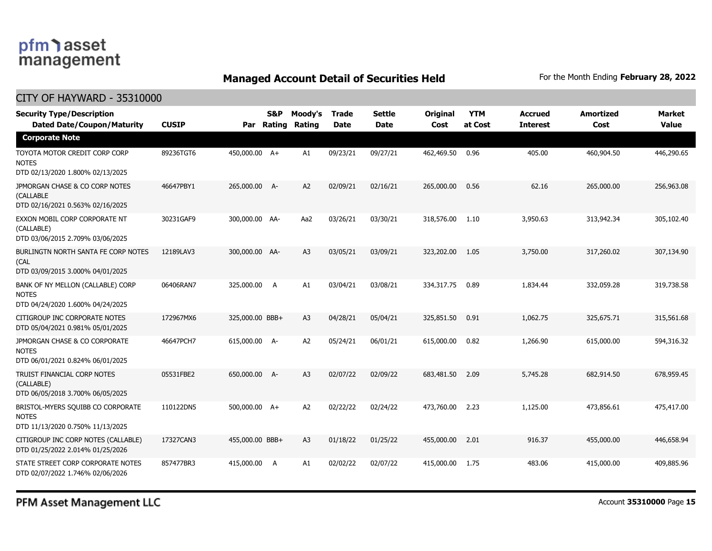### **Managed Account Detail of Securities Held** For the Month Ending February 28, 2022

| <b>Security Type/Description</b><br><b>Dated Date/Coupon/Maturity</b>                 | <b>CUSIP</b> | Par             | S&P<br>Rating | Moody's<br>Rating | <b>Trade</b><br><b>Date</b> | <b>Settle</b><br><b>Date</b> | Original<br>Cost | <b>YTM</b><br>at Cost | <b>Accrued</b><br><b>Interest</b> | <b>Amortized</b><br>Cost | <b>Market</b><br><b>Value</b> |
|---------------------------------------------------------------------------------------|--------------|-----------------|---------------|-------------------|-----------------------------|------------------------------|------------------|-----------------------|-----------------------------------|--------------------------|-------------------------------|
| <b>Corporate Note</b>                                                                 |              |                 |               |                   |                             |                              |                  |                       |                                   |                          |                               |
| TOYOTA MOTOR CREDIT CORP CORP<br><b>NOTES</b><br>DTD 02/13/2020 1.800% 02/13/2025     | 89236TGT6    | 450,000.00 A+   |               | A1                | 09/23/21                    | 09/27/21                     | 462,469.50       | 0.96                  | 405.00                            | 460,904.50               | 446,290.65                    |
| JPMORGAN CHASE & CO CORP NOTES<br>(CALLABLE<br>DTD 02/16/2021 0.563% 02/16/2025       | 46647PBY1    | 265,000.00 A-   |               | A2                | 02/09/21                    | 02/16/21                     | 265,000.00       | 0.56                  | 62.16                             | 265,000.00               | 256,963.08                    |
| EXXON MOBIL CORP CORPORATE NT<br>(CALLABLE)<br>DTD 03/06/2015 2.709% 03/06/2025       | 30231GAF9    | 300,000.00 AA-  |               | Aa2               | 03/26/21                    | 03/30/21                     | 318,576.00       | 1.10                  | 3,950.63                          | 313,942.34               | 305,102.40                    |
| BURLINGTN NORTH SANTA FE CORP NOTES<br>(CAL<br>DTD 03/09/2015 3.000% 04/01/2025       | 12189LAV3    | 300,000.00 AA-  |               | A <sub>3</sub>    | 03/05/21                    | 03/09/21                     | 323,202.00       | 1.05                  | 3,750.00                          | 317,260.02               | 307,134.90                    |
| BANK OF NY MELLON (CALLABLE) CORP<br><b>NOTES</b><br>DTD 04/24/2020 1.600% 04/24/2025 | 06406RAN7    | 325,000.00      | A             | A1                | 03/04/21                    | 03/08/21                     | 334,317.75       | 0.89                  | 1,834.44                          | 332,059.28               | 319,738.58                    |
| CITIGROUP INC CORPORATE NOTES<br>DTD 05/04/2021 0.981% 05/01/2025                     | 172967MX6    | 325,000.00 BBB+ |               | A <sub>3</sub>    | 04/28/21                    | 05/04/21                     | 325,851.50       | 0.91                  | 1,062.75                          | 325,675.71               | 315,561.68                    |
| JPMORGAN CHASE & CO CORPORATE<br><b>NOTES</b><br>DTD 06/01/2021 0.824% 06/01/2025     | 46647PCH7    | 615,000.00 A-   |               | A <sub>2</sub>    | 05/24/21                    | 06/01/21                     | 615,000.00       | 0.82                  | 1,266.90                          | 615,000.00               | 594,316.32                    |
| TRUIST FINANCIAL CORP NOTES<br>(CALLABLE)<br>DTD 06/05/2018 3.700% 06/05/2025         | 05531FBE2    | 650,000.00 A-   |               | A <sub>3</sub>    | 02/07/22                    | 02/09/22                     | 683,481.50       | 2.09                  | 5,745.28                          | 682,914.50               | 678,959.45                    |
| BRISTOL-MYERS SQUIBB CO CORPORATE<br><b>NOTES</b><br>DTD 11/13/2020 0.750% 11/13/2025 | 110122DN5    | 500,000.00 A+   |               | A <sub>2</sub>    | 02/22/22                    | 02/24/22                     | 473,760.00       | 2.23                  | 1,125.00                          | 473,856.61               | 475,417.00                    |
| CITIGROUP INC CORP NOTES (CALLABLE)<br>DTD 01/25/2022 2.014% 01/25/2026               | 17327CAN3    | 455,000.00 BBB+ |               | A <sub>3</sub>    | 01/18/22                    | 01/25/22                     | 455,000.00       | 2.01                  | 916.37                            | 455,000.00               | 446,658.94                    |
| STATE STREET CORP CORPORATE NOTES<br>DTD 02/07/2022 1.746% 02/06/2026                 | 857477BR3    | 415,000.00      | A             | A1                | 02/02/22                    | 02/07/22                     | 415,000.00       | 1.75                  | 483.06                            | 415,000.00               | 409,885.96                    |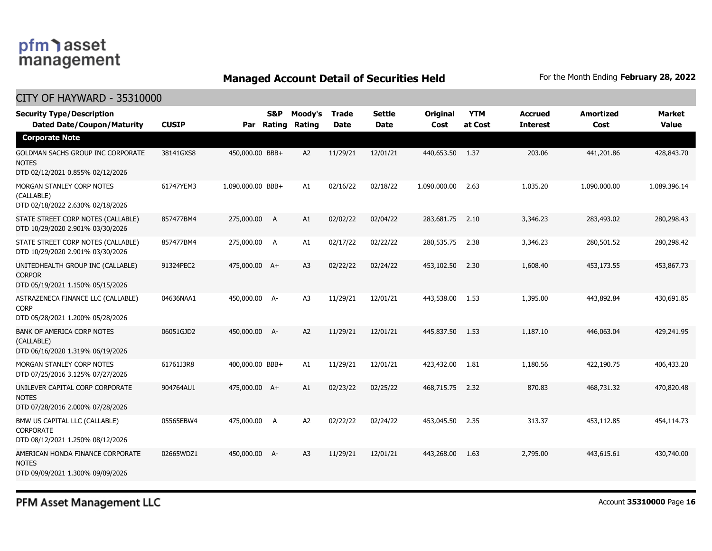### **Managed Account Detail of Securities Held** For the Month Ending February 28, 2022

#### CITY OF HAYWARD - 35310000

| <b>Security Type/Description</b><br><b>Dated Date/Coupon/Maturity</b>                  | <b>CUSIP</b> | Par               | <b>S&amp;P</b><br>Rating | Moody's<br>Rating | <b>Trade</b><br><b>Date</b> | <b>Settle</b><br><b>Date</b> | Original<br>Cost | <b>YTM</b><br>at Cost | <b>Accrued</b><br><b>Interest</b> | <b>Amortized</b><br>Cost | <b>Market</b><br><b>Value</b> |
|----------------------------------------------------------------------------------------|--------------|-------------------|--------------------------|-------------------|-----------------------------|------------------------------|------------------|-----------------------|-----------------------------------|--------------------------|-------------------------------|
| <b>Corporate Note</b>                                                                  |              |                   |                          |                   |                             |                              |                  |                       |                                   |                          |                               |
| GOLDMAN SACHS GROUP INC CORPORATE<br><b>NOTES</b><br>DTD 02/12/2021 0.855% 02/12/2026  | 38141GXS8    | 450,000.00 BBB+   |                          | A2                | 11/29/21                    | 12/01/21                     | 440,653.50 1.37  |                       | 203.06                            | 441,201.86               | 428,843.70                    |
| MORGAN STANLEY CORP NOTES<br>(CALLABLE)<br>DTD 02/18/2022 2.630% 02/18/2026            | 61747YEM3    | 1,090,000.00 BBB+ |                          | A1                | 02/16/22                    | 02/18/22                     | 1,090,000.00     | 2.63                  | 1,035.20                          | 1,090,000.00             | 1,089,396.14                  |
| STATE STREET CORP NOTES (CALLABLE)<br>DTD 10/29/2020 2.901% 03/30/2026                 | 857477BM4    | 275,000.00        | A                        | A1                | 02/02/22                    | 02/04/22                     | 283,681.75       | 2.10                  | 3,346.23                          | 283,493.02               | 280,298.43                    |
| STATE STREET CORP NOTES (CALLABLE)<br>DTD 10/29/2020 2.901% 03/30/2026                 | 857477BM4    | 275,000.00        | A                        | A1                | 02/17/22                    | 02/22/22                     | 280,535,75       | 2.38                  | 3,346.23                          | 280,501.52               | 280,298.42                    |
| UNITEDHEALTH GROUP INC (CALLABLE)<br><b>CORPOR</b><br>DTD 05/19/2021 1.150% 05/15/2026 | 91324PEC2    | 475,000.00 A+     |                          | A <sub>3</sub>    | 02/22/22                    | 02/24/22                     | 453,102.50       | 2.30                  | 1,608.40                          | 453,173.55               | 453,867.73                    |
| ASTRAZENECA FINANCE LLC (CALLABLE)<br><b>CORP</b><br>DTD 05/28/2021 1.200% 05/28/2026  | 04636NAA1    | 450,000.00 A-     |                          | A <sub>3</sub>    | 11/29/21                    | 12/01/21                     | 443,538.00       | 1.53                  | 1,395.00                          | 443,892.84               | 430,691.85                    |
| <b>BANK OF AMERICA CORP NOTES</b><br>(CALLABLE)<br>DTD 06/16/2020 1.319% 06/19/2026    | 06051GJD2    | 450,000.00 A-     |                          | A2                | 11/29/21                    | 12/01/21                     | 445,837.50 1.53  |                       | 1,187.10                          | 446,063.04               | 429,241.95                    |
| MORGAN STANLEY CORP NOTES<br>DTD 07/25/2016 3.125% 07/27/2026                          | 61761J3R8    | 400,000.00 BBB+   |                          | A1                | 11/29/21                    | 12/01/21                     | 423,432.00       | 1.81                  | 1,180.56                          | 422,190.75               | 406,433.20                    |
| UNILEVER CAPITAL CORP CORPORATE<br><b>NOTES</b><br>DTD 07/28/2016 2.000% 07/28/2026    | 904764AU1    | 475,000.00 A+     |                          | A1                | 02/23/22                    | 02/25/22                     | 468,715.75       | 2.32                  | 870.83                            | 468,731.32               | 470,820.48                    |
| BMW US CAPITAL LLC (CALLABLE)<br><b>CORPORATE</b><br>DTD 08/12/2021 1.250% 08/12/2026  | 05565EBW4    | 475,000.00        | A                        | A2                | 02/22/22                    | 02/24/22                     | 453,045.50       | 2.35                  | 313.37                            | 453,112.85               | 454,114.73                    |
| AMERICAN HONDA FINANCE CORPORATE<br><b>NOTES</b><br>DTD 09/09/2021 1.300% 09/09/2026   | 02665WDZ1    | 450,000.00 A-     |                          | A3                | 11/29/21                    | 12/01/21                     | 443,268.00       | 1.63                  | 2,795.00                          | 443,615.61               | 430,740.00                    |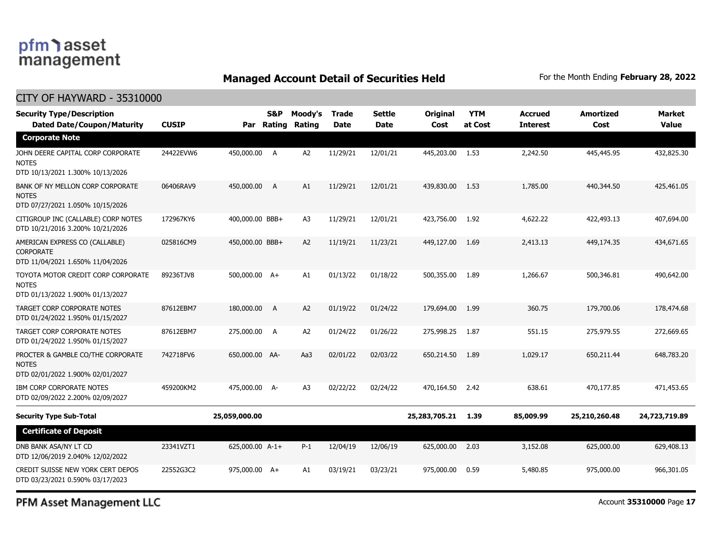### pfm asset management

#### **Managed Account Detail of Securities Held** For the Month Ending February 28, 2022

#### CITY OF HAYWARD - 35310000 **Dated Date/Coupon/Maturity CUSIP Rating Rating Date Date Cost at Cost Interest Cost Value Security Type/Description S&P Moody's Trade Settle Original YTM Accrued Amortized Market Par Corporate Note** JOHN DEERE CAPITAL CORP CORPORATE NOTES DTD 10/13/2021 1.300% 10/13/2026 24422EVW6 450,000.00 A A2 11/29/21 12/01/21 445,203.00 1.53 2,242.50 445,445.95 432,825.30 BANK OF NY MELLON CORP CORPORATE NOTES DTD 07/27/2021 1.050% 10/15/2026 06406RAV9 450,000.00 A A1 11/29/21 12/01/21 439,830.00 1.53 1,785.00 440,344.50 425,461.05 CITIGROUP INC (CALLABLE) CORP NOTES DTD 10/21/2016 3.200% 10/21/2026 172967KY6 400,000.00 BBB+ A3 11/29/21 12/01/21 423,756.00 1.92 4,622.22 422,493.13 407,694.00 AMERICAN EXPRESS CO (CALLABLE) CORPORATE DTD 11/04/2021 1.650% 11/04/2026 025816CM9 450,000.00 BBB+ A2 11/19/21 11/23/21 449,127.00 1.69 2,413.13 449,174.35 434,671.65 TOYOTA MOTOR CREDIT CORP CORPORATE NOTES DTD 01/13/2022 1.900% 01/13/2027 89236TJV8 500,000.00 A+ A1 01/13/22 01/18/22 500,355.00 1.89 1,266.67 500,346.81 490,642.00 TARGET CORP CORPORATE NOTES DTD 01/24/2022 1.950% 01/15/2027 87612EBM7 180,000.00 A A2 01/19/22 01/24/22 179,694.00 1.99 360.75 179,700.06 178,474.68 TARGET CORP CORPORATE NOTES DTD 01/24/2022 1.950% 01/15/2027 87612EBM7 275,000.00 A A2 01/24/22 01/26/22 275,998.25 1.87 551.15 275,979.55 272,669.65 PROCTER & GAMBLE CO/THE CORPORATE NOTES DTD 02/01/2022 1.900% 02/01/2027 742718FV6 650,000.00 AA- Aa3 02/01/22 02/03/22 650,214.50 1.89 1,029.17 650,211.44 648,783.20 IBM CORP CORPORATE NOTES DTD 02/09/2022 2.200% 02/09/2027 459200KM2 475,000.00 A- A3 02/22/22 02/24/22 470,164.50 2.42 638.61 470,177.85 471,453.65 **Security Type Sub-Total 25,059,000.00 25,283,705.21 1.39 85,009.99 25,210,260.48 24,723,719.89 Certificate of Deposit** DNB BANK ASA/NY LT CD DTD 12/06/2019 2.040% 12/02/2022 23341VZT1 625,000.00 A-1+ P-1 12/04/19 12/06/19 625,000.00 2.03 3,152.08 625,000.00 629,408.13 CREDIT SUISSE NEW YORK CERT DEPOS DTD 03/23/2021 0.590% 03/17/2023 22552G3C2 975,000.00 A+ A1 03/19/21 03/23/21 975,000.00 0.59 5,480.85 975,000.00 966,301.05

PFM Asset Management LLC

Account **35310000** Page **17**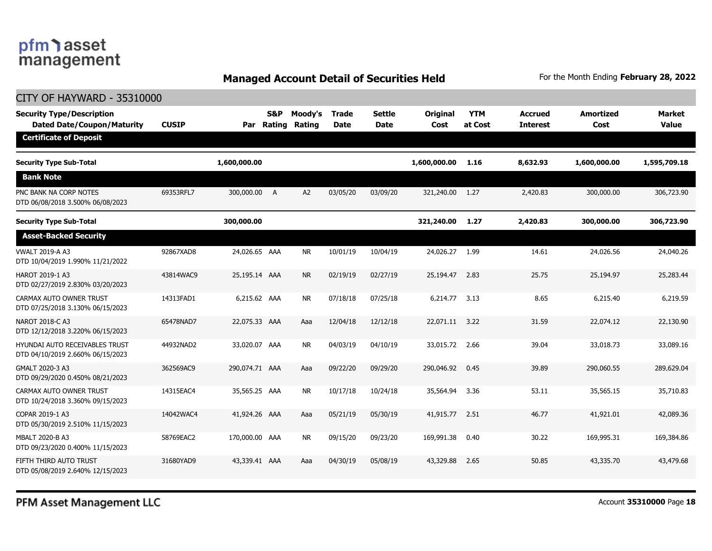### **Managed Account Detail of Securities Held** For the Month Ending February 28, 2022

| <b>CITY OF HAYWARD - 35310000</b>                                         |              |                |               |                   |                             |                       |                  |                       |                                   |                          |                               |
|---------------------------------------------------------------------------|--------------|----------------|---------------|-------------------|-----------------------------|-----------------------|------------------|-----------------------|-----------------------------------|--------------------------|-------------------------------|
| <b>Security Type/Description</b><br><b>Dated Date/Coupon/Maturity</b>     | <b>CUSIP</b> | Par            | S&P<br>Rating | Moody's<br>Rating | <b>Trade</b><br><b>Date</b> | <b>Settle</b><br>Date | Original<br>Cost | <b>YTM</b><br>at Cost | <b>Accrued</b><br><b>Interest</b> | <b>Amortized</b><br>Cost | <b>Market</b><br><b>Value</b> |
| <b>Certificate of Deposit</b>                                             |              |                |               |                   |                             |                       |                  |                       |                                   |                          |                               |
| <b>Security Type Sub-Total</b>                                            |              | 1,600,000.00   |               |                   |                             |                       | 1,600,000.00     | 1.16                  | 8,632.93                          | 1,600,000.00             | 1,595,709.18                  |
| <b>Bank Note</b>                                                          |              |                |               |                   |                             |                       |                  |                       |                                   |                          |                               |
| PNC BANK NA CORP NOTES<br>DTD 06/08/2018 3.500% 06/08/2023                | 69353RFL7    | 300,000.00 A   |               | A <sub>2</sub>    | 03/05/20                    | 03/09/20              | 321,240.00       | 1.27                  | 2,420.83                          | 300,000.00               | 306,723.90                    |
| <b>Security Type Sub-Total</b>                                            |              | 300,000.00     |               |                   |                             |                       | 321,240.00       | 1.27                  | 2,420.83                          | 300,000.00               | 306,723.90                    |
| <b>Asset-Backed Security</b>                                              |              |                |               |                   |                             |                       |                  |                       |                                   |                          |                               |
| <b>VWALT 2019-A A3</b><br>DTD 10/04/2019 1.990% 11/21/2022                | 92867XAD8    | 24,026.65 AAA  |               | <b>NR</b>         | 10/01/19                    | 10/04/19              | 24,026.27        | 1.99                  | 14.61                             | 24,026.56                | 24,040,26                     |
| HAROT 2019-1 A3<br>DTD 02/27/2019 2.830% 03/20/2023                       | 43814WAC9    | 25,195.14 AAA  |               | <b>NR</b>         | 02/19/19                    | 02/27/19              | 25,194.47        | 2.83                  | 25.75                             | 25,194.97                | 25,283.44                     |
| CARMAX AUTO OWNER TRUST<br>DTD 07/25/2018 3.130% 06/15/2023               | 14313FAD1    | 6,215.62 AAA   |               | <b>NR</b>         | 07/18/18                    | 07/25/18              | 6,214.77         | 3.13                  | 8.65                              | 6,215.40                 | 6,219.59                      |
| NAROT 2018-C A3<br>DTD 12/12/2018 3.220% 06/15/2023                       | 65478NAD7    | 22,075.33 AAA  |               | Aaa               | 12/04/18                    | 12/12/18              | 22,071.11        | 3.22                  | 31.59                             | 22,074.12                | 22,130.90                     |
| <b>HYUNDAI AUTO RECEIVABLES TRUST</b><br>DTD 04/10/2019 2.660% 06/15/2023 | 44932NAD2    | 33,020.07 AAA  |               | <b>NR</b>         | 04/03/19                    | 04/10/19              | 33,015.72        | 2.66                  | 39.04                             | 33,018.73                | 33,089.16                     |
| GMALT 2020-3 A3<br>DTD 09/29/2020 0.450% 08/21/2023                       | 362569AC9    | 290,074.71 AAA |               | Aaa               | 09/22/20                    | 09/29/20              | 290,046.92       | 0.45                  | 39.89                             | 290,060.55               | 289,629.04                    |
| CARMAX AUTO OWNER TRUST<br>DTD 10/24/2018 3.360% 09/15/2023               | 14315EAC4    | 35,565.25 AAA  |               | <b>NR</b>         | 10/17/18                    | 10/24/18              | 35,564.94        | 3.36                  | 53.11                             | 35,565.15                | 35,710.83                     |
| COPAR 2019-1 A3<br>DTD 05/30/2019 2.510% 11/15/2023                       | 14042WAC4    | 41,924.26 AAA  |               | Aaa               | 05/21/19                    | 05/30/19              | 41,915.77        | 2.51                  | 46.77                             | 41,921.01                | 42,089.36                     |
| MBALT 2020-B A3<br>DTD 09/23/2020 0.400% 11/15/2023                       | 58769EAC2    | 170,000.00 AAA |               | <b>NR</b>         | 09/15/20                    | 09/23/20              | 169,991.38       | 0.40                  | 30.22                             | 169,995.31               | 169,384.86                    |
| FIFTH THIRD AUTO TRUST<br>DTD 05/08/2019 2.640% 12/15/2023                | 31680YAD9    | 43,339.41 AAA  |               | Aaa               | 04/30/19                    | 05/08/19              | 43,329.88        | 2.65                  | 50.85                             | 43,335.70                | 43,479.68                     |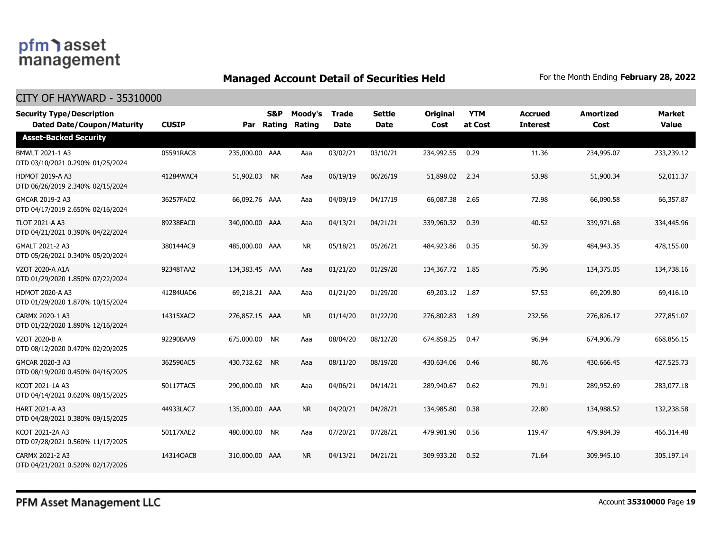### **Managed Account Detail of Securities Held** For the Month Ending February 28, 2022

| <b>Security Type/Description</b><br><b>Dated Date/Coupon/Maturity</b> | <b>CUSIP</b> |                | S&P<br>Par Rating | Moody's<br><b>Rating</b> | <b>Trade</b><br><b>Date</b> | <b>Settle</b><br><b>Date</b> | <b>Original</b><br>Cost | <b>YTM</b><br>at Cost | <b>Accrued</b><br><b>Interest</b> | Amortized<br>Cost | <b>Market</b><br><b>Value</b> |
|-----------------------------------------------------------------------|--------------|----------------|-------------------|--------------------------|-----------------------------|------------------------------|-------------------------|-----------------------|-----------------------------------|-------------------|-------------------------------|
| <b>Asset-Backed Security</b>                                          |              |                |                   |                          |                             |                              |                         |                       |                                   |                   |                               |
| BMWLT 2021-1 A3<br>DTD 03/10/2021 0.290% 01/25/2024                   | 05591RAC8    | 235,000.00 AAA |                   | Aaa                      | 03/02/21                    | 03/10/21                     | 234,992.55              | 0.29                  | 11.36                             | 234,995.07        | 233,239.12                    |
| <b>HDMOT 2019-A A3</b><br>DTD 06/26/2019 2.340% 02/15/2024            | 41284WAC4    | 51,902.03 NR   |                   | Aaa                      | 06/19/19                    | 06/26/19                     | 51,898.02               | 2.34                  | 53.98                             | 51,900.34         | 52,011.37                     |
| GMCAR 2019-2 A3<br>DTD 04/17/2019 2.650% 02/16/2024                   | 36257FAD2    | 66,092.76 AAA  |                   | Aaa                      | 04/09/19                    | 04/17/19                     | 66,087.38               | 2.65                  | 72.98                             | 66,090.58         | 66,357.87                     |
| <b>TLOT 2021-A A3</b><br>DTD 04/21/2021 0.390% 04/22/2024             | 89238EAC0    | 340,000.00 AAA |                   | Aaa                      | 04/13/21                    | 04/21/21                     | 339,960.32              | 0.39                  | 40.52                             | 339,971.68        | 334,445.96                    |
| GMALT 2021-2 A3<br>DTD 05/26/2021 0.340% 05/20/2024                   | 380144AC9    | 485,000.00 AAA |                   | <b>NR</b>                | 05/18/21                    | 05/26/21                     | 484,923.86              | 0.35                  | 50.39                             | 484,943.35        | 478,155.00                    |
| <b>VZOT 2020-A A1A</b><br>DTD 01/29/2020 1.850% 07/22/2024            | 92348TAA2    | 134,383.45 AAA |                   | Aaa                      | 01/21/20                    | 01/29/20                     | 134, 367, 72 1.85       |                       | 75.96                             | 134,375.05        | 134,738.16                    |
| <b>HDMOT 2020-A A3</b><br>DTD 01/29/2020 1.870% 10/15/2024            | 41284UAD6    | 69,218.21 AAA  |                   | Aaa                      | 01/21/20                    | 01/29/20                     | 69,203.12               | 1.87                  | 57.53                             | 69,209.80         | 69,416.10                     |
| CARMX 2020-1 A3<br>DTD 01/22/2020 1.890% 12/16/2024                   | 14315XAC2    | 276,857.15 AAA |                   | <b>NR</b>                | 01/14/20                    | 01/22/20                     | 276,802.83              | 1.89                  | 232.56                            | 276,826.17        | 277,851.07                    |
| VZOT 2020-B A<br>DTD 08/12/2020 0.470% 02/20/2025                     | 92290BAA9    | 675,000.00 NR  |                   | Aaa                      | 08/04/20                    | 08/12/20                     | 674,858.25              | 0.47                  | 96.94                             | 674,906.79        | 668,856.15                    |
| GMCAR 2020-3 A3<br>DTD 08/19/2020 0.450% 04/16/2025                   | 362590AC5    | 430,732.62 NR  |                   | Aaa                      | 08/11/20                    | 08/19/20                     | 430,634.06              | 0.46                  | 80.76                             | 430,666.45        | 427,525.73                    |
| KCOT 2021-1A A3<br>DTD 04/14/2021 0.620% 08/15/2025                   | 50117TAC5    | 290,000.00 NR  |                   | Aaa                      | 04/06/21                    | 04/14/21                     | 289,940.67              | 0.62                  | 79.91                             | 289,952.69        | 283,077.18                    |
| HART 2021-A A3<br>DTD 04/28/2021 0.380% 09/15/2025                    | 44933LAC7    | 135,000.00 AAA |                   | <b>NR</b>                | 04/20/21                    | 04/28/21                     | 134,985.80              | 0.38                  | 22.80                             | 134,988.52        | 132,238.58                    |
| KCOT 2021-2A A3<br>DTD 07/28/2021 0.560% 11/17/2025                   | 50117XAE2    | 480,000.00 NR  |                   | Aaa                      | 07/20/21                    | 07/28/21                     | 479,981.90              | 0.56                  | 119.47                            | 479,984.39        | 466,314.48                    |
| CARMX 2021-2 A3<br>DTD 04/21/2021 0.520% 02/17/2026                   | 14314QAC8    | 310,000.00 AAA |                   | <b>NR</b>                | 04/13/21                    | 04/21/21                     | 309,933.20              | 0.52                  | 71.64                             | 309,945.10        | 305,197.14                    |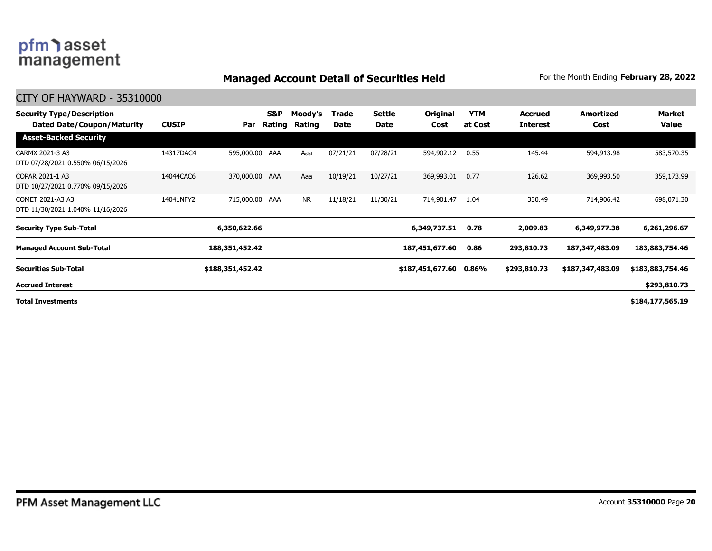### **Managed Account Detail of Securities Held** For the Month Ending February 28, 2022

| <b>Security Type/Description</b><br>Dated Date/Coupon/Maturity | <b>CUSIP</b> | Par              | <b>S&amp;P</b><br>Rating | Moody's<br>Rating | Trade<br>Date | <b>Settle</b><br>Date | Original<br>Cost | <b>YTM</b><br>at Cost | <b>Accrued</b><br><b>Interest</b> | Amortized<br>Cost | Market<br>Value  |
|----------------------------------------------------------------|--------------|------------------|--------------------------|-------------------|---------------|-----------------------|------------------|-----------------------|-----------------------------------|-------------------|------------------|
| <b>Asset-Backed Security</b>                                   |              |                  |                          |                   |               |                       |                  |                       |                                   |                   |                  |
| CARMX 2021-3 A3<br>DTD 07/28/2021 0.550% 06/15/2026            | 14317DAC4    | 595,000.00 AAA   |                          | Aaa               | 07/21/21      | 07/28/21              | 594,902.12       | 0.55                  | 145.44                            | 594,913.98        | 583,570.35       |
| COPAR 2021-1 A3<br>DTD 10/27/2021 0.770% 09/15/2026            | 14044CAC6    | 370,000.00 AAA   |                          | Aaa               | 10/19/21      | 10/27/21              | 369,993.01       | 0.77                  | 126.62                            | 369,993.50        | 359,173.99       |
| COMET 2021-A3 A3<br>DTD 11/30/2021 1.040% 11/16/2026           | 14041NFY2    | 715,000.00 AAA   |                          | <b>NR</b>         | 11/18/21      | 11/30/21              | 714,901.47       | 1.04                  | 330.49                            | 714,906.42        | 698,071.30       |
| <b>Security Type Sub-Total</b>                                 |              | 6,350,622.66     |                          |                   |               |                       | 6,349,737.51     | 0.78                  | 2,009.83                          | 6,349,977.38      | 6,261,296.67     |
| <b>Managed Account Sub-Total</b>                               |              | 188,351,452.42   |                          |                   |               |                       | 187,451,677.60   | 0.86                  | 293,810.73                        | 187,347,483.09    | 183,883,754.46   |
| <b>Securities Sub-Total</b>                                    |              | \$188,351,452.42 |                          |                   |               |                       | \$187,451,677.60 | 0.86%                 | \$293,810.73                      | \$187,347,483.09  | \$183,883,754.46 |
| <b>Accrued Interest</b>                                        |              |                  |                          |                   |               |                       |                  |                       |                                   |                   | \$293,810.73     |
| <b>Total Investments</b>                                       |              |                  |                          |                   |               |                       |                  |                       |                                   |                   | \$184,177,565.19 |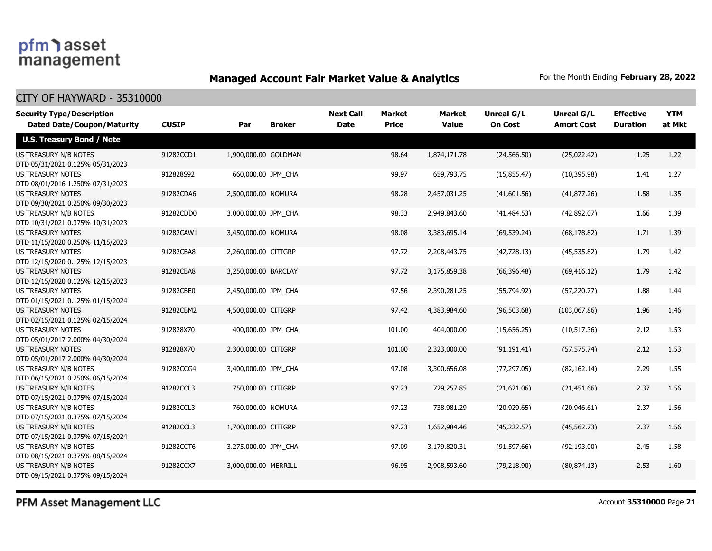### **Managed Account Fair Market Value & Analytics** For the Month Ending February 28, 2022

| <b>Security Type/Description</b><br><b>Dated Date/Coupon/Maturity</b> | <b>CUSIP</b> | Par                  | <b>Broker</b> | <b>Next Call</b><br><b>Date</b> | <b>Market</b><br><b>Price</b> | <b>Market</b><br><b>Value</b> | <b>Unreal G/L</b><br><b>On Cost</b> | Unreal G/L<br><b>Amort Cost</b> | <b>Effective</b><br><b>Duration</b> | <b>YTM</b><br>at Mkt |
|-----------------------------------------------------------------------|--------------|----------------------|---------------|---------------------------------|-------------------------------|-------------------------------|-------------------------------------|---------------------------------|-------------------------------------|----------------------|
| <b>U.S. Treasury Bond / Note</b>                                      |              |                      |               |                                 |                               |                               |                                     |                                 |                                     |                      |
| US TREASURY N/B NOTES<br>DTD 05/31/2021 0.125% 05/31/2023             | 91282CCD1    | 1,900,000.00 GOLDMAN |               |                                 | 98.64                         | 1,874,171.78                  | (24, 566.50)                        | (25,022.42)                     | 1.25                                | 1.22                 |
| <b>US TREASURY NOTES</b><br>DTD 08/01/2016 1.250% 07/31/2023          | 912828S92    | 660,000.00 JPM_CHA   |               |                                 | 99.97                         | 659,793.75                    | (15, 855.47)                        | (10, 395.98)                    | 1.41                                | 1.27                 |
| <b>US TREASURY NOTES</b><br>DTD 09/30/2021 0.250% 09/30/2023          | 91282CDA6    | 2,500,000.00 NOMURA  |               |                                 | 98.28                         | 2,457,031.25                  | (41,601.56)                         | (41, 877.26)                    | 1.58                                | 1.35                 |
| US TREASURY N/B NOTES<br>DTD 10/31/2021 0.375% 10/31/2023             | 91282CDD0    | 3,000,000.00 JPM_CHA |               |                                 | 98.33                         | 2,949,843.60                  | (41, 484.53)                        | (42,892.07)                     | 1.66                                | 1.39                 |
| <b>US TREASURY NOTES</b><br>DTD 11/15/2020 0.250% 11/15/2023          | 91282CAW1    | 3,450,000.00 NOMURA  |               |                                 | 98.08                         | 3,383,695.14                  | (69, 539.24)                        | (68, 178.82)                    | 1.71                                | 1.39                 |
| <b>US TREASURY NOTES</b><br>DTD 12/15/2020 0.125% 12/15/2023          | 91282CBA8    | 2,260,000.00 CITIGRP |               |                                 | 97.72                         | 2,208,443.75                  | (42,728.13)                         | (45, 535.82)                    | 1.79                                | 1.42                 |
| <b>US TREASURY NOTES</b><br>DTD 12/15/2020 0.125% 12/15/2023          | 91282CBA8    | 3,250,000.00 BARCLAY |               |                                 | 97.72                         | 3,175,859.38                  | (66, 396.48)                        | (69, 416.12)                    | 1.79                                | 1.42                 |
| <b>US TREASURY NOTES</b><br>DTD 01/15/2021 0.125% 01/15/2024          | 91282CBE0    | 2,450,000.00 JPM_CHA |               |                                 | 97.56                         | 2,390,281.25                  | (55,794.92)                         | (57, 220.77)                    | 1.88                                | 1.44                 |
| <b>US TREASURY NOTES</b><br>DTD 02/15/2021 0.125% 02/15/2024          | 91282CBM2    | 4,500,000.00 CITIGRP |               |                                 | 97.42                         | 4,383,984.60                  | (96, 503.68)                        | (103,067.86)                    | 1.96                                | 1.46                 |
| <b>US TREASURY NOTES</b><br>DTD 05/01/2017 2.000% 04/30/2024          | 912828X70    | 400,000.00 JPM CHA   |               |                                 | 101.00                        | 404,000.00                    | (15,656.25)                         | (10,517.36)                     | 2.12                                | 1.53                 |
| <b>US TREASURY NOTES</b><br>DTD 05/01/2017 2.000% 04/30/2024          | 912828X70    | 2,300,000.00 CITIGRP |               |                                 | 101.00                        | 2,323,000.00                  | (91, 191.41)                        | (57, 575.74)                    | 2.12                                | 1.53                 |
| US TREASURY N/B NOTES<br>DTD 06/15/2021 0.250% 06/15/2024             | 91282CCG4    | 3,400,000.00 JPM_CHA |               |                                 | 97.08                         | 3,300,656.08                  | (77, 297.05)                        | (82, 162.14)                    | 2.29                                | 1.55                 |
| US TREASURY N/B NOTES<br>DTD 07/15/2021 0.375% 07/15/2024             | 91282CCL3    | 750,000.00 CITIGRP   |               |                                 | 97.23                         | 729,257.85                    | (21,621.06)                         | (21, 451.66)                    | 2.37                                | 1.56                 |
| US TREASURY N/B NOTES<br>DTD 07/15/2021 0.375% 07/15/2024             | 91282CCL3    | 760,000.00 NOMURA    |               |                                 | 97.23                         | 738,981.29                    | (20, 929.65)                        | (20, 946.61)                    | 2.37                                | 1.56                 |
| US TREASURY N/B NOTES<br>DTD 07/15/2021 0.375% 07/15/2024             | 91282CCL3    | 1,700,000.00 CITIGRP |               |                                 | 97.23                         | 1,652,984.46                  | (45, 222.57)                        | (45, 562.73)                    | 2.37                                | 1.56                 |
| US TREASURY N/B NOTES<br>DTD 08/15/2021 0.375% 08/15/2024             | 91282CCT6    | 3,275,000.00 JPM_CHA |               |                                 | 97.09                         | 3,179,820.31                  | (91, 597.66)                        | (92, 193.00)                    | 2.45                                | 1.58                 |
| US TREASURY N/B NOTES<br>DTD 09/15/2021 0.375% 09/15/2024             | 91282CCX7    | 3,000,000.00 MERRILL |               |                                 | 96.95                         | 2,908,593.60                  | (79, 218.90)                        | (80, 874.13)                    | 2.53                                | 1.60                 |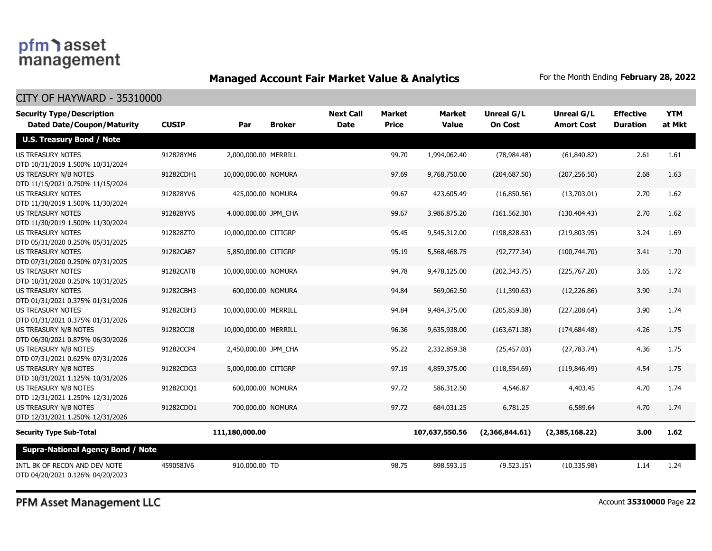### **Managed Account Fair Market Value & Analytics** For the Month Ending February 28, 2022

CITY OF HAYWARD - 35310000

| <b>Security Type/Description</b><br><b>Dated Date/Coupon/Maturity</b> | <b>CUSIP</b> | Par                   | <b>Broker</b> | <b>Next Call</b><br><b>Date</b> | <b>Market</b><br><b>Price</b> | <b>Market</b><br><b>Value</b> | <b>Unreal G/L</b><br><b>On Cost</b> | <b>Unreal G/L</b><br><b>Amort Cost</b> | <b>Effective</b><br><b>Duration</b> | <b>YTM</b><br>at Mkt |
|-----------------------------------------------------------------------|--------------|-----------------------|---------------|---------------------------------|-------------------------------|-------------------------------|-------------------------------------|----------------------------------------|-------------------------------------|----------------------|
| <b>U.S. Treasury Bond / Note</b>                                      |              |                       |               |                                 |                               |                               |                                     |                                        |                                     |                      |
| <b>US TREASURY NOTES</b><br>DTD 10/31/2019 1.500% 10/31/2024          | 912828YM6    | 2,000,000.00 MERRILL  |               |                                 | 99.70                         | 1,994,062.40                  | (78, 984.48)                        | (61, 840.82)                           | 2.61                                | 1.61                 |
| US TREASURY N/B NOTES<br>DTD 11/15/2021 0.750% 11/15/2024             | 91282CDH1    | 10,000,000.00 NOMURA  |               |                                 | 97.69                         | 9,768,750.00                  | (204, 687.50)                       | (207, 256.50)                          | 2.68                                | 1.63                 |
| <b>US TREASURY NOTES</b><br>DTD 11/30/2019 1.500% 11/30/2024          | 912828YV6    | 425,000.00 NOMURA     |               |                                 | 99.67                         | 423,605.49                    | (16,850.56)                         | (13,703.01)                            | 2.70                                | 1.62                 |
| <b>US TREASURY NOTES</b><br>DTD 11/30/2019 1.500% 11/30/2024          | 912828YV6    | 4,000,000.00 JPM CHA  |               |                                 | 99.67                         | 3,986,875.20                  | (161, 562.30)                       | (130, 404.43)                          | 2.70                                | 1.62                 |
| US TREASURY NOTES<br>DTD 05/31/2020 0.250% 05/31/2025                 | 912828ZT0    | 10,000,000.00 CITIGRP |               |                                 | 95.45                         | 9,545,312.00                  | (198, 828.63)                       | (219,803.95)                           | 3.24                                | 1.69                 |
| <b>US TREASURY NOTES</b><br>DTD 07/31/2020 0.250% 07/31/2025          | 91282CAB7    | 5,850,000.00 CITIGRP  |               |                                 | 95.19                         | 5,568,468.75                  | (92, 777.34)                        | (100, 744.70)                          | 3.41                                | 1.70                 |
| <b>US TREASURY NOTES</b><br>DTD 10/31/2020 0.250% 10/31/2025          | 91282CAT8    | 10,000,000.00 NOMURA  |               |                                 | 94.78                         | 9,478,125.00                  | (202, 343.75)                       | (225,767.20)                           | 3.65                                | 1.72                 |
| <b>US TREASURY NOTES</b><br>DTD 01/31/2021 0.375% 01/31/2026          | 91282CBH3    | 600,000.00 NOMURA     |               |                                 | 94.84                         | 569,062.50                    | (11,390.63)                         | (12, 226.86)                           | 3.90                                | 1.74                 |
| <b>US TREASURY NOTES</b><br>DTD 01/31/2021 0.375% 01/31/2026          | 91282CBH3    | 10,000,000.00 MERRILL |               |                                 | 94.84                         | 9,484,375.00                  | (205, 859.38)                       | (227, 208.64)                          | 3.90                                | 1.74                 |
| US TREASURY N/B NOTES<br>DTD 06/30/2021 0.875% 06/30/2026             | 91282CCJ8    | 10,000,000.00 MERRILL |               |                                 | 96.36                         | 9,635,938,00                  | (163, 671.38)                       | (174, 684.48)                          | 4.26                                | 1.75                 |
| US TREASURY N/B NOTES<br>DTD 07/31/2021 0.625% 07/31/2026             | 91282CCP4    | 2,450,000.00 JPM CHA  |               |                                 | 95.22                         | 2,332,859.38                  | (25, 457.03)                        | (27, 783.74)                           | 4.36                                | 1.75                 |
| US TREASURY N/B NOTES<br>DTD 10/31/2021 1.125% 10/31/2026             | 91282CDG3    | 5,000,000.00 CITIGRP  |               |                                 | 97.19                         | 4,859,375.00                  | (118, 554.69)                       | (119, 846.49)                          | 4.54                                | 1.75                 |
| US TREASURY N/B NOTES<br>DTD 12/31/2021 1.250% 12/31/2026             | 91282CDQ1    | 600,000.00 NOMURA     |               |                                 | 97.72                         | 586,312.50                    | 4,546.87                            | 4,403.45                               | 4.70                                | 1.74                 |
| US TREASURY N/B NOTES<br>DTD 12/31/2021 1.250% 12/31/2026             | 91282CDQ1    | 700,000.00 NOMURA     |               |                                 | 97.72                         | 684,031.25                    | 6,781.25                            | 6,589.64                               | 4.70                                | 1.74                 |
| <b>Security Type Sub-Total</b>                                        |              | 111,180,000.00        |               |                                 |                               | 107,637,550.56                | (2,366,844.61)                      | (2,385,168.22)                         | 3.00                                | 1.62                 |
| <b>Supra-National Agency Bond / Note</b>                              |              |                       |               |                                 |                               |                               |                                     |                                        |                                     |                      |
| INTL BK OF RECON AND DEV NOTE<br>DTD 04/20/2021 0.126% 04/20/2023     | 459058JV6    | 910,000.00 TD         |               |                                 | 98.75                         | 898,593.15                    | (9,523.15)                          | (10, 335.98)                           | 1.14                                | 1.24                 |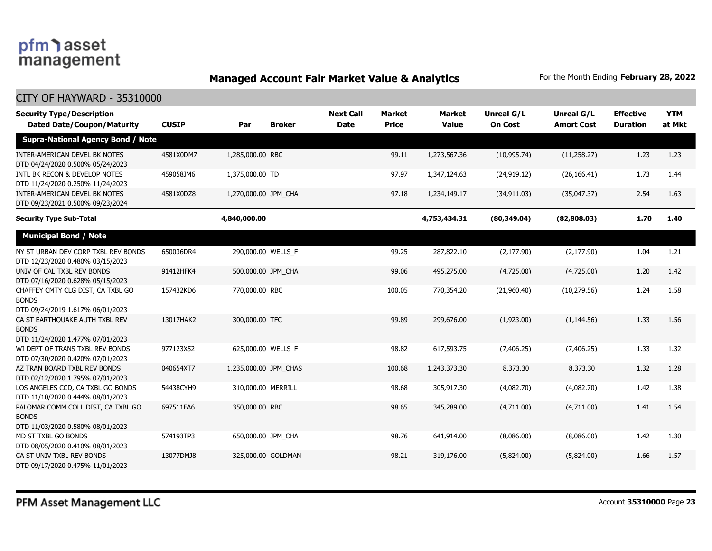### **Managed Account Fair Market Value & Analytics** For the Month Ending February 28, 2022

| <b>Security Type/Description</b><br><b>Dated Date/Coupon/Maturity</b>                  | <b>CUSIP</b> | Par                   | <b>Broker</b>      | <b>Next Call</b><br><b>Date</b> | <b>Market</b><br><b>Price</b> | <b>Market</b><br><b>Value</b> | <b>Unreal G/L</b><br><b>On Cost</b> | Unreal G/L<br><b>Amort Cost</b> | <b>Effective</b><br><b>Duration</b> | <b>YTM</b><br>at Mkt |
|----------------------------------------------------------------------------------------|--------------|-----------------------|--------------------|---------------------------------|-------------------------------|-------------------------------|-------------------------------------|---------------------------------|-------------------------------------|----------------------|
| <b>Supra-National Agency Bond / Note</b>                                               |              |                       |                    |                                 |                               |                               |                                     |                                 |                                     |                      |
| INTER-AMERICAN DEVEL BK NOTES<br>DTD 04/24/2020 0.500% 05/24/2023                      | 4581X0DM7    | 1,285,000.00 RBC      |                    |                                 | 99.11                         | 1,273,567.36                  | (10, 995.74)                        | (11,258.27)                     | 1.23                                | 1.23                 |
| INTL BK RECON & DEVELOP NOTES<br>DTD 11/24/2020 0.250% 11/24/2023                      | 459058JM6    | 1,375,000.00 TD       |                    |                                 | 97.97                         | 1,347,124.63                  | (24, 919.12)                        | (26, 166.41)                    | 1.73                                | 1.44                 |
| INTER-AMERICAN DEVEL BK NOTES<br>DTD 09/23/2021 0.500% 09/23/2024                      | 4581X0DZ8    | 1,270,000.00 JPM CHA  |                    |                                 | 97.18                         | 1,234,149.17                  | (34, 911.03)                        | (35,047.37)                     | 2.54                                | 1.63                 |
| <b>Security Type Sub-Total</b>                                                         |              | 4,840,000.00          |                    |                                 |                               | 4,753,434.31                  | (80, 349.04)                        | (82,808.03)                     | 1.70                                | 1.40                 |
| <b>Municipal Bond / Note</b>                                                           |              |                       |                    |                                 |                               |                               |                                     |                                 |                                     |                      |
| NY ST URBAN DEV CORP TXBL REV BONDS<br>DTD 12/23/2020 0.480% 03/15/2023                | 650036DR4    | 290,000.00 WELLS_F    |                    |                                 | 99.25                         | 287,822.10                    | (2, 177.90)                         | (2, 177.90)                     | 1.04                                | 1.21                 |
| UNIV OF CAL TXBL REV BONDS<br>DTD 07/16/2020 0.628% 05/15/2023                         | 91412HFK4    | 500,000.00 JPM CHA    |                    |                                 | 99.06                         | 495,275.00                    | (4,725.00)                          | (4,725.00)                      | 1.20                                | 1.42                 |
| CHAFFEY CMTY CLG DIST, CA TXBL GO<br><b>BONDS</b><br>DTD 09/24/2019 1.617% 06/01/2023  | 157432KD6    | 770,000.00 RBC        |                    |                                 | 100.05                        | 770,354.20                    | (21,960.40)                         | (10, 279.56)                    | 1.24                                | 1.58                 |
| CA ST EARTHQUAKE AUTH TXBL REV<br><b>BONDS</b><br>DTD 11/24/2020 1.477% 07/01/2023     | 13017HAK2    | 300,000.00 TFC        |                    |                                 | 99.89                         | 299,676.00                    | (1,923.00)                          | (1, 144.56)                     | 1.33                                | 1.56                 |
| WI DEPT OF TRANS TXBL REV BONDS<br>DTD 07/30/2020 0.420% 07/01/2023                    | 977123X52    | 625,000.00 WELLS_F    |                    |                                 | 98.82                         | 617,593.75                    | (7, 406.25)                         | (7, 406.25)                     | 1.33                                | 1.32                 |
| AZ TRAN BOARD TXBL REV BONDS<br>DTD 02/12/2020 1.795% 07/01/2023                       | 040654XT7    | 1,235,000.00 JPM_CHAS |                    |                                 | 100.68                        | 1,243,373.30                  | 8,373.30                            | 8,373.30                        | 1.32                                | 1.28                 |
| LOS ANGELES CCD, CA TXBL GO BONDS<br>DTD 11/10/2020 0.444% 08/01/2023                  | 54438CYH9    | 310,000.00 MERRILL    |                    |                                 | 98.68                         | 305,917.30                    | (4,082.70)                          | (4,082.70)                      | 1.42                                | 1.38                 |
| PALOMAR COMM COLL DIST, CA TXBL GO<br><b>BONDS</b><br>DTD 11/03/2020 0.580% 08/01/2023 | 697511FA6    | 350,000.00 RBC        |                    |                                 | 98.65                         | 345,289.00                    | (4,711.00)                          | (4,711.00)                      | 1.41                                | 1.54                 |
| MD ST TXBL GO BONDS<br>DTD 08/05/2020 0.410% 08/01/2023                                | 574193TP3    | 650,000.00 JPM_CHA    |                    |                                 | 98.76                         | 641,914.00                    | (8,086.00)                          | (8,086.00)                      | 1.42                                | 1.30                 |
| CA ST UNIV TXBL REV BONDS<br>DTD 09/17/2020 0.475% 11/01/2023                          | 13077DMJ8    |                       | 325,000.00 GOLDMAN |                                 | 98.21                         | 319,176.00                    | (5,824.00)                          | (5,824.00)                      | 1.66                                | 1.57                 |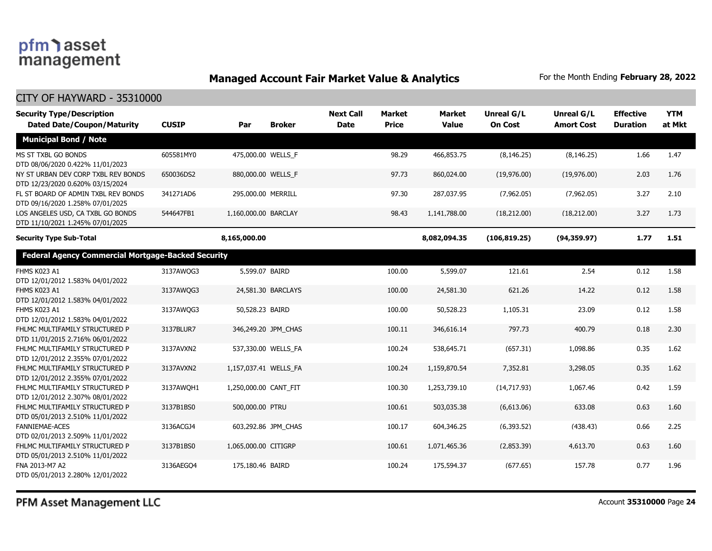### **Managed Account Fair Market Value & Analytics** For the Month Ending February 28, 2022

| <b>Security Type/Description</b><br><b>Dated Date/Coupon/Maturity</b>   | <b>CUSIP</b> | Par                   | <b>Broker</b>       | <b>Next Call</b><br><b>Date</b> | <b>Market</b><br><b>Price</b> | <b>Market</b><br><b>Value</b> | <b>Unreal G/L</b><br><b>On Cost</b> | Unreal G/L<br><b>Amort Cost</b> | <b>Effective</b><br><b>Duration</b> | <b>YTM</b><br>at Mkt |
|-------------------------------------------------------------------------|--------------|-----------------------|---------------------|---------------------------------|-------------------------------|-------------------------------|-------------------------------------|---------------------------------|-------------------------------------|----------------------|
| <b>Municipal Bond / Note</b>                                            |              |                       |                     |                                 |                               |                               |                                     |                                 |                                     |                      |
| MS ST TXBL GO BONDS<br>DTD 08/06/2020 0.422% 11/01/2023                 | 605581MY0    | 475,000.00 WELLS F    |                     |                                 | 98.29                         | 466,853.75                    | (8, 146.25)                         | (8, 146.25)                     | 1.66                                | 1.47                 |
| NY ST URBAN DEV CORP TXBL REV BONDS<br>DTD 12/23/2020 0.620% 03/15/2024 | 650036DS2    | 880,000.00 WELLS F    |                     |                                 | 97.73                         | 860,024.00                    | (19,976.00)                         | (19,976.00)                     | 2.03                                | 1.76                 |
| FL ST BOARD OF ADMIN TXBL REV BONDS<br>DTD 09/16/2020 1.258% 07/01/2025 | 341271AD6    | 295,000.00 MERRILL    |                     |                                 | 97.30                         | 287,037.95                    | (7,962.05)                          | (7,962.05)                      | 3.27                                | 2.10                 |
| LOS ANGELES USD, CA TXBL GO BONDS<br>DTD 11/10/2021 1.245% 07/01/2025   | 544647FB1    | 1,160,000.00 BARCLAY  |                     |                                 | 98.43                         | 1,141,788.00                  | (18, 212.00)                        | (18, 212.00)                    | 3.27                                | 1.73                 |
| <b>Security Type Sub-Total</b>                                          |              | 8,165,000.00          |                     |                                 |                               | 8,082,094.35                  | (106, 819.25)                       | (94, 359.97)                    | 1.77                                | 1.51                 |
| <b>Federal Agency Commercial Mortgage-Backed Security</b>               |              |                       |                     |                                 |                               |                               |                                     |                                 |                                     |                      |
| FHMS K023 A1<br>DTD 12/01/2012 1.583% 04/01/2022                        | 3137AWQG3    | 5,599.07 BAIRD        |                     |                                 | 100.00                        | 5,599.07                      | 121.61                              | 2.54                            | 0.12                                | 1.58                 |
| FHMS K023 A1<br>DTD 12/01/2012 1.583% 04/01/2022                        | 3137AWQG3    |                       | 24,581.30 BARCLAYS  |                                 | 100.00                        | 24,581.30                     | 621.26                              | 14.22                           | 0.12                                | 1.58                 |
| FHMS K023 A1<br>DTD 12/01/2012 1.583% 04/01/2022                        | 3137AWQG3    | 50,528.23 BAIRD       |                     |                                 | 100.00                        | 50,528.23                     | 1,105.31                            | 23.09                           | 0.12                                | 1.58                 |
| FHLMC MULTIFAMILY STRUCTURED P<br>DTD 11/01/2015 2.716% 06/01/2022      | 3137BLUR7    |                       | 346,249.20 JPM CHAS |                                 | 100.11                        | 346,616.14                    | 797.73                              | 400.79                          | 0.18                                | 2.30                 |
| FHLMC MULTIFAMILY STRUCTURED P<br>DTD 12/01/2012 2.355% 07/01/2022      | 3137AVXN2    |                       | 537,330.00 WELLS FA |                                 | 100.24                        | 538,645.71                    | (657.31)                            | 1,098.86                        | 0.35                                | 1.62                 |
| FHLMC MULTIFAMILY STRUCTURED P<br>DTD 12/01/2012 2.355% 07/01/2022      | 3137AVXN2    | 1,157,037.41 WELLS FA |                     |                                 | 100.24                        | 1,159,870.54                  | 7,352.81                            | 3,298.05                        | 0.35                                | 1.62                 |
| FHLMC MULTIFAMILY STRUCTURED P<br>DTD 12/01/2012 2.307% 08/01/2022      | 3137AWQH1    | 1,250,000.00 CANT FIT |                     |                                 | 100.30                        | 1,253,739.10                  | (14,717.93)                         | 1,067.46                        | 0.42                                | 1.59                 |
| FHLMC MULTIFAMILY STRUCTURED P<br>DTD 05/01/2013 2.510% 11/01/2022      | 3137B1BS0    | 500,000.00 PTRU       |                     |                                 | 100.61                        | 503,035.38                    | (6,613.06)                          | 633.08                          | 0.63                                | 1.60                 |
| <b>FANNIEMAE-ACES</b><br>DTD 02/01/2013 2.509% 11/01/2022               | 3136ACGJ4    |                       | 603,292.86 JPM CHAS |                                 | 100.17                        | 604,346.25                    | (6,393.52)                          | (438.43)                        | 0.66                                | 2.25                 |
| FHLMC MULTIFAMILY STRUCTURED P<br>DTD 05/01/2013 2.510% 11/01/2022      | 3137B1BS0    | 1,065,000.00 CITIGRP  |                     |                                 | 100.61                        | 1,071,465.36                  | (2,853.39)                          | 4,613.70                        | 0.63                                | 1.60                 |
| FNA 2013-M7 A2<br>DTD 05/01/2013 2.280% 12/01/2022                      | 3136AEGO4    | 175,180.46 BAIRD      |                     |                                 | 100.24                        | 175,594.37                    | (677.65)                            | 157.78                          | 0.77                                | 1.96                 |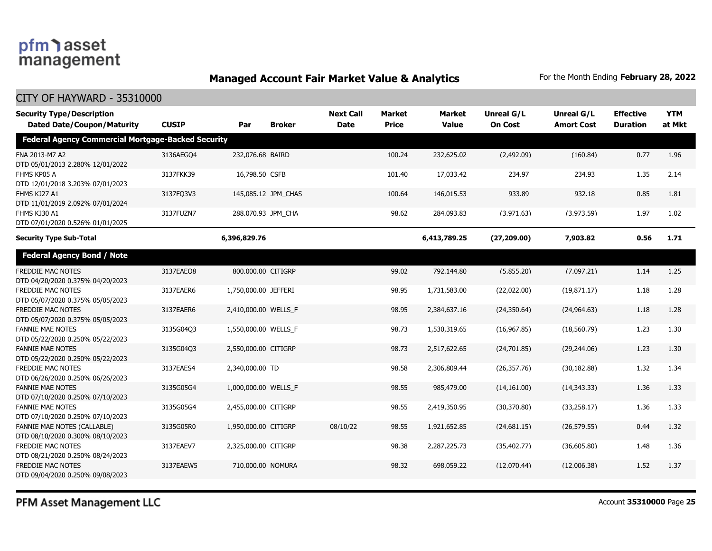### **Managed Account Fair Market Value & Analytics** For the Month Ending February 28, 2022

| <b>Security Type/Description</b><br><b>Dated Date/Coupon/Maturity</b>  | <b>CUSIP</b> | Par                  | <b>Broker</b>       | <b>Next Call</b><br><b>Date</b> | Market<br><b>Price</b> | <b>Market</b><br><b>Value</b> | Unreal G/L<br><b>On Cost</b> | Unreal G/L<br><b>Amort Cost</b> | <b>Effective</b><br><b>Duration</b> | <b>YTM</b><br>at Mkt |
|------------------------------------------------------------------------|--------------|----------------------|---------------------|---------------------------------|------------------------|-------------------------------|------------------------------|---------------------------------|-------------------------------------|----------------------|
| <b>Federal Agency Commercial Mortgage-Backed Security</b>              |              |                      |                     |                                 |                        |                               |                              |                                 |                                     |                      |
| FNA 2013-M7 A2<br>DTD 05/01/2013 2.280% 12/01/2022                     | 3136AEGO4    | 232,076.68 BAIRD     |                     |                                 | 100.24                 | 232,625.02                    | (2,492.09)                   | (160.84)                        | 0.77                                | 1.96                 |
| FHMS KP05 A<br>DTD 12/01/2018 3.203% 07/01/2023                        | 3137FKK39    | 16,798.50 CSFB       |                     |                                 | 101.40                 | 17,033.42                     | 234.97                       | 234.93                          | 1.35                                | 2.14                 |
| FHMS KJ27 A1<br>DTD 11/01/2019 2.092% 07/01/2024                       | 3137FO3V3    |                      | 145,085.12 JPM_CHAS |                                 | 100.64                 | 146,015.53                    | 933.89                       | 932.18                          | 0.85                                | 1.81                 |
| FHMS KJ30 A1<br>DTD 07/01/2020 0.526% 01/01/2025                       | 3137FUZN7    |                      | 288,070.93 JPM CHA  |                                 | 98.62                  | 284,093.83                    | (3,971.63)                   | (3,973.59)                      | 1.97                                | 1.02                 |
| <b>Security Type Sub-Total</b>                                         |              | 6,396,829.76         |                     |                                 |                        | 6,413,789.25                  | (27, 209.00)                 | 7,903.82                        | 0.56                                | 1.71                 |
| <b>Federal Agency Bond / Note</b>                                      |              |                      |                     |                                 |                        |                               |                              |                                 |                                     |                      |
| <b>FREDDIE MAC NOTES</b><br>DTD 04/20/2020 0.375% 04/20/2023           | 3137EAEO8    | 800,000.00 CITIGRP   |                     |                                 | 99.02                  | 792,144.80                    | (5,855.20)                   | (7,097.21)                      | 1.14                                | 1.25                 |
| <b>FREDDIE MAC NOTES</b><br>DTD 05/07/2020 0.375% 05/05/2023           | 3137EAER6    | 1,750,000.00 JEFFERI |                     |                                 | 98.95                  | 1,731,583.00                  | (22,022.00)                  | (19,871.17)                     | 1.18                                | 1.28                 |
| <b>FREDDIE MAC NOTES</b><br>DTD 05/07/2020 0.375% 05/05/2023           | 3137EAER6    | 2,410,000.00 WELLS F |                     |                                 | 98.95                  | 2,384,637.16                  | (24,350.64)                  | (24, 964.63)                    | 1.18                                | 1.28                 |
| <b>FANNIE MAE NOTES</b><br>DTD 05/22/2020 0.250% 05/22/2023            | 3135G04Q3    | 1,550,000.00 WELLS F |                     |                                 | 98.73                  | 1,530,319.65                  | (16,967.85)                  | (18, 560.79)                    | 1.23                                | 1.30                 |
| <b>FANNIE MAE NOTES</b><br>DTD 05/22/2020 0.250% 05/22/2023            | 3135G04Q3    | 2,550,000.00 CITIGRP |                     |                                 | 98.73                  | 2,517,622.65                  | (24,701.85)                  | (29, 244.06)                    | 1.23                                | 1.30                 |
| FREDDIE MAC NOTES<br>DTD 06/26/2020 0.250% 06/26/2023                  | 3137EAES4    | 2,340,000.00 TD      |                     |                                 | 98.58                  | 2,306,809.44                  | (26, 357.76)                 | (30, 182.88)                    | 1.32                                | 1.34                 |
| <b>FANNIE MAE NOTES</b><br>DTD 07/10/2020 0.250% 07/10/2023            | 3135G05G4    | 1,000,000.00 WELLS_F |                     |                                 | 98.55                  | 985,479.00                    | (14, 161.00)                 | (14, 343.33)                    | 1.36                                | 1.33                 |
| <b>FANNIE MAE NOTES</b><br>DTD 07/10/2020 0.250% 07/10/2023            | 3135G05G4    | 2,455,000.00 CITIGRP |                     |                                 | 98.55                  | 2,419,350.95                  | (30,370.80)                  | (33, 258.17)                    | 1.36                                | 1.33                 |
| <b>FANNIE MAE NOTES (CALLABLE)</b><br>DTD 08/10/2020 0.300% 08/10/2023 | 3135G05R0    | 1,950,000.00 CITIGRP |                     | 08/10/22                        | 98.55                  | 1,921,652.85                  | (24,681.15)                  | (26, 579.55)                    | 0.44                                | 1.32                 |
| <b>FREDDIE MAC NOTES</b><br>DTD 08/21/2020 0.250% 08/24/2023           | 3137EAEV7    | 2,325,000.00 CITIGRP |                     |                                 | 98.38                  | 2,287,225.73                  | (35, 402.77)                 | (36,605.80)                     | 1.48                                | 1.36                 |
| FREDDIE MAC NOTES<br>DTD 09/04/2020 0.250% 09/08/2023                  | 3137EAEW5    | 710,000.00 NOMURA    |                     |                                 | 98.32                  | 698,059.22                    | (12,070.44)                  | (12,006.38)                     | 1.52                                | 1.37                 |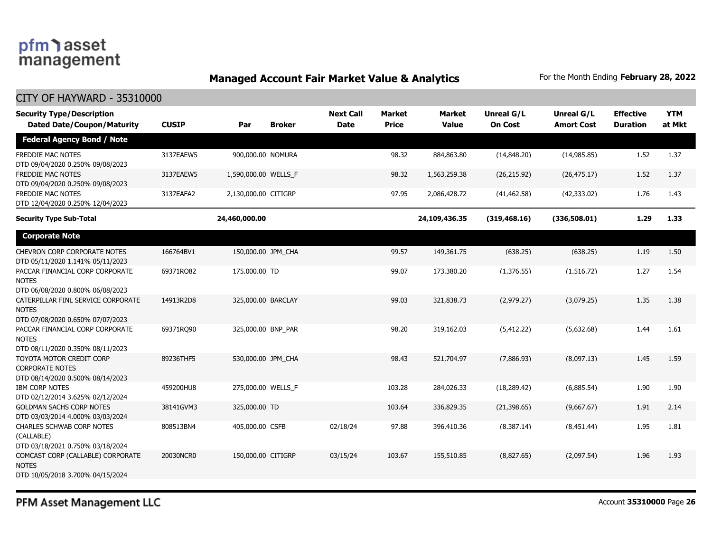### **Managed Account Fair Market Value & Analytics** For the Month Ending February 28, 2022

#### CITY OF HAYWARD - 35310000

| <b>Security Type/Description</b><br><b>Dated Date/Coupon/Maturity</b>                  | <b>CUSIP</b> | Par                  | <b>Broker</b> | <b>Next Call</b><br><b>Date</b> | <b>Market</b><br><b>Price</b> | <b>Market</b><br><b>Value</b> | <b>Unreal G/L</b><br><b>On Cost</b> | Unreal G/L<br><b>Amort Cost</b> | <b>Effective</b><br><b>Duration</b> | <b>YTM</b><br>at Mkt |
|----------------------------------------------------------------------------------------|--------------|----------------------|---------------|---------------------------------|-------------------------------|-------------------------------|-------------------------------------|---------------------------------|-------------------------------------|----------------------|
| <b>Federal Agency Bond / Note</b>                                                      |              |                      |               |                                 |                               |                               |                                     |                                 |                                     |                      |
| FREDDIE MAC NOTES<br>DTD 09/04/2020 0.250% 09/08/2023                                  | 3137EAEW5    | 900,000.00 NOMURA    |               |                                 | 98.32                         | 884,863.80                    | (14,848.20)                         | (14, 985.85)                    | 1.52                                | 1.37                 |
| FREDDIE MAC NOTES<br>DTD 09/04/2020 0.250% 09/08/2023                                  | 3137EAEW5    | 1,590,000.00 WELLS_F |               |                                 | 98.32                         | 1,563,259.38                  | (26, 215.92)                        | (26, 475.17)                    | 1.52                                | 1.37                 |
| FREDDIE MAC NOTES<br>DTD 12/04/2020 0.250% 12/04/2023                                  | 3137EAFA2    | 2,130,000.00 CITIGRP |               |                                 | 97.95                         | 2,086,428.72                  | (41, 462.58)                        | (42, 333.02)                    | 1.76                                | 1.43                 |
| <b>Security Type Sub-Total</b>                                                         |              | 24,460,000.00        |               |                                 |                               | 24,109,436.35                 | (319, 468.16)                       | (336,508.01)                    | 1.29                                | 1.33                 |
| <b>Corporate Note</b>                                                                  |              |                      |               |                                 |                               |                               |                                     |                                 |                                     |                      |
| <b>CHEVRON CORP CORPORATE NOTES</b><br>DTD 05/11/2020 1.141% 05/11/2023                | 166764BV1    | 150,000.00 JPM CHA   |               |                                 | 99.57                         | 149,361.75                    | (638.25)                            | (638.25)                        | 1.19                                | 1.50                 |
| PACCAR FINANCIAL CORP CORPORATE<br><b>NOTES</b><br>DTD 06/08/2020 0.800% 06/08/2023    | 69371RQ82    | 175,000.00 TD        |               |                                 | 99.07                         | 173,380.20                    | (1,376.55)                          | (1,516.72)                      | 1.27                                | 1.54                 |
| CATERPILLAR FINL SERVICE CORPORATE<br><b>NOTES</b><br>DTD 07/08/2020 0.650% 07/07/2023 | 14913R2D8    | 325,000.00 BARCLAY   |               |                                 | 99.03                         | 321,838.73                    | (2,979.27)                          | (3,079.25)                      | 1.35                                | 1.38                 |
| PACCAR FINANCIAL CORP CORPORATE<br><b>NOTES</b><br>DTD 08/11/2020 0.350% 08/11/2023    | 69371RQ90    | 325,000.00 BNP_PAR   |               |                                 | 98.20                         | 319,162.03                    | (5, 412.22)                         | (5,632.68)                      | 1.44                                | 1.61                 |
| TOYOTA MOTOR CREDIT CORP<br><b>CORPORATE NOTES</b><br>DTD 08/14/2020 0.500% 08/14/2023 | 89236THF5    | 530,000.00 JPM CHA   |               |                                 | 98.43                         | 521,704.97                    | (7,886.93)                          | (8,097.13)                      | 1.45                                | 1.59                 |
| <b>IBM CORP NOTES</b><br>DTD 02/12/2014 3.625% 02/12/2024                              | 459200HU8    | 275,000.00 WELLS_F   |               |                                 | 103.28                        | 284,026.33                    | (18, 289.42)                        | (6,885.54)                      | 1.90                                | 1.90                 |
| <b>GOLDMAN SACHS CORP NOTES</b><br>DTD 03/03/2014 4.000% 03/03/2024                    | 38141GVM3    | 325,000.00 TD        |               |                                 | 103.64                        | 336,829.35                    | (21, 398.65)                        | (9,667.67)                      | 1.91                                | 2.14                 |
| <b>CHARLES SCHWAB CORP NOTES</b><br>(CALLABLE)<br>DTD 03/18/2021 0.750% 03/18/2024     | 808513BN4    | 405,000.00 CSFB      |               | 02/18/24                        | 97.88                         | 396,410.36                    | (8,387.14)                          | (8,451.44)                      | 1.95                                | 1.81                 |
| COMCAST CORP (CALLABLE) CORPORATE<br><b>NOTES</b><br>DTD 10/05/2018 3.700% 04/15/2024  | 20030NCR0    | 150,000.00 CITIGRP   |               | 03/15/24                        | 103.67                        | 155,510.85                    | (8,827.65)                          | (2,097.54)                      | 1.96                                | 1.93                 |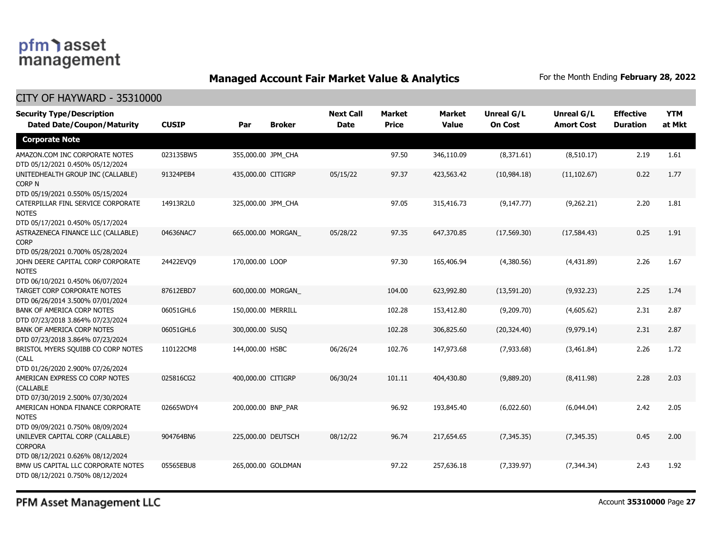### **Managed Account Fair Market Value & Analytics** For the Month Ending February 28, 2022

#### CITY OF HAYWARD - 35310000

| <b>Security Type/Description</b><br><b>Dated Date/Coupon/Maturity</b>                      | <b>CUSIP</b> | Par                | <b>Broker</b> | <b>Next Call</b><br><b>Date</b> | <b>Market</b><br><b>Price</b> | <b>Market</b><br><b>Value</b> | <b>Unreal G/L</b><br><b>On Cost</b> | <b>Unreal G/L</b><br><b>Amort Cost</b> | <b>Effective</b><br><b>Duration</b> | <b>YTM</b><br>at Mkt |
|--------------------------------------------------------------------------------------------|--------------|--------------------|---------------|---------------------------------|-------------------------------|-------------------------------|-------------------------------------|----------------------------------------|-------------------------------------|----------------------|
| <b>Corporate Note</b>                                                                      |              |                    |               |                                 |                               |                               |                                     |                                        |                                     |                      |
| AMAZON.COM INC CORPORATE NOTES<br>DTD 05/12/2021 0.450% 05/12/2024                         | 023135BW5    | 355,000.00 JPM_CHA |               |                                 | 97.50                         | 346,110.09                    | (8,371.61)                          | (8,510.17)                             | 2.19                                | 1.61                 |
| UNITEDHEALTH GROUP INC (CALLABLE)<br>CORP <sub>N</sub><br>DTD 05/19/2021 0.550% 05/15/2024 | 91324PEB4    | 435,000.00 CITIGRP |               | 05/15/22                        | 97.37                         | 423,563.42                    | (10,984.18)                         | (11, 102.67)                           | 0.22                                | 1.77                 |
| CATERPILLAR FINL SERVICE CORPORATE<br><b>NOTES</b><br>DTD 05/17/2021 0.450% 05/17/2024     | 14913R2L0    | 325,000.00 JPM CHA |               |                                 | 97.05                         | 315,416.73                    | (9, 147.77)                         | (9,262.21)                             | 2.20                                | 1.81                 |
| ASTRAZENECA FINANCE LLC (CALLABLE)<br><b>CORP</b><br>DTD 05/28/2021 0.700% 05/28/2024      | 04636NAC7    | 665,000.00 MORGAN  |               | 05/28/22                        | 97.35                         | 647,370.85                    | (17, 569.30)                        | (17,584.43)                            | 0.25                                | 1.91                 |
| JOHN DEERE CAPITAL CORP CORPORATE<br><b>NOTES</b><br>DTD 06/10/2021 0.450% 06/07/2024      | 24422EVO9    | 170,000.00 LOOP    |               |                                 | 97.30                         | 165,406.94                    | (4,380.56)                          | (4,431.89)                             | 2.26                                | 1.67                 |
| TARGET CORP CORPORATE NOTES<br>DTD 06/26/2014 3.500% 07/01/2024                            | 87612EBD7    | 600,000.00 MORGAN  |               |                                 | 104.00                        | 623,992.80                    | (13,591.20)                         | (9,932.23)                             | 2.25                                | 1.74                 |
| <b>BANK OF AMERICA CORP NOTES</b><br>DTD 07/23/2018 3.864% 07/23/2024                      | 06051GHL6    | 150,000.00 MERRILL |               |                                 | 102.28                        | 153,412.80                    | (9,209.70)                          | (4,605.62)                             | 2.31                                | 2.87                 |
| <b>BANK OF AMERICA CORP NOTES</b><br>DTD 07/23/2018 3.864% 07/23/2024                      | 06051GHL6    | 300,000.00 SUSQ    |               |                                 | 102.28                        | 306,825.60                    | (20, 324.40)                        | (9,979.14)                             | 2.31                                | 2.87                 |
| BRISTOL MYERS SQUIBB CO CORP NOTES<br>(CALL<br>DTD 01/26/2020 2.900% 07/26/2024            | 110122CM8    | 144,000.00 HSBC    |               | 06/26/24                        | 102.76                        | 147,973.68                    | (7,933.68)                          | (3,461.84)                             | 2.26                                | 1.72                 |
| AMERICAN EXPRESS CO CORP NOTES<br>(CALLABLE<br>DTD 07/30/2019 2.500% 07/30/2024            | 025816CG2    | 400,000.00 CITIGRP |               | 06/30/24                        | 101.11                        | 404,430.80                    | (9,889.20)                          | (8,411.98)                             | 2.28                                | 2.03                 |
| AMERICAN HONDA FINANCE CORPORATE<br><b>NOTES</b><br>DTD 09/09/2021 0.750% 08/09/2024       | 02665WDY4    | 200,000.00 BNP_PAR |               |                                 | 96.92                         | 193,845.40                    | (6,022.60)                          | (6,044.04)                             | 2.42                                | 2.05                 |
| UNILEVER CAPITAL CORP (CALLABLE)<br><b>CORPORA</b><br>DTD 08/12/2021 0.626% 08/12/2024     | 904764BN6    | 225,000.00 DEUTSCH |               | 08/12/22                        | 96.74                         | 217,654.65                    | (7, 345.35)                         | (7, 345.35)                            | 0.45                                | 2.00                 |
| BMW US CAPITAL LLC CORPORATE NOTES<br>DTD 08/12/2021 0.750% 08/12/2024                     | 05565EBU8    | 265,000.00 GOLDMAN |               |                                 | 97.22                         | 257,636.18                    | (7, 339.97)                         | (7,344.34)                             | 2.43                                | 1.92                 |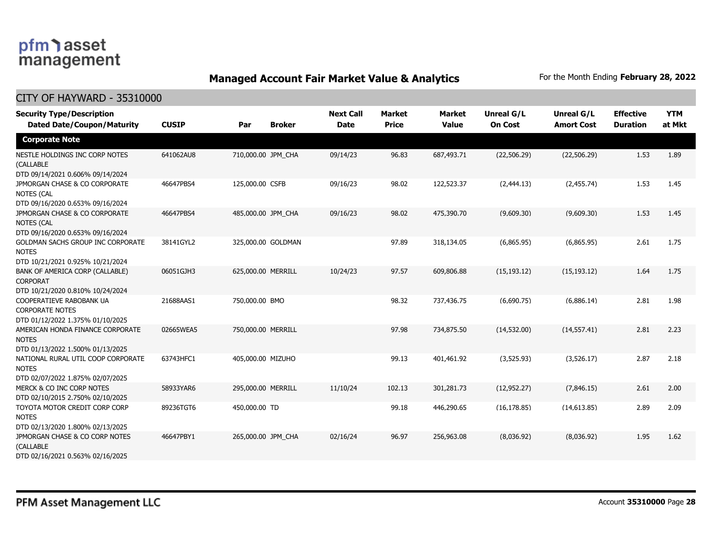### **Managed Account Fair Market Value & Analytics** For the Month Ending February 28, 2022

| <b>Security Type/Description</b><br><b>Dated Date/Coupon/Maturity</b>                  | <b>CUSIP</b> | Par                | <b>Broker</b>      | <b>Next Call</b><br><b>Date</b> | <b>Market</b><br><b>Price</b> | <b>Market</b><br><b>Value</b> | Unreal G/L<br><b>On Cost</b> | Unreal G/L<br><b>Amort Cost</b> | <b>Effective</b><br><b>Duration</b> | <b>YTM</b><br>at Mkt |
|----------------------------------------------------------------------------------------|--------------|--------------------|--------------------|---------------------------------|-------------------------------|-------------------------------|------------------------------|---------------------------------|-------------------------------------|----------------------|
| <b>Corporate Note</b>                                                                  |              |                    |                    |                                 |                               |                               |                              |                                 |                                     |                      |
| NESTLE HOLDINGS INC CORP NOTES<br>(CALLABLE<br>DTD 09/14/2021 0.606% 09/14/2024        | 641062AU8    | 710,000.00 JPM CHA |                    | 09/14/23                        | 96.83                         | 687,493.71                    | (22,506.29)                  | (22, 506.29)                    | 1.53                                | 1.89                 |
| JPMORGAN CHASE & CO CORPORATE<br><b>NOTES (CAL</b><br>DTD 09/16/2020 0.653% 09/16/2024 | 46647PBS4    | 125,000.00 CSFB    |                    | 09/16/23                        | 98.02                         | 122,523.37                    | (2,444.13)                   | (2,455.74)                      | 1.53                                | 1.45                 |
| JPMORGAN CHASE & CO CORPORATE<br><b>NOTES (CAL</b><br>DTD 09/16/2020 0.653% 09/16/2024 | 46647PBS4    | 485,000.00 JPM CHA |                    | 09/16/23                        | 98.02                         | 475,390.70                    | (9,609.30)                   | (9,609.30)                      | 1.53                                | 1.45                 |
| GOLDMAN SACHS GROUP INC CORPORATE<br><b>NOTES</b><br>DTD 10/21/2021 0.925% 10/21/2024  | 38141GYL2    |                    | 325,000.00 GOLDMAN |                                 | 97.89                         | 318,134.05                    | (6,865.95)                   | (6,865.95)                      | 2.61                                | 1.75                 |
| BANK OF AMERICA CORP (CALLABLE)<br><b>CORPORAT</b><br>DTD 10/21/2020 0.810% 10/24/2024 | 06051GJH3    | 625,000.00 MERRILL |                    | 10/24/23                        | 97.57                         | 609,806.88                    | (15, 193.12)                 | (15, 193.12)                    | 1.64                                | 1.75                 |
| COOPERATIEVE RABOBANK UA<br><b>CORPORATE NOTES</b><br>DTD 01/12/2022 1.375% 01/10/2025 | 21688AAS1    | 750,000.00 BMO     |                    |                                 | 98.32                         | 737,436.75                    | (6,690.75)                   | (6,886.14)                      | 2.81                                | 1.98                 |
| AMERICAN HONDA FINANCE CORPORATE<br><b>NOTES</b><br>DTD 01/13/2022 1.500% 01/13/2025   | 02665WEA5    | 750,000.00 MERRILL |                    |                                 | 97.98                         | 734,875.50                    | (14,532.00)                  | (14, 557.41)                    | 2.81                                | 2.23                 |
| NATIONAL RURAL UTIL COOP CORPORATE<br><b>NOTES</b><br>DTD 02/07/2022 1.875% 02/07/2025 | 63743HFC1    | 405,000.00 MIZUHO  |                    |                                 | 99.13                         | 401,461.92                    | (3,525.93)                   | (3,526.17)                      | 2.87                                | 2.18                 |
| MERCK & CO INC CORP NOTES<br>DTD 02/10/2015 2.750% 02/10/2025                          | 58933YAR6    | 295,000.00 MERRILL |                    | 11/10/24                        | 102.13                        | 301,281.73                    | (12, 952.27)                 | (7.846.15)                      | 2.61                                | 2.00                 |
| TOYOTA MOTOR CREDIT CORP CORP<br><b>NOTES</b><br>DTD 02/13/2020 1.800% 02/13/2025      | 89236TGT6    | 450,000.00 TD      |                    |                                 | 99.18                         | 446,290.65                    | (16, 178.85)                 | (14,613.85)                     | 2.89                                | 2.09                 |
| JPMORGAN CHASE & CO CORP NOTES<br>(CALLABLE<br>DTD 02/16/2021 0.563% 02/16/2025        | 46647PBY1    | 265,000.00 JPM_CHA |                    | 02/16/24                        | 96.97                         | 256,963.08                    | (8,036.92)                   | (8,036.92)                      | 1.95                                | 1.62                 |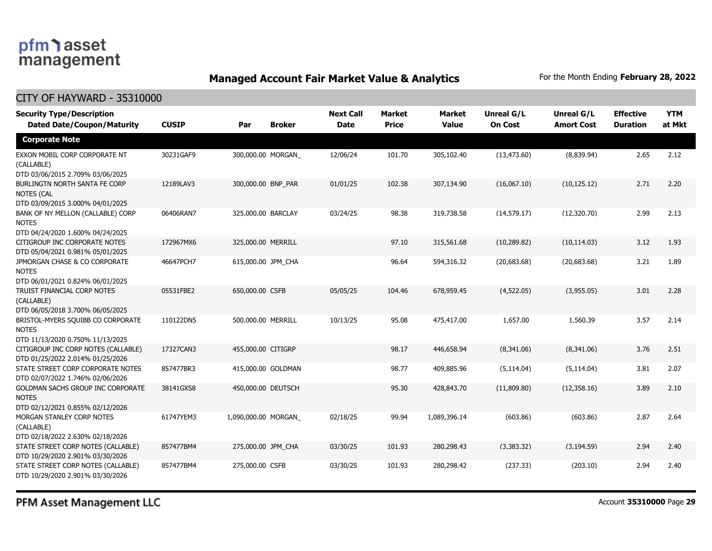### **Managed Account Fair Market Value & Analytics** For the Month Ending February 28, 2022

#### CITY OF HAYWARD - 35310000

| <b>Security Type/Description</b><br><b>Dated Date/Coupon/Maturity</b>                  | <b>CUSIP</b> | Par                 | <b>Broker</b> | <b>Next Call</b><br><b>Date</b> | <b>Market</b><br><b>Price</b> | <b>Market</b><br><b>Value</b> | <b>Unreal G/L</b><br><b>On Cost</b> | <b>Unreal G/L</b><br><b>Amort Cost</b> | <b>Effective</b><br><b>Duration</b> | <b>YTM</b><br>at Mkt |
|----------------------------------------------------------------------------------------|--------------|---------------------|---------------|---------------------------------|-------------------------------|-------------------------------|-------------------------------------|----------------------------------------|-------------------------------------|----------------------|
| <b>Corporate Note</b>                                                                  |              |                     |               |                                 |                               |                               |                                     |                                        |                                     |                      |
| EXXON MOBIL CORP CORPORATE NT<br>(CALLABLE)<br>DTD 03/06/2015 2.709% 03/06/2025        | 30231GAF9    | 300,000.00 MORGAN   |               | 12/06/24                        | 101.70                        | 305,102.40                    | (13, 473.60)                        | (8,839.94)                             | 2.65                                | 2.12                 |
| BURLINGTN NORTH SANTA FE CORP<br><b>NOTES (CAL</b><br>DTD 03/09/2015 3.000% 04/01/2025 | 12189LAV3    | 300,000.00 BNP PAR  |               | 01/01/25                        | 102.38                        | 307,134.90                    | (16,067.10)                         | (10, 125.12)                           | 2.71                                | 2.20                 |
| BANK OF NY MELLON (CALLABLE) CORP<br><b>NOTES</b><br>DTD 04/24/2020 1.600% 04/24/2025  | 06406RAN7    | 325,000.00 BARCLAY  |               | 03/24/25                        | 98.38                         | 319,738.58                    | (14, 579.17)                        | (12,320.70)                            | 2.99                                | 2.13                 |
| CITIGROUP INC CORPORATE NOTES<br>DTD 05/04/2021 0.981% 05/01/2025                      | 172967MX6    | 325,000.00 MERRILL  |               |                                 | 97.10                         | 315,561.68                    | (10, 289.82)                        | (10, 114.03)                           | 3.12                                | 1.93                 |
| JPMORGAN CHASE & CO CORPORATE<br><b>NOTES</b><br>DTD 06/01/2021 0.824% 06/01/2025      | 46647PCH7    | 615,000.00 JPM_CHA  |               |                                 | 96.64                         | 594,316.32                    | (20,683.68)                         | (20,683.68)                            | 3.21                                | 1.89                 |
| TRUIST FINANCIAL CORP NOTES<br>(CALLABLE)<br>DTD 06/05/2018 3.700% 06/05/2025          | 05531FBE2    | 650,000.00 CSFB     |               | 05/05/25                        | 104.46                        | 678,959.45                    | (4,522.05)                          | (3,955.05)                             | 3.01                                | 2.28                 |
| BRISTOL-MYERS SQUIBB CO CORPORATE<br><b>NOTES</b><br>DTD 11/13/2020 0.750% 11/13/2025  | 110122DN5    | 500,000.00 MERRILL  |               | 10/13/25                        | 95.08                         | 475,417.00                    | 1,657.00                            | 1,560.39                               | 3.57                                | 2.14                 |
| CITIGROUP INC CORP NOTES (CALLABLE)<br>DTD 01/25/2022 2.014% 01/25/2026                | 17327CAN3    | 455,000.00 CITIGRP  |               |                                 | 98.17                         | 446,658.94                    | (8,341.06)                          | (8,341.06)                             | 3.76                                | 2.51                 |
| STATE STREET CORP CORPORATE NOTES<br>DTD 02/07/2022 1.746% 02/06/2026                  | 857477BR3    | 415,000.00 GOLDMAN  |               |                                 | 98.77                         | 409,885.96                    | (5, 114.04)                         | (5, 114.04)                            | 3.81                                | 2.07                 |
| GOLDMAN SACHS GROUP INC CORPORATE<br><b>NOTES</b><br>DTD 02/12/2021 0.855% 02/12/2026  | 38141GXS8    | 450,000.00 DEUTSCH  |               |                                 | 95.30                         | 428,843.70                    | (11,809.80)                         | (12, 358.16)                           | 3.89                                | 2.10                 |
| MORGAN STANLEY CORP NOTES<br>(CALLABLE)<br>DTD 02/18/2022 2.630% 02/18/2026            | 61747YEM3    | 1,090,000.00 MORGAN |               | 02/18/25                        | 99.94                         | 1,089,396.14                  | (603.86)                            | (603.86)                               | 2.87                                | 2.64                 |
| STATE STREET CORP NOTES (CALLABLE)<br>DTD 10/29/2020 2.901% 03/30/2026                 | 857477BM4    | 275,000.00 JPM_CHA  |               | 03/30/25                        | 101.93                        | 280,298.43                    | (3,383.32)                          | (3, 194.59)                            | 2.94                                | 2.40                 |
| STATE STREET CORP NOTES (CALLABLE)<br>DTD 10/29/2020 2.901% 03/30/2026                 | 857477BM4    | 275,000.00 CSFB     |               | 03/30/25                        | 101.93                        | 280,298.42                    | (237.33)                            | (203.10)                               | 2.94                                | 2.40                 |

PFM Asset Management LLC

Account **35310000** Page **29**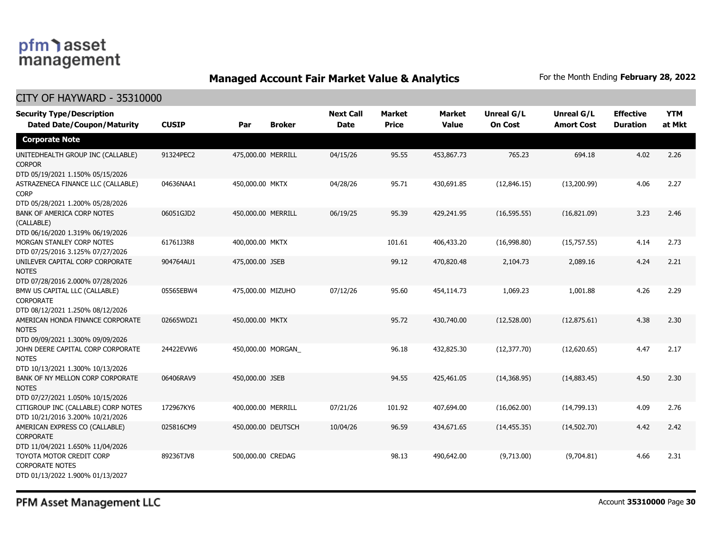### **Managed Account Fair Market Value & Analytics** For the Month Ending February 28, 2022

| <b>Security Type/Description</b><br><b>Dated Date/Coupon/Maturity</b>                  | <b>CUSIP</b> | Par                | <b>Broker</b> | <b>Next Call</b><br><b>Date</b> | <b>Market</b><br><b>Price</b> | <b>Market</b><br><b>Value</b> | <b>Unreal G/L</b><br><b>On Cost</b> | Unreal G/L<br><b>Amort Cost</b> | <b>Effective</b><br><b>Duration</b> | <b>YTM</b><br>at Mkt |
|----------------------------------------------------------------------------------------|--------------|--------------------|---------------|---------------------------------|-------------------------------|-------------------------------|-------------------------------------|---------------------------------|-------------------------------------|----------------------|
| <b>Corporate Note</b>                                                                  |              |                    |               |                                 |                               |                               |                                     |                                 |                                     |                      |
| UNITEDHEALTH GROUP INC (CALLABLE)<br><b>CORPOR</b><br>DTD 05/19/2021 1.150% 05/15/2026 | 91324PEC2    | 475,000.00 MERRILL |               | 04/15/26                        | 95.55                         | 453,867.73                    | 765.23                              | 694.18                          | 4.02                                | 2.26                 |
| ASTRAZENECA FINANCE LLC (CALLABLE)<br><b>CORP</b><br>DTD 05/28/2021 1.200% 05/28/2026  | 04636NAA1    | 450,000.00 MKTX    |               | 04/28/26                        | 95.71                         | 430,691.85                    | (12,846.15)                         | (13,200.99)                     | 4.06                                | 2.27                 |
| <b>BANK OF AMERICA CORP NOTES</b><br>(CALLABLE)<br>DTD 06/16/2020 1.319% 06/19/2026    | 06051GJD2    | 450,000.00 MERRILL |               | 06/19/25                        | 95.39                         | 429,241.95                    | (16, 595.55)                        | (16,821.09)                     | 3.23                                | 2.46                 |
| MORGAN STANLEY CORP NOTES<br>DTD 07/25/2016 3.125% 07/27/2026                          | 61761J3R8    | 400,000.00 MKTX    |               |                                 | 101.61                        | 406,433.20                    | (16,998.80)                         | (15,757.55)                     | 4.14                                | 2.73                 |
| UNILEVER CAPITAL CORP CORPORATE<br><b>NOTES</b><br>DTD 07/28/2016 2.000% 07/28/2026    | 904764AU1    | 475,000.00 JSEB    |               |                                 | 99.12                         | 470,820.48                    | 2,104.73                            | 2,089.16                        | 4.24                                | 2.21                 |
| BMW US CAPITAL LLC (CALLABLE)<br><b>CORPORATE</b><br>DTD 08/12/2021 1.250% 08/12/2026  | 05565EBW4    | 475,000.00 MIZUHO  |               | 07/12/26                        | 95.60                         | 454,114.73                    | 1,069.23                            | 1,001.88                        | 4.26                                | 2.29                 |
| AMERICAN HONDA FINANCE CORPORATE<br><b>NOTES</b><br>DTD 09/09/2021 1.300% 09/09/2026   | 02665WDZ1    | 450,000.00 MKTX    |               |                                 | 95.72                         | 430,740.00                    | (12,528.00)                         | (12, 875.61)                    | 4.38                                | 2.30                 |
| JOHN DEERE CAPITAL CORP CORPORATE<br><b>NOTES</b><br>DTD 10/13/2021 1.300% 10/13/2026  | 24422EVW6    | 450,000.00 MORGAN  |               |                                 | 96.18                         | 432,825.30                    | (12, 377.70)                        | (12,620.65)                     | 4.47                                | 2.17                 |
| BANK OF NY MELLON CORP CORPORATE<br><b>NOTES</b><br>DTD 07/27/2021 1.050% 10/15/2026   | 06406RAV9    | 450,000.00 JSEB    |               |                                 | 94.55                         | 425,461.05                    | (14,368.95)                         | (14,883.45)                     | 4.50                                | 2.30                 |
| CITIGROUP INC (CALLABLE) CORP NOTES<br>DTD 10/21/2016 3.200% 10/21/2026                | 172967KY6    | 400,000.00 MERRILL |               | 07/21/26                        | 101.92                        | 407,694.00                    | (16,062.00)                         | (14,799.13)                     | 4.09                                | 2.76                 |
| AMERICAN EXPRESS CO (CALLABLE)<br><b>CORPORATE</b><br>DTD 11/04/2021 1.650% 11/04/2026 | 025816CM9    | 450,000.00 DEUTSCH |               | 10/04/26                        | 96.59                         | 434,671.65                    | (14, 455.35)                        | (14,502.70)                     | 4.42                                | 2.42                 |
| TOYOTA MOTOR CREDIT CORP<br><b>CORPORATE NOTES</b><br>DTD 01/13/2022 1.900% 01/13/2027 | 89236TJV8    | 500,000.00 CREDAG  |               |                                 | 98.13                         | 490,642.00                    | (9,713.00)                          | (9,704.81)                      | 4.66                                | 2.31                 |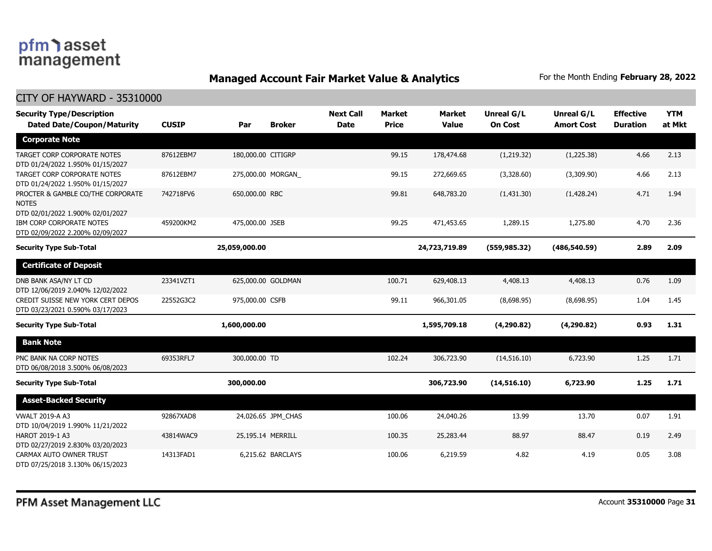### **Managed Account Fair Market Value & Analytics** For the Month Ending February 28, 2022

| <b>Security Type/Description</b><br><b>Dated Date/Coupon/Maturity</b>                 | <b>CUSIP</b> | Par                | <b>Broker</b>      | <b>Next Call</b><br><b>Date</b> | <b>Market</b><br><b>Price</b> | <b>Market</b><br><b>Value</b> | <b>Unreal G/L</b><br><b>On Cost</b> | Unreal G/L<br><b>Amort Cost</b> | <b>Effective</b><br><b>Duration</b> | <b>YTM</b><br>at Mkt |
|---------------------------------------------------------------------------------------|--------------|--------------------|--------------------|---------------------------------|-------------------------------|-------------------------------|-------------------------------------|---------------------------------|-------------------------------------|----------------------|
| <b>Corporate Note</b>                                                                 |              |                    |                    |                                 |                               |                               |                                     |                                 |                                     |                      |
| TARGET CORP CORPORATE NOTES<br>DTD 01/24/2022 1.950% 01/15/2027                       | 87612EBM7    | 180,000.00 CITIGRP |                    |                                 | 99.15                         | 178,474.68                    | (1,219.32)                          | (1,225.38)                      | 4.66                                | 2.13                 |
| TARGET CORP CORPORATE NOTES<br>DTD 01/24/2022 1.950% 01/15/2027                       | 87612EBM7    |                    | 275,000.00 MORGAN  |                                 | 99.15                         | 272,669.65                    | (3,328.60)                          | (3,309.90)                      | 4.66                                | 2.13                 |
| PROCTER & GAMBLE CO/THE CORPORATE<br><b>NOTES</b><br>DTD 02/01/2022 1.900% 02/01/2027 | 742718FV6    | 650,000.00 RBC     |                    |                                 | 99.81                         | 648,783.20                    | (1,431.30)                          | (1,428.24)                      | 4.71                                | 1.94                 |
| IBM CORP CORPORATE NOTES<br>DTD 02/09/2022 2.200% 02/09/2027                          | 459200KM2    | 475,000.00 JSEB    |                    |                                 | 99.25                         | 471,453.65                    | 1,289.15                            | 1,275.80                        | 4.70                                | 2.36                 |
| <b>Security Type Sub-Total</b>                                                        |              | 25,059,000.00      |                    |                                 |                               | 24,723,719.89                 | (559, 985.32)                       | (486, 540.59)                   | 2.89                                | 2.09                 |
| <b>Certificate of Deposit</b>                                                         |              |                    |                    |                                 |                               |                               |                                     |                                 |                                     |                      |
| DNB BANK ASA/NY LT CD<br>DTD 12/06/2019 2.040% 12/02/2022                             | 23341VZT1    |                    | 625,000.00 GOLDMAN |                                 | 100.71                        | 629,408.13                    | 4,408.13                            | 4,408.13                        | 0.76                                | 1.09                 |
| CREDIT SUISSE NEW YORK CERT DEPOS<br>DTD 03/23/2021 0.590% 03/17/2023                 | 22552G3C2    | 975,000.00 CSFB    |                    |                                 | 99.11                         | 966,301.05                    | (8,698.95)                          | (8,698.95)                      | 1.04                                | 1.45                 |
| <b>Security Type Sub-Total</b>                                                        |              | 1,600,000.00       |                    |                                 |                               | 1,595,709.18                  | (4,290.82)                          | (4, 290.82)                     | 0.93                                | 1.31                 |
| <b>Bank Note</b>                                                                      |              |                    |                    |                                 |                               |                               |                                     |                                 |                                     |                      |
| PNC BANK NA CORP NOTES<br>DTD 06/08/2018 3.500% 06/08/2023                            | 69353RFL7    | 300,000.00 TD      |                    |                                 | 102.24                        | 306,723.90                    | (14, 516.10)                        | 6,723.90                        | 1.25                                | 1.71                 |
| <b>Security Type Sub-Total</b>                                                        |              | 300,000.00         |                    |                                 |                               | 306,723.90                    | (14,516.10)                         | 6,723.90                        | 1.25                                | 1.71                 |
| <b>Asset-Backed Security</b>                                                          |              |                    |                    |                                 |                               |                               |                                     |                                 |                                     |                      |
| <b>VWALT 2019-A A3</b><br>DTD 10/04/2019 1.990% 11/21/2022                            | 92867XAD8    |                    | 24,026.65 JPM_CHAS |                                 | 100.06                        | 24,040.26                     | 13.99                               | 13.70                           | 0.07                                | 1.91                 |
| HAROT 2019-1 A3<br>DTD 02/27/2019 2.830% 03/20/2023                                   | 43814WAC9    |                    | 25,195.14 MERRILL  |                                 | 100.35                        | 25,283.44                     | 88.97                               | 88.47                           | 0.19                                | 2.49                 |
| CARMAX AUTO OWNER TRUST<br>DTD 07/25/2018 3.130% 06/15/2023                           | 14313FAD1    |                    | 6,215.62 BARCLAYS  |                                 | 100.06                        | 6,219.59                      | 4.82                                | 4.19                            | 0.05                                | 3.08                 |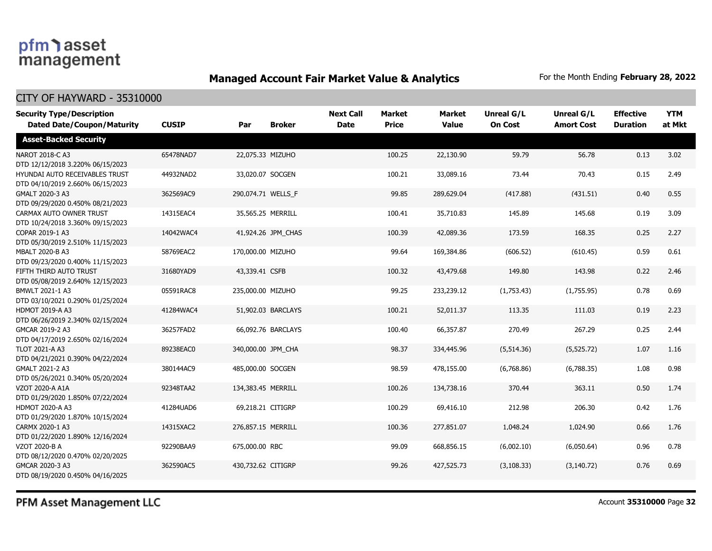### **Managed Account Fair Market Value & Analytics** For the Month Ending February 28, 2022

#### CITY OF HAYWARD - 35310000

| <b>Security Type/Description</b>                                   |              |                    |                    | <b>Next Call</b> | <b>Market</b> | <b>Market</b> | <b>Unreal G/L</b> | Unreal G/L        | <b>Effective</b> | <b>YTM</b> |
|--------------------------------------------------------------------|--------------|--------------------|--------------------|------------------|---------------|---------------|-------------------|-------------------|------------------|------------|
| <b>Dated Date/Coupon/Maturity</b>                                  | <b>CUSIP</b> | Par                | <b>Broker</b>      | <b>Date</b>      | <b>Price</b>  | <b>Value</b>  | <b>On Cost</b>    | <b>Amort Cost</b> | <b>Duration</b>  | at Mkt     |
| <b>Asset-Backed Security</b>                                       |              |                    |                    |                  |               |               |                   |                   |                  |            |
| NAROT 2018-C A3<br>DTD 12/12/2018 3.220% 06/15/2023                | 65478NAD7    |                    | 22,075.33 MIZUHO   |                  | 100.25        | 22,130.90     | 59.79             | 56.78             | 0.13             | 3.02       |
| HYUNDAI AUTO RECEIVABLES TRUST<br>DTD 04/10/2019 2.660% 06/15/2023 | 44932NAD2    |                    | 33,020.07 SOCGEN   |                  | 100.21        | 33,089.16     | 73.44             | 70.43             | 0.15             | 2.49       |
| GMALT 2020-3 A3<br>DTD 09/29/2020 0.450% 08/21/2023                | 362569AC9    |                    | 290,074.71 WELLS_F |                  | 99.85         | 289,629.04    | (417.88)          | (431.51)          | 0.40             | 0.55       |
| CARMAX AUTO OWNER TRUST<br>DTD 10/24/2018 3.360% 09/15/2023        | 14315EAC4    |                    | 35,565.25 MERRILL  |                  | 100.41        | 35,710.83     | 145.89            | 145.68            | 0.19             | 3.09       |
| COPAR 2019-1 A3<br>DTD 05/30/2019 2.510% 11/15/2023                | 14042WAC4    |                    | 41,924.26 JPM CHAS |                  | 100.39        | 42,089.36     | 173.59            | 168.35            | 0.25             | 2.27       |
| MBALT 2020-B A3<br>DTD 09/23/2020 0.400% 11/15/2023                | 58769EAC2    | 170,000.00 MIZUHO  |                    |                  | 99.64         | 169,384.86    | (606.52)          | (610.45)          | 0.59             | 0.61       |
| FIFTH THIRD AUTO TRUST<br>DTD 05/08/2019 2.640% 12/15/2023         | 31680YAD9    | 43,339.41 CSFB     |                    |                  | 100.32        | 43,479.68     | 149.80            | 143.98            | 0.22             | 2.46       |
| BMWLT 2021-1 A3<br>DTD 03/10/2021 0.290% 01/25/2024                | 05591RAC8    | 235,000.00 MIZUHO  |                    |                  | 99.25         | 233,239.12    | (1,753.43)        | (1,755.95)        | 0.78             | 0.69       |
| <b>HDMOT 2019-A A3</b><br>DTD 06/26/2019 2.340% 02/15/2024         | 41284WAC4    |                    | 51,902.03 BARCLAYS |                  | 100.21        | 52,011.37     | 113.35            | 111.03            | 0.19             | 2.23       |
| GMCAR 2019-2 A3<br>DTD 04/17/2019 2.650% 02/16/2024                | 36257FAD2    |                    | 66,092.76 BARCLAYS |                  | 100.40        | 66,357.87     | 270.49            | 267.29            | 0.25             | 2.44       |
| <b>TLOT 2021-A A3</b><br>DTD 04/21/2021 0.390% 04/22/2024          | 89238EAC0    |                    | 340,000.00 JPM CHA |                  | 98.37         | 334,445.96    | (5,514.36)        | (5,525.72)        | 1.07             | 1.16       |
| GMALT 2021-2 A3<br>DTD 05/26/2021 0.340% 05/20/2024                | 380144AC9    | 485,000.00 SOCGEN  |                    |                  | 98.59         | 478,155.00    | (6,768.86)        | (6,788.35)        | 1.08             | 0.98       |
| VZOT 2020-A A1A<br>DTD 01/29/2020 1.850% 07/22/2024                | 92348TAA2    | 134,383.45 MERRILL |                    |                  | 100.26        | 134,738.16    | 370.44            | 363.11            | 0.50             | 1.74       |
| <b>HDMOT 2020-A A3</b><br>DTD 01/29/2020 1.870% 10/15/2024         | 41284UAD6    |                    | 69,218.21 CITIGRP  |                  | 100.29        | 69,416.10     | 212.98            | 206.30            | 0.42             | 1.76       |
| CARMX 2020-1 A3<br>DTD 01/22/2020 1.890% 12/16/2024                | 14315XAC2    | 276,857.15 MERRILL |                    |                  | 100.36        | 277,851.07    | 1,048.24          | 1,024.90          | 0.66             | 1.76       |
| VZOT 2020-B A<br>DTD 08/12/2020 0.470% 02/20/2025                  | 92290BAA9    | 675,000.00 RBC     |                    |                  | 99.09         | 668,856.15    | (6,002.10)        | (6,050.64)        | 0.96             | 0.78       |
| GMCAR 2020-3 A3<br>DTD 08/19/2020 0.450% 04/16/2025                | 362590AC5    | 430,732.62 CITIGRP |                    |                  | 99.26         | 427,525.73    | (3, 108.33)       | (3, 140.72)       | 0.76             | 0.69       |

PFM Asset Management LLC

Account **35310000** Page **32**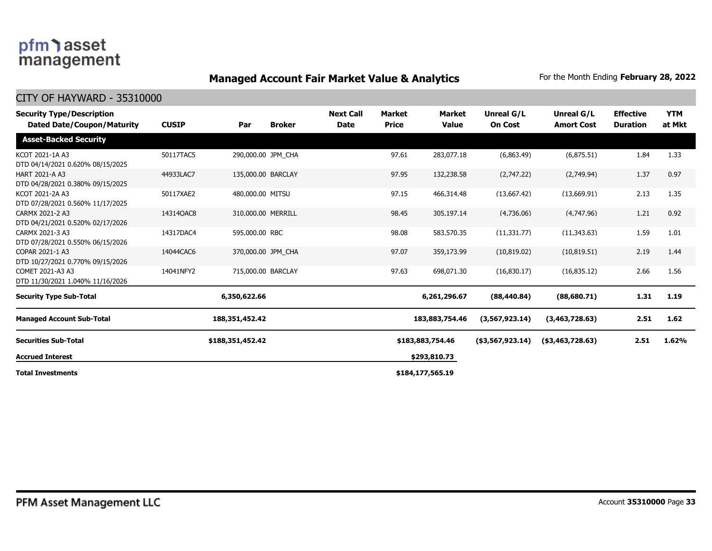### **Managed Account Fair Market Value & Analytics** For the Month Ending February 28, 2022

| <b>Security Type/Description</b><br><b>Dated Date/Coupon/Maturity</b> | <b>CUSIP</b> | Par                | <b>Broker</b> | <b>Next Call</b><br><b>Date</b> | Market<br><b>Price</b> | Market<br><b>Value</b> | Unreal G/L<br><b>On Cost</b> | Unreal G/L<br><b>Amort Cost</b> | <b>Effective</b><br><b>Duration</b> | <b>YTM</b><br>at Mkt |
|-----------------------------------------------------------------------|--------------|--------------------|---------------|---------------------------------|------------------------|------------------------|------------------------------|---------------------------------|-------------------------------------|----------------------|
| <b>Asset-Backed Security</b>                                          |              |                    |               |                                 |                        |                        |                              |                                 |                                     |                      |
| KCOT 2021-1A A3<br>DTD 04/14/2021 0.620% 08/15/2025                   | 50117TAC5    | 290,000.00 JPM CHA |               |                                 | 97.61                  | 283,077.18             | (6,863.49)                   | (6,875.51)                      | 1.84                                | 1.33                 |
| <b>HART 2021-A A3</b><br>DTD 04/28/2021 0.380% 09/15/2025             | 44933LAC7    | 135,000.00 BARCLAY |               |                                 | 97.95                  | 132,238.58             | (2,747.22)                   | (2,749.94)                      | 1.37                                | 0.97                 |
| KCOT 2021-2A A3<br>DTD 07/28/2021 0.560% 11/17/2025                   | 50117XAE2    | 480,000.00 MITSU   |               |                                 | 97.15                  | 466,314.48             | (13.667.42)                  | (13,669.91)                     | 2.13                                | 1.35                 |
| CARMX 2021-2 A3<br>DTD 04/21/2021 0.520% 02/17/2026                   | 14314QAC8    | 310,000.00 MERRILL |               |                                 | 98.45                  | 305,197.14             | (4,736.06)                   | (4,747.96)                      | 1.21                                | 0.92                 |
| CARMX 2021-3 A3<br>DTD 07/28/2021 0.550% 06/15/2026                   | 14317DAC4    | 595,000.00 RBC     |               |                                 | 98.08                  | 583,570.35             | (11, 331.77)                 | (11.343.63)                     | 1.59                                | 1.01                 |
| COPAR 2021-1 A3<br>DTD 10/27/2021 0.770% 09/15/2026                   | 14044CAC6    | 370,000.00 JPM CHA |               |                                 | 97.07                  | 359,173.99             | (10, 819.02)                 | (10, 819.51)                    | 2.19                                | 1.44                 |
| COMET 2021-A3 A3<br>DTD 11/30/2021 1.040% 11/16/2026                  | 14041NFY2    | 715,000.00 BARCLAY |               |                                 | 97.63                  | 698,071.30             | (16,830.17)                  | (16,835.12)                     | 2.66                                | 1.56                 |
| <b>Security Type Sub-Total</b>                                        |              | 6,350,622.66       |               |                                 |                        | 6,261,296.67           | (88, 440.84)                 | (88,680.71)                     | 1.31                                | 1.19                 |
| <b>Managed Account Sub-Total</b>                                      |              | 188, 351, 452. 42  |               |                                 |                        | 183,883,754.46         | (3,567,923.14)               | (3,463,728.63)                  | 2.51                                | 1.62                 |
| <b>Securities Sub-Total</b>                                           |              | \$188,351,452.42   |               |                                 |                        | \$183,883,754.46       | $($ \$3,567,923.14)          | $($ \$3,463,728.63)             | 2.51                                | 1.62%                |
| <b>Accrued Interest</b>                                               |              |                    |               |                                 |                        | \$293,810.73           |                              |                                 |                                     |                      |
| <b>Total Investments</b>                                              |              |                    |               |                                 |                        | \$184,177,565.19       |                              |                                 |                                     |                      |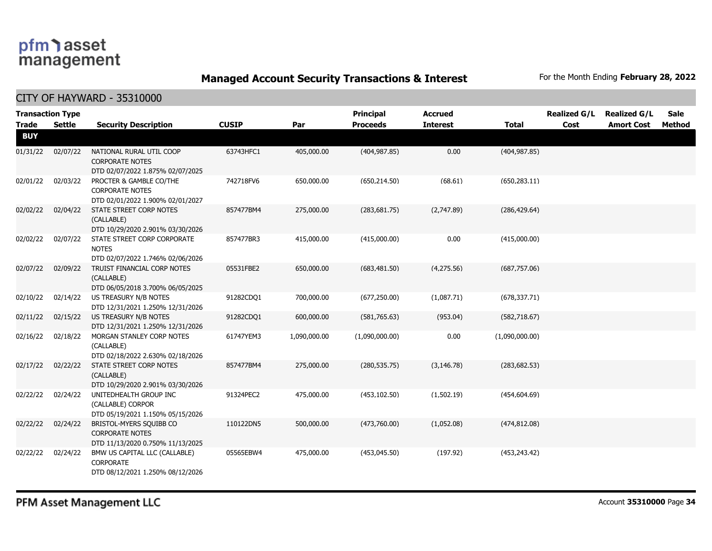**Managed Account Security Transactions & Interest** For the Month Ending February 28, 2022

| <b>Trade</b> | <b>Transaction Type</b><br><b>Settle</b> | <b>Security Description</b>                                                            | <b>CUSIP</b> | Par          | <b>Principal</b><br><b>Proceeds</b> | <b>Accrued</b><br><b>Interest</b> | <b>Total</b>   | <b>Realized G/L</b><br>Cost | <b>Realized G/L</b><br><b>Amort Cost</b> | <b>Sale</b><br>Method |
|--------------|------------------------------------------|----------------------------------------------------------------------------------------|--------------|--------------|-------------------------------------|-----------------------------------|----------------|-----------------------------|------------------------------------------|-----------------------|
| <b>BUY</b>   |                                          |                                                                                        |              |              |                                     |                                   |                |                             |                                          |                       |
| 01/31/22     | 02/07/22                                 | NATIONAL RURAL UTIL COOP<br><b>CORPORATE NOTES</b><br>DTD 02/07/2022 1.875% 02/07/2025 | 63743HFC1    | 405,000.00   | (404, 987.85)                       | 0.00                              | (404, 987.85)  |                             |                                          |                       |
| 02/01/22     | 02/03/22                                 | PROCTER & GAMBLE CO/THE<br><b>CORPORATE NOTES</b><br>DTD 02/01/2022 1.900% 02/01/2027  | 742718FV6    | 650,000.00   | (650, 214.50)                       | (68.61)                           | (650, 283.11)  |                             |                                          |                       |
| 02/02/22     | 02/04/22                                 | STATE STREET CORP NOTES<br>(CALLABLE)<br>DTD 10/29/2020 2.901% 03/30/2026              | 857477BM4    | 275,000.00   | (283, 681.75)                       | (2,747.89)                        | (286, 429.64)  |                             |                                          |                       |
| 02/02/22     | 02/07/22                                 | STATE STREET CORP CORPORATE<br><b>NOTES</b><br>DTD 02/07/2022 1.746% 02/06/2026        | 857477BR3    | 415,000.00   | (415,000.00)                        | 0.00                              | (415,000.00)   |                             |                                          |                       |
| 02/07/22     | 02/09/22                                 | TRUIST FINANCIAL CORP NOTES<br>(CALLABLE)<br>DTD 06/05/2018 3.700% 06/05/2025          | 05531FBE2    | 650,000.00   | (683, 481.50)                       | (4,275.56)                        | (687,757.06)   |                             |                                          |                       |
| 02/10/22     | 02/14/22                                 | US TREASURY N/B NOTES<br>DTD 12/31/2021 1.250% 12/31/2026                              | 91282CDQ1    | 700,000.00   | (677, 250.00)                       | (1,087.71)                        | (678, 337.71)  |                             |                                          |                       |
| 02/11/22     | 02/15/22                                 | US TREASURY N/B NOTES<br>DTD 12/31/2021 1.250% 12/31/2026                              | 91282CDQ1    | 600,000.00   | (581,765.63)                        | (953.04)                          | (582, 718.67)  |                             |                                          |                       |
| 02/16/22     | 02/18/22                                 | MORGAN STANLEY CORP NOTES<br>(CALLABLE)<br>DTD 02/18/2022 2.630% 02/18/2026            | 61747YEM3    | 1,090,000.00 | (1,090,000.00)                      | 0.00                              | (1,090,000.00) |                             |                                          |                       |
| 02/17/22     | 02/22/22                                 | STATE STREET CORP NOTES<br>(CALLABLE)<br>DTD 10/29/2020 2.901% 03/30/2026              | 857477BM4    | 275,000.00   | (280, 535.75)                       | (3, 146.78)                       | (283, 682.53)  |                             |                                          |                       |
| 02/22/22     | 02/24/22                                 | UNITEDHEALTH GROUP INC<br>(CALLABLE) CORPOR<br>DTD 05/19/2021 1.150% 05/15/2026        | 91324PEC2    | 475,000.00   | (453, 102.50)                       | (1,502.19)                        | (454, 604.69)  |                             |                                          |                       |
| 02/22/22     | 02/24/22                                 | BRISTOL-MYERS SQUIBB CO<br><b>CORPORATE NOTES</b><br>DTD 11/13/2020 0.750% 11/13/2025  | 110122DN5    | 500,000.00   | (473,760.00)                        | (1,052.08)                        | (474, 812.08)  |                             |                                          |                       |
| 02/22/22     | 02/24/22                                 | BMW US CAPITAL LLC (CALLABLE)<br><b>CORPORATE</b><br>DTD 08/12/2021 1.250% 08/12/2026  | 05565EBW4    | 475,000.00   | (453,045.50)                        | (197.92)                          | (453, 243.42)  |                             |                                          |                       |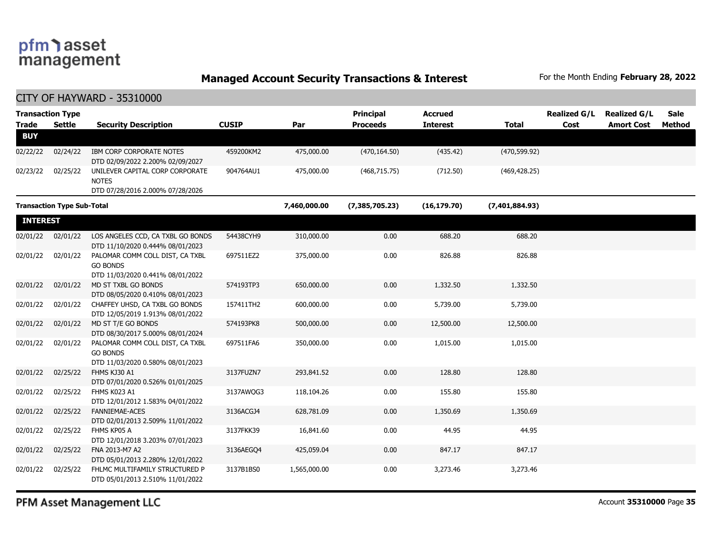**Managed Account Security Transactions & Interest** For the Month Ending February 28, 2022

CITY OF HAYWARD - 35310000

| <b>Trade</b>    | <b>Transaction Type</b><br><b>Settle</b> | <b>Security Description</b>                                                            | <b>CUSIP</b> | Par          | Principal<br><b>Proceeds</b> | <b>Accrued</b><br><b>Interest</b> | <b>Total</b>   | <b>Realized G/L</b><br>Cost | <b>Realized G/L</b><br><b>Amort Cost</b> | Sale<br>Method |
|-----------------|------------------------------------------|----------------------------------------------------------------------------------------|--------------|--------------|------------------------------|-----------------------------------|----------------|-----------------------------|------------------------------------------|----------------|
| <b>BUY</b>      |                                          |                                                                                        |              |              |                              |                                   |                |                             |                                          |                |
| 02/22/22        | 02/24/22                                 | IBM CORP CORPORATE NOTES<br>DTD 02/09/2022 2.200% 02/09/2027                           | 459200KM2    | 475,000.00   | (470, 164.50)                | (435.42)                          | (470, 599.92)  |                             |                                          |                |
| 02/23/22        | 02/25/22                                 | UNILEVER CAPITAL CORP CORPORATE<br><b>NOTES</b><br>DTD 07/28/2016 2.000% 07/28/2026    | 904764AU1    | 475,000.00   | (468, 715.75)                | (712.50)                          | (469, 428.25)  |                             |                                          |                |
|                 | <b>Transaction Type Sub-Total</b>        |                                                                                        |              | 7,460,000.00 | (7, 385, 705.23)             | (16, 179.70)                      | (7,401,884.93) |                             |                                          |                |
| <b>INTEREST</b> |                                          |                                                                                        |              |              |                              |                                   |                |                             |                                          |                |
| 02/01/22        | 02/01/22                                 | LOS ANGELES CCD, CA TXBL GO BONDS<br>DTD 11/10/2020 0.444% 08/01/2023                  | 54438CYH9    | 310,000.00   | 0.00                         | 688.20                            | 688.20         |                             |                                          |                |
| 02/01/22        | 02/01/22                                 | PALOMAR COMM COLL DIST, CA TXBL<br><b>GO BONDS</b><br>DTD 11/03/2020 0.441% 08/01/2022 | 697511EZ2    | 375,000.00   | 0.00                         | 826.88                            | 826.88         |                             |                                          |                |
| 02/01/22        | 02/01/22                                 | MD ST TXBL GO BONDS<br>DTD 08/05/2020 0.410% 08/01/2023                                | 574193TP3    | 650,000.00   | 0.00                         | 1,332.50                          | 1,332.50       |                             |                                          |                |
| 02/01/22        | 02/01/22                                 | CHAFFEY UHSD, CA TXBL GO BONDS<br>DTD 12/05/2019 1.913% 08/01/2022                     | 157411TH2    | 600,000.00   | 0.00                         | 5,739.00                          | 5,739.00       |                             |                                          |                |
| 02/01/22        | 02/01/22                                 | MD ST T/E GO BONDS<br>DTD 08/30/2017 5.000% 08/01/2024                                 | 574193PK8    | 500,000.00   | 0.00                         | 12,500.00                         | 12,500.00      |                             |                                          |                |
| 02/01/22        | 02/01/22                                 | PALOMAR COMM COLL DIST, CA TXBL<br><b>GO BONDS</b><br>DTD 11/03/2020 0.580% 08/01/2023 | 697511FA6    | 350,000.00   | 0.00                         | 1,015.00                          | 1,015.00       |                             |                                          |                |
| 02/01/22        | 02/25/22                                 | FHMS KJ30 A1<br>DTD 07/01/2020 0.526% 01/01/2025                                       | 3137FUZN7    | 293,841.52   | 0.00                         | 128.80                            | 128.80         |                             |                                          |                |
| 02/01/22        | 02/25/22                                 | FHMS K023 A1<br>DTD 12/01/2012 1.583% 04/01/2022                                       | 3137AWQG3    | 118,104.26   | 0.00                         | 155.80                            | 155.80         |                             |                                          |                |
| 02/01/22        | 02/25/22                                 | FANNIEMAE-ACES<br>DTD 02/01/2013 2.509% 11/01/2022                                     | 3136ACGJ4    | 628,781.09   | 0.00                         | 1,350.69                          | 1,350.69       |                             |                                          |                |
| 02/01/22        | 02/25/22                                 | FHMS KP05 A<br>DTD 12/01/2018 3.203% 07/01/2023                                        | 3137FKK39    | 16,841.60    | 0.00                         | 44.95                             | 44.95          |                             |                                          |                |
| 02/01/22        | 02/25/22                                 | FNA 2013-M7 A2<br>DTD 05/01/2013 2.280% 12/01/2022                                     | 3136AEGO4    | 425,059.04   | 0.00                         | 847.17                            | 847.17         |                             |                                          |                |
| 02/01/22        | 02/25/22                                 | FHLMC MULTIFAMILY STRUCTURED P<br>DTD 05/01/2013 2.510% 11/01/2022                     | 3137B1BS0    | 1,565,000.00 | 0.00                         | 3,273.46                          | 3,273.46       |                             |                                          |                |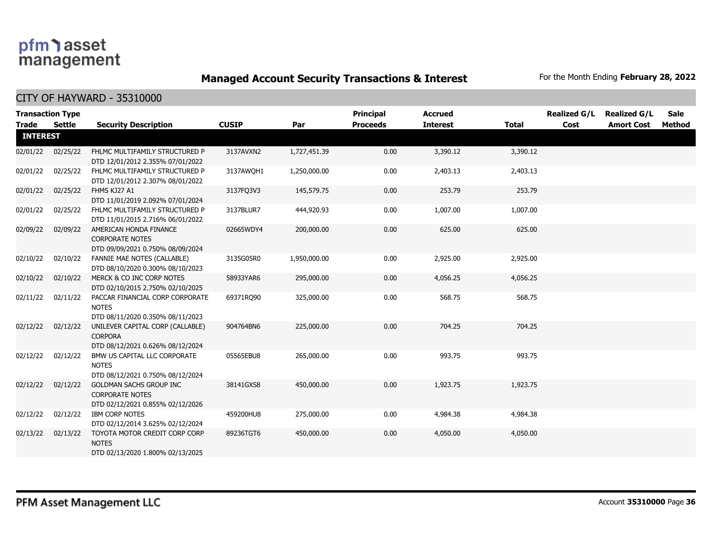**Managed Account Security Transactions & Interest** For the Month Ending February 28, 2022

| <b>Transaction Type</b> |               |                                                                                              |              |              | <b>Principal</b> | <b>Accrued</b>  |              | <b>Realized G/L</b> | <b>Realized G/L</b> | Sale   |
|-------------------------|---------------|----------------------------------------------------------------------------------------------|--------------|--------------|------------------|-----------------|--------------|---------------------|---------------------|--------|
| Trade                   | <b>Settle</b> | <b>Security Description</b>                                                                  | <b>CUSIP</b> | Par          | <b>Proceeds</b>  | <b>Interest</b> | <b>Total</b> | Cost                | <b>Amort Cost</b>   | Method |
| <b>INTEREST</b>         |               |                                                                                              |              |              |                  |                 |              |                     |                     |        |
| 02/01/22                | 02/25/22      | FHLMC MULTIFAMILY STRUCTURED P<br>DTD 12/01/2012 2.355% 07/01/2022                           | 3137AVXN2    | 1,727,451.39 | 0.00             | 3,390.12        | 3,390.12     |                     |                     |        |
| 02/01/22                | 02/25/22      | FHLMC MULTIFAMILY STRUCTURED P<br>DTD 12/01/2012 2.307% 08/01/2022                           | 3137AWOH1    | 1,250,000.00 | 0.00             | 2,403.13        | 2,403.13     |                     |                     |        |
| 02/01/22                | 02/25/22      | FHMS KJ27 A1<br>DTD 11/01/2019 2.092% 07/01/2024                                             | 3137FQ3V3    | 145,579.75   | 0.00             | 253.79          | 253.79       |                     |                     |        |
| 02/01/22                | 02/25/22      | FHLMC MULTIFAMILY STRUCTURED P<br>DTD 11/01/2015 2.716% 06/01/2022                           | 3137BLUR7    | 444,920.93   | 0.00             | 1,007.00        | 1,007.00     |                     |                     |        |
| 02/09/22                | 02/09/22      | AMERICAN HONDA FINANCE<br><b>CORPORATE NOTES</b><br>DTD 09/09/2021 0.750% 08/09/2024         | 02665WDY4    | 200,000.00   | 0.00             | 625.00          | 625.00       |                     |                     |        |
| 02/10/22                | 02/10/22      | FANNIE MAE NOTES (CALLABLE)<br>DTD 08/10/2020 0.300% 08/10/2023                              | 3135G05R0    | 1,950,000.00 | 0.00             | 2,925.00        | 2,925.00     |                     |                     |        |
| 02/10/22                | 02/10/22      | MERCK & CO INC CORP NOTES<br>DTD 02/10/2015 2.750% 02/10/2025                                | 58933YAR6    | 295,000.00   | 0.00             | 4,056.25        | 4,056.25     |                     |                     |        |
| 02/11/22                | 02/11/22      | PACCAR FINANCIAL CORP CORPORATE<br><b>NOTES</b><br>DTD 08/11/2020 0.350% 08/11/2023          | 69371RQ90    | 325,000.00   | 0.00             | 568.75          | 568.75       |                     |                     |        |
| 02/12/22                | 02/12/22      | UNILEVER CAPITAL CORP (CALLABLE)<br><b>CORPORA</b><br>DTD 08/12/2021 0.626% 08/12/2024       | 904764BN6    | 225,000.00   | 0.00             | 704.25          | 704.25       |                     |                     |        |
| 02/12/22                | 02/12/22      | BMW US CAPITAL LLC CORPORATE<br><b>NOTES</b><br>DTD 08/12/2021 0.750% 08/12/2024             | 05565EBU8    | 265,000.00   | 0.00             | 993.75          | 993.75       |                     |                     |        |
| 02/12/22                | 02/12/22      | <b>GOLDMAN SACHS GROUP INC</b><br><b>CORPORATE NOTES</b><br>DTD 02/12/2021 0.855% 02/12/2026 | 38141GXS8    | 450,000.00   | 0.00             | 1,923.75        | 1,923.75     |                     |                     |        |
| 02/12/22                | 02/12/22      | <b>IBM CORP NOTES</b><br>DTD 02/12/2014 3.625% 02/12/2024                                    | 459200HU8    | 275,000.00   | 0.00             | 4,984.38        | 4,984.38     |                     |                     |        |
| 02/13/22                | 02/13/22      | TOYOTA MOTOR CREDIT CORP CORP<br><b>NOTES</b><br>DTD 02/13/2020 1.800% 02/13/2025            | 89236TGT6    | 450,000.00   | 0.00             | 4,050.00        | 4,050.00     |                     |                     |        |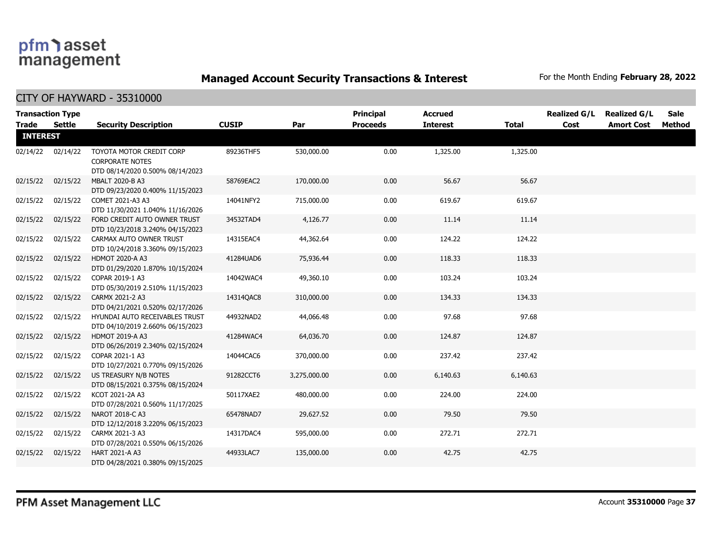**Managed Account Security Transactions & Interest** For the Month Ending February 28, 2022

| <b>Trade</b>    | <b>Transaction Type</b><br>Settle | <b>Security Description</b>                                                            | <b>CUSIP</b> | Par          | Principal<br><b>Proceeds</b> | <b>Accrued</b><br><b>Interest</b> | <b>Total</b> | <b>Realized G/L</b><br>Cost | <b>Realized G/L</b><br><b>Amort Cost</b> | <b>Sale</b><br>Method |
|-----------------|-----------------------------------|----------------------------------------------------------------------------------------|--------------|--------------|------------------------------|-----------------------------------|--------------|-----------------------------|------------------------------------------|-----------------------|
| <b>INTEREST</b> |                                   |                                                                                        |              |              |                              |                                   |              |                             |                                          |                       |
|                 | 02/14/22 02/14/22                 | TOYOTA MOTOR CREDIT CORP<br><b>CORPORATE NOTES</b><br>DTD 08/14/2020 0.500% 08/14/2023 | 89236THF5    | 530,000.00   | 0.00                         | 1,325.00                          | 1,325.00     |                             |                                          |                       |
| 02/15/22        | 02/15/22                          | MBALT 2020-B A3<br>DTD 09/23/2020 0.400% 11/15/2023                                    | 58769EAC2    | 170,000.00   | 0.00                         | 56.67                             | 56.67        |                             |                                          |                       |
| 02/15/22        | 02/15/22                          | COMET 2021-A3 A3<br>DTD 11/30/2021 1.040% 11/16/2026                                   | 14041NFY2    | 715,000.00   | 0.00                         | 619.67                            | 619.67       |                             |                                          |                       |
| 02/15/22        | 02/15/22                          | FORD CREDIT AUTO OWNER TRUST<br>DTD 10/23/2018 3.240% 04/15/2023                       | 34532TAD4    | 4,126.77     | 0.00                         | 11.14                             | 11.14        |                             |                                          |                       |
| 02/15/22        | 02/15/22                          | CARMAX AUTO OWNER TRUST<br>DTD 10/24/2018 3.360% 09/15/2023                            | 14315EAC4    | 44,362.64    | 0.00                         | 124.22                            | 124.22       |                             |                                          |                       |
| 02/15/22        | 02/15/22                          | HDMOT 2020-A A3<br>DTD 01/29/2020 1.870% 10/15/2024                                    | 41284UAD6    | 75,936.44    | 0.00                         | 118.33                            | 118.33       |                             |                                          |                       |
| 02/15/22        | 02/15/22                          | COPAR 2019-1 A3<br>DTD 05/30/2019 2.510% 11/15/2023                                    | 14042WAC4    | 49,360.10    | 0.00                         | 103.24                            | 103.24       |                             |                                          |                       |
| 02/15/22        | 02/15/22                          | CARMX 2021-2 A3<br>DTD 04/21/2021 0.520% 02/17/2026                                    | 14314QAC8    | 310,000.00   | 0.00                         | 134.33                            | 134.33       |                             |                                          |                       |
| 02/15/22        | 02/15/22                          | HYUNDAI AUTO RECEIVABLES TRUST<br>DTD 04/10/2019 2.660% 06/15/2023                     | 44932NAD2    | 44,066.48    | 0.00                         | 97.68                             | 97.68        |                             |                                          |                       |
| 02/15/22        | 02/15/22                          | <b>HDMOT 2019-A A3</b><br>DTD 06/26/2019 2.340% 02/15/2024                             | 41284WAC4    | 64,036.70    | 0.00                         | 124.87                            | 124.87       |                             |                                          |                       |
| 02/15/22        | 02/15/22                          | COPAR 2021-1 A3<br>DTD 10/27/2021 0.770% 09/15/2026                                    | 14044CAC6    | 370,000.00   | 0.00                         | 237.42                            | 237.42       |                             |                                          |                       |
| 02/15/22        | 02/15/22                          | US TREASURY N/B NOTES<br>DTD 08/15/2021 0.375% 08/15/2024                              | 91282CCT6    | 3,275,000.00 | 0.00                         | 6,140.63                          | 6,140.63     |                             |                                          |                       |
| 02/15/22        | 02/15/22                          | KCOT 2021-2A A3<br>DTD 07/28/2021 0.560% 11/17/2025                                    | 50117XAE2    | 480,000.00   | 0.00                         | 224.00                            | 224.00       |                             |                                          |                       |
| 02/15/22        | 02/15/22                          | NAROT 2018-C A3<br>DTD 12/12/2018 3.220% 06/15/2023                                    | 65478NAD7    | 29,627.52    | 0.00                         | 79.50                             | 79.50        |                             |                                          |                       |
| 02/15/22        | 02/15/22                          | CARMX 2021-3 A3<br>DTD 07/28/2021 0.550% 06/15/2026                                    | 14317DAC4    | 595,000.00   | 0.00                         | 272.71                            | 272.71       |                             |                                          |                       |
| 02/15/22        | 02/15/22                          | HART 2021-A A3<br>DTD 04/28/2021 0.380% 09/15/2025                                     | 44933LAC7    | 135,000.00   | 0.00                         | 42.75                             | 42.75        |                             |                                          |                       |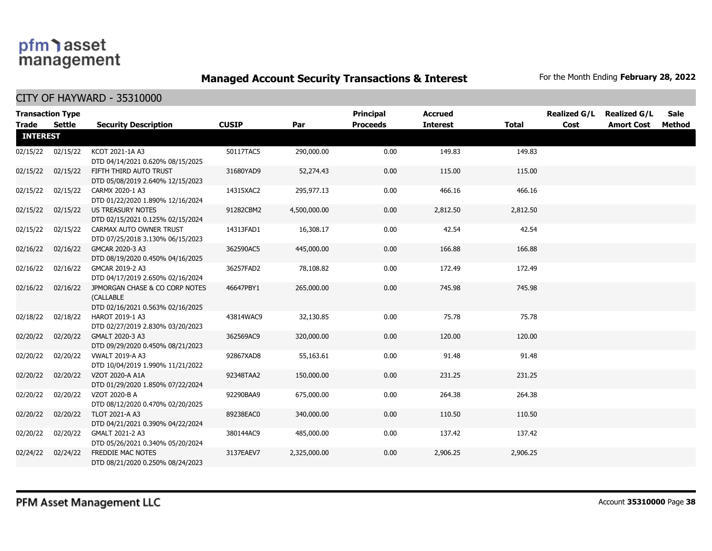**Managed Account Security Transactions & Interest** For the Month Ending February 28, 2022

| <b>Trade</b>    | <b>Transaction Type</b><br>Settle | <b>Security Description</b>                                                     | <b>CUSIP</b> | Par          | <b>Principal</b><br><b>Proceeds</b> | <b>Accrued</b><br><b>Interest</b> | Total    | <b>Realized G/L</b><br>Cost | <b>Realized G/L</b><br><b>Amort Cost</b> | <b>Sale</b><br>Method |
|-----------------|-----------------------------------|---------------------------------------------------------------------------------|--------------|--------------|-------------------------------------|-----------------------------------|----------|-----------------------------|------------------------------------------|-----------------------|
| <b>INTEREST</b> |                                   |                                                                                 |              |              |                                     |                                   |          |                             |                                          |                       |
| 02/15/22        | 02/15/22                          | KCOT 2021-1A A3<br>DTD 04/14/2021 0.620% 08/15/2025                             | 50117TAC5    | 290,000.00   | 0.00                                | 149.83                            | 149.83   |                             |                                          |                       |
| 02/15/22        | 02/15/22                          | FIFTH THIRD AUTO TRUST<br>DTD 05/08/2019 2.640% 12/15/2023                      | 31680YAD9    | 52,274.43    | 0.00                                | 115.00                            | 115.00   |                             |                                          |                       |
| 02/15/22        | 02/15/22                          | CARMX 2020-1 A3<br>DTD 01/22/2020 1.890% 12/16/2024                             | 14315XAC2    | 295,977.13   | 0.00                                | 466.16                            | 466.16   |                             |                                          |                       |
| 02/15/22        | 02/15/22                          | <b>US TREASURY NOTES</b><br>DTD 02/15/2021 0.125% 02/15/2024                    | 91282CBM2    | 4,500,000.00 | 0.00                                | 2,812.50                          | 2,812.50 |                             |                                          |                       |
| 02/15/22        | 02/15/22                          | CARMAX AUTO OWNER TRUST<br>DTD 07/25/2018 3.130% 06/15/2023                     | 14313FAD1    | 16,308.17    | 0.00                                | 42.54                             | 42.54    |                             |                                          |                       |
| 02/16/22        | 02/16/22                          | GMCAR 2020-3 A3<br>DTD 08/19/2020 0.450% 04/16/2025                             | 362590AC5    | 445,000.00   | 0.00                                | 166.88                            | 166.88   |                             |                                          |                       |
| 02/16/22        | 02/16/22                          | GMCAR 2019-2 A3<br>DTD 04/17/2019 2.650% 02/16/2024                             | 36257FAD2    | 78,108.82    | 0.00                                | 172.49                            | 172.49   |                             |                                          |                       |
| 02/16/22        | 02/16/22                          | JPMORGAN CHASE & CO CORP NOTES<br>(CALLABLE<br>DTD 02/16/2021 0.563% 02/16/2025 | 46647PBY1    | 265,000.00   | 0.00                                | 745.98                            | 745.98   |                             |                                          |                       |
| 02/18/22        | 02/18/22                          | HAROT 2019-1 A3<br>DTD 02/27/2019 2.830% 03/20/2023                             | 43814WAC9    | 32,130.85    | 0.00                                | 75.78                             | 75.78    |                             |                                          |                       |
| 02/20/22        | 02/20/22                          | GMALT 2020-3 A3<br>DTD 09/29/2020 0.450% 08/21/2023                             | 362569AC9    | 320,000.00   | 0.00                                | 120.00                            | 120.00   |                             |                                          |                       |
| 02/20/22        | 02/20/22                          | <b>VWALT 2019-A A3</b><br>DTD 10/04/2019 1.990% 11/21/2022                      | 92867XAD8    | 55,163.61    | 0.00                                | 91.48                             | 91.48    |                             |                                          |                       |
| 02/20/22        | 02/20/22                          | VZOT 2020-A A1A<br>DTD 01/29/2020 1.850% 07/22/2024                             | 92348TAA2    | 150,000.00   | 0.00                                | 231.25                            | 231.25   |                             |                                          |                       |
| 02/20/22        | 02/20/22                          | VZOT 2020-B A<br>DTD 08/12/2020 0.470% 02/20/2025                               | 92290BAA9    | 675,000.00   | 0.00                                | 264.38                            | 264.38   |                             |                                          |                       |
| 02/20/22        | 02/20/22                          | TLOT 2021-A A3<br>DTD 04/21/2021 0.390% 04/22/2024                              | 89238EAC0    | 340,000.00   | 0.00                                | 110.50                            | 110.50   |                             |                                          |                       |
| 02/20/22        | 02/20/22                          | GMALT 2021-2 A3<br>DTD 05/26/2021 0.340% 05/20/2024                             | 380144AC9    | 485,000.00   | 0.00                                | 137.42                            | 137.42   |                             |                                          |                       |
| 02/24/22        | 02/24/22                          | FREDDIE MAC NOTES<br>DTD 08/21/2020 0.250% 08/24/2023                           | 3137EAEV7    | 2,325,000.00 | 0.00                                | 2,906.25                          | 2,906.25 |                             |                                          |                       |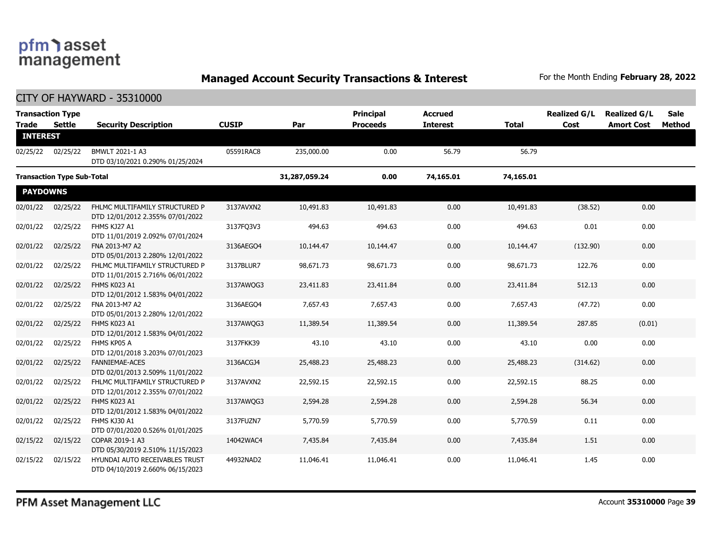**Managed Account Security Transactions & Interest** For the Month Ending February 28, 2022

| <b>Trade</b>    | <b>Transaction Type</b><br><b>Settle</b> |                                                                    | <b>CUSIP</b> | Par           | <b>Principal</b><br><b>Proceeds</b> | <b>Accrued</b><br><b>Interest</b> | Total     | <b>Realized G/L</b><br>Cost | <b>Realized G/L</b><br><b>Amort Cost</b> | Sale<br><b>Method</b> |
|-----------------|------------------------------------------|--------------------------------------------------------------------|--------------|---------------|-------------------------------------|-----------------------------------|-----------|-----------------------------|------------------------------------------|-----------------------|
| <b>INTEREST</b> |                                          | <b>Security Description</b>                                        |              |               |                                     |                                   |           |                             |                                          |                       |
| 02/25/22        | 02/25/22                                 | BMWLT 2021-1 A3<br>DTD 03/10/2021 0.290% 01/25/2024                | 05591RAC8    | 235,000.00    | 0.00                                | 56.79                             | 56.79     |                             |                                          |                       |
|                 | <b>Transaction Type Sub-Total</b>        |                                                                    |              | 31,287,059.24 | 0.00                                | 74,165.01                         | 74,165.01 |                             |                                          |                       |
| <b>PAYDOWNS</b> |                                          |                                                                    |              |               |                                     |                                   |           |                             |                                          |                       |
| 02/01/22        | 02/25/22                                 | FHLMC MULTIFAMILY STRUCTURED P<br>DTD 12/01/2012 2.355% 07/01/2022 | 3137AVXN2    | 10,491.83     | 10,491.83                           | 0.00                              | 10,491.83 | (38.52)                     | 0.00                                     |                       |
| 02/01/22        | 02/25/22                                 | FHMS KJ27 A1<br>DTD 11/01/2019 2.092% 07/01/2024                   | 3137FQ3V3    | 494.63        | 494.63                              | 0.00                              | 494.63    | 0.01                        | 0.00                                     |                       |
| 02/01/22        | 02/25/22                                 | FNA 2013-M7 A2<br>DTD 05/01/2013 2.280% 12/01/2022                 | 3136AEGO4    | 10,144.47     | 10,144.47                           | 0.00                              | 10,144.47 | (132.90)                    | 0.00                                     |                       |
| 02/01/22        | 02/25/22                                 | FHLMC MULTIFAMILY STRUCTURED P<br>DTD 11/01/2015 2.716% 06/01/2022 | 3137BLUR7    | 98,671.73     | 98,671.73                           | 0.00                              | 98,671.73 | 122.76                      | 0.00                                     |                       |
| 02/01/22        | 02/25/22                                 | FHMS K023 A1<br>DTD 12/01/2012 1.583% 04/01/2022                   | 3137AWQG3    | 23,411.83     | 23,411.84                           | 0.00                              | 23,411.84 | 512.13                      | 0.00                                     |                       |
| 02/01/22        | 02/25/22                                 | FNA 2013-M7 A2<br>DTD 05/01/2013 2.280% 12/01/2022                 | 3136AEGO4    | 7,657.43      | 7,657.43                            | 0.00                              | 7,657.43  | (47.72)                     | 0.00                                     |                       |
| 02/01/22        | 02/25/22                                 | FHMS K023 A1<br>DTD 12/01/2012 1.583% 04/01/2022                   | 3137AWQG3    | 11,389.54     | 11,389.54                           | 0.00                              | 11,389.54 | 287.85                      | (0.01)                                   |                       |
| 02/01/22        | 02/25/22                                 | FHMS KP05 A<br>DTD 12/01/2018 3.203% 07/01/2023                    | 3137FKK39    | 43.10         | 43.10                               | 0.00                              | 43.10     | 0.00                        | 0.00                                     |                       |
| 02/01/22        | 02/25/22                                 | <b>FANNIEMAE-ACES</b><br>DTD 02/01/2013 2.509% 11/01/2022          | 3136ACGJ4    | 25,488.23     | 25,488.23                           | 0.00                              | 25,488.23 | (314.62)                    | 0.00                                     |                       |
| 02/01/22        | 02/25/22                                 | FHLMC MULTIFAMILY STRUCTURED P<br>DTD 12/01/2012 2.355% 07/01/2022 | 3137AVXN2    | 22,592.15     | 22,592.15                           | 0.00                              | 22,592.15 | 88.25                       | 0.00                                     |                       |
| 02/01/22        | 02/25/22                                 | FHMS K023 A1<br>DTD 12/01/2012 1.583% 04/01/2022                   | 3137AWQG3    | 2,594.28      | 2,594.28                            | 0.00                              | 2,594.28  | 56.34                       | 0.00                                     |                       |
| 02/01/22        | 02/25/22                                 | FHMS KJ30 A1<br>DTD 07/01/2020 0.526% 01/01/2025                   | 3137FUZN7    | 5,770.59      | 5,770.59                            | 0.00                              | 5,770.59  | 0.11                        | 0.00                                     |                       |
| 02/15/22        | 02/15/22                                 | COPAR 2019-1 A3<br>DTD 05/30/2019 2.510% 11/15/2023                | 14042WAC4    | 7,435.84      | 7,435.84                            | 0.00                              | 7,435.84  | 1.51                        | 0.00                                     |                       |
| 02/15/22        | 02/15/22                                 | HYUNDAI AUTO RECEIVABLES TRUST<br>DTD 04/10/2019 2.660% 06/15/2023 | 44932NAD2    | 11,046.41     | 11,046.41                           | 0.00                              | 11,046.41 | 1.45                        | 0.00                                     |                       |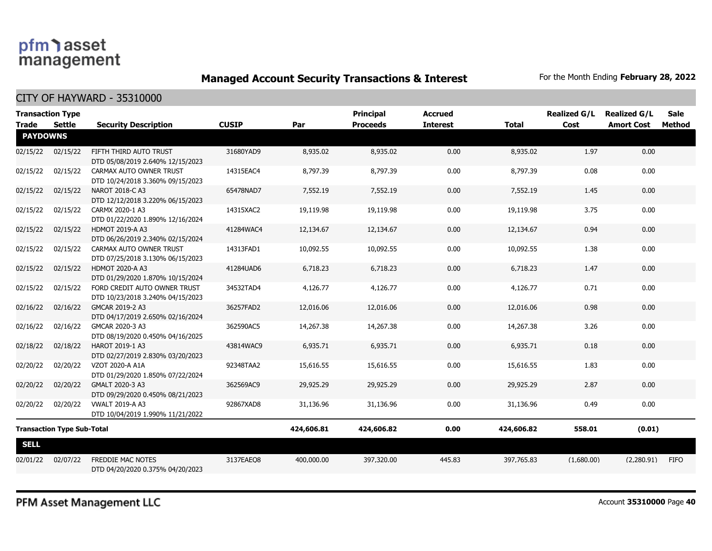**Managed Account Security Transactions & Interest** For the Month Ending February 28, 2022

CITY OF HAYWARD - 35310000

| <b>Transaction Type</b><br><b>Trade</b> | Settle   | <b>Security Description</b>                                      | <b>CUSIP</b> | Par        | <b>Principal</b><br><b>Proceeds</b> | <b>Accrued</b><br><b>Interest</b> | <b>Total</b> | <b>Realized G/L</b><br>Cost | <b>Realized G/L</b><br><b>Amort Cost</b> | <b>Sale</b><br>Method |
|-----------------------------------------|----------|------------------------------------------------------------------|--------------|------------|-------------------------------------|-----------------------------------|--------------|-----------------------------|------------------------------------------|-----------------------|
| <b>PAYDOWNS</b>                         |          |                                                                  |              |            |                                     |                                   |              |                             |                                          |                       |
| 02/15/22                                | 02/15/22 | FIFTH THIRD AUTO TRUST<br>DTD 05/08/2019 2.640% 12/15/2023       | 31680YAD9    | 8,935.02   | 8,935.02                            | 0.00                              | 8,935.02     | 1.97                        | 0.00                                     |                       |
| 02/15/22                                | 02/15/22 | CARMAX AUTO OWNER TRUST<br>DTD 10/24/2018 3.360% 09/15/2023      | 14315EAC4    | 8,797.39   | 8,797.39                            | 0.00                              | 8,797.39     | 0.08                        | 0.00                                     |                       |
| 02/15/22                                | 02/15/22 | NAROT 2018-C A3<br>DTD 12/12/2018 3.220% 06/15/2023              | 65478NAD7    | 7,552.19   | 7,552.19                            | 0.00                              | 7,552.19     | 1.45                        | 0.00                                     |                       |
| 02/15/22                                | 02/15/22 | CARMX 2020-1 A3<br>DTD 01/22/2020 1.890% 12/16/2024              | 14315XAC2    | 19,119.98  | 19,119.98                           | 0.00                              | 19,119.98    | 3.75                        | 0.00                                     |                       |
| 02/15/22                                | 02/15/22 | <b>HDMOT 2019-A A3</b><br>DTD 06/26/2019 2.340% 02/15/2024       | 41284WAC4    | 12,134.67  | 12,134.67                           | 0.00                              | 12,134.67    | 0.94                        | 0.00                                     |                       |
| 02/15/22                                | 02/15/22 | CARMAX AUTO OWNER TRUST<br>DTD 07/25/2018 3.130% 06/15/2023      | 14313FAD1    | 10,092.55  | 10,092.55                           | 0.00                              | 10,092.55    | 1.38                        | 0.00                                     |                       |
| 02/15/22                                | 02/15/22 | <b>HDMOT 2020-A A3</b><br>DTD 01/29/2020 1.870% 10/15/2024       | 41284UAD6    | 6,718.23   | 6,718.23                            | 0.00                              | 6,718.23     | 1.47                        | 0.00                                     |                       |
| 02/15/22                                | 02/15/22 | FORD CREDIT AUTO OWNER TRUST<br>DTD 10/23/2018 3.240% 04/15/2023 | 34532TAD4    | 4,126.77   | 4,126.77                            | 0.00                              | 4,126.77     | 0.71                        | 0.00                                     |                       |
| 02/16/22                                | 02/16/22 | GMCAR 2019-2 A3<br>DTD 04/17/2019 2.650% 02/16/2024              | 36257FAD2    | 12,016.06  | 12,016.06                           | 0.00                              | 12,016.06    | 0.98                        | 0.00                                     |                       |
| 02/16/22                                | 02/16/22 | GMCAR 2020-3 A3<br>DTD 08/19/2020 0.450% 04/16/2025              | 362590AC5    | 14,267.38  | 14,267.38                           | 0.00                              | 14,267.38    | 3.26                        | 0.00                                     |                       |
| 02/18/22                                | 02/18/22 | HAROT 2019-1 A3<br>DTD 02/27/2019 2.830% 03/20/2023              | 43814WAC9    | 6,935.71   | 6,935.71                            | 0.00                              | 6,935.71     | 0.18                        | 0.00                                     |                       |
| 02/20/22                                | 02/20/22 | VZOT 2020-A A1A<br>DTD 01/29/2020 1.850% 07/22/2024              | 92348TAA2    | 15,616.55  | 15,616.55                           | 0.00                              | 15,616.55    | 1.83                        | 0.00                                     |                       |
| 02/20/22                                | 02/20/22 | GMALT 2020-3 A3<br>DTD 09/29/2020 0.450% 08/21/2023              | 362569AC9    | 29,925.29  | 29,925.29                           | 0.00                              | 29,925.29    | 2.87                        | 0.00                                     |                       |
| 02/20/22                                | 02/20/22 | <b>VWALT 2019-A A3</b><br>DTD 10/04/2019 1.990% 11/21/2022       | 92867XAD8    | 31,136.96  | 31,136.96                           | 0.00                              | 31,136.96    | 0.49                        | 0.00                                     |                       |
| <b>Transaction Type Sub-Total</b>       |          | 424,606.81                                                       | 424,606.82   | 0.00       | 424,606.82                          | 558.01                            | (0.01)       |                             |                                          |                       |
| <b>SELL</b>                             |          |                                                                  |              |            |                                     |                                   |              |                             |                                          |                       |
| 02/01/22                                | 02/07/22 | FREDDIE MAC NOTES<br>DTD 04/20/2020 0.375% 04/20/2023            | 3137EAEQ8    | 400,000.00 | 397,320.00                          | 445.83                            | 397,765.83   | (1,680.00)                  | (2,280.91)                               | <b>FIFO</b>           |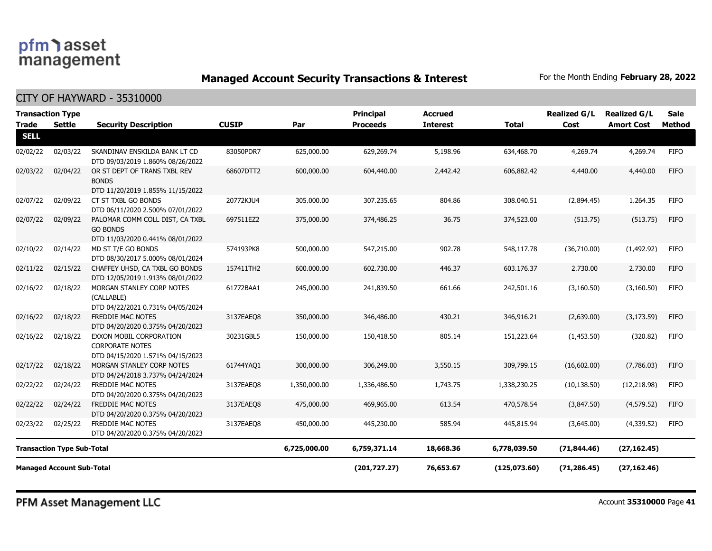**Managed Account Security Transactions & Interest** For the Month Ending February 28, 2022

CITY OF HAYWARD - 35310000

| <b>Trade</b>                     | <b>Transaction Type</b><br><b>Settle</b> | <b>Security Description</b>                                                           | <b>CUSIP</b> | Par          | <b>Principal</b><br><b>Proceeds</b> | <b>Accrued</b><br><b>Interest</b> | <b>Total</b> | <b>Realized G/L</b><br>Cost | <b>Realized G/L</b><br><b>Amort Cost</b> | <b>Sale</b><br>Method |
|----------------------------------|------------------------------------------|---------------------------------------------------------------------------------------|--------------|--------------|-------------------------------------|-----------------------------------|--------------|-----------------------------|------------------------------------------|-----------------------|
| <b>SELL</b>                      |                                          |                                                                                       |              |              |                                     |                                   |              |                             |                                          |                       |
| 02/02/22                         | 02/03/22                                 | SKANDINAV ENSKILDA BANK LT CD<br>DTD 09/03/2019 1.860% 08/26/2022                     | 83050PDR7    | 625,000.00   | 629,269.74                          | 5,198.96                          | 634,468.70   | 4,269.74                    | 4,269.74                                 | <b>FIFO</b>           |
| 02/03/22                         | 02/04/22                                 | OR ST DEPT OF TRANS TXBL REV<br><b>BONDS</b>                                          | 68607DTT2    | 600,000.00   | 604,440.00                          | 2,442.42                          | 606,882.42   | 4,440.00                    | 4,440.00                                 | <b>FIFO</b>           |
| 02/07/22                         | 02/09/22                                 | DTD 11/20/2019 1.855% 11/15/2022<br>CT ST TXBL GO BONDS                               | 20772KJU4    | 305,000.00   | 307,235.65                          | 804.86                            | 308,040.51   | (2,894.45)                  | 1,264.35                                 | <b>FIFO</b>           |
|                                  |                                          | DTD 06/11/2020 2.500% 07/01/2022                                                      |              |              |                                     |                                   |              |                             |                                          |                       |
| 02/07/22                         | 02/09/22                                 | PALOMAR COMM COLL DIST, CA TXBL<br><b>GO BONDS</b>                                    | 697511EZ2    | 375,000.00   | 374,486.25                          | 36.75                             | 374,523.00   | (513.75)                    | (513.75)                                 | <b>FIFO</b>           |
| 02/10/22                         | 02/14/22                                 | DTD 11/03/2020 0.441% 08/01/2022<br>MD ST T/E GO BONDS                                | 574193PK8    | 500,000.00   | 547,215.00                          | 902.78                            | 548,117.78   | (36,710.00)                 | (1,492.92)                               | <b>FIFO</b>           |
|                                  |                                          | DTD 08/30/2017 5.000% 08/01/2024                                                      |              |              |                                     |                                   |              |                             |                                          |                       |
| 02/11/22                         | 02/15/22                                 | CHAFFEY UHSD, CA TXBL GO BONDS<br>DTD 12/05/2019 1.913% 08/01/2022                    | 157411TH2    | 600,000.00   | 602,730.00                          | 446.37                            | 603,176.37   | 2,730.00                    | 2,730.00                                 | <b>FIFO</b>           |
| 02/16/22                         | 02/18/22                                 | MORGAN STANLEY CORP NOTES<br>(CALLABLE)<br>DTD 04/22/2021 0.731% 04/05/2024           | 61772BAA1    | 245,000.00   | 241,839.50                          | 661.66                            | 242,501.16   | (3, 160.50)                 | (3, 160.50)                              | <b>FIFO</b>           |
| 02/16/22                         | 02/18/22                                 | <b>FREDDIE MAC NOTES</b><br>DTD 04/20/2020 0.375% 04/20/2023                          | 3137EAEO8    | 350,000.00   | 346,486,00                          | 430.21                            | 346,916.21   | (2,639.00)                  | (3, 173.59)                              | <b>FIFO</b>           |
| 02/16/22                         | 02/18/22                                 | EXXON MOBIL CORPORATION<br><b>CORPORATE NOTES</b><br>DTD 04/15/2020 1.571% 04/15/2023 | 30231GBL5    | 150,000.00   | 150,418.50                          | 805.14                            | 151,223.64   | (1,453.50)                  | (320.82)                                 | <b>FIFO</b>           |
| 02/17/22                         | 02/18/22                                 | MORGAN STANLEY CORP NOTES<br>DTD 04/24/2018 3.737% 04/24/2024                         | 61744YAQ1    | 300,000.00   | 306,249.00                          | 3,550.15                          | 309,799.15   | (16,602.00)                 | (7,786.03)                               | <b>FIFO</b>           |
| 02/22/22                         | 02/24/22                                 | FREDDIE MAC NOTES<br>DTD 04/20/2020 0.375% 04/20/2023                                 | 3137EAEO8    | 1,350,000.00 | 1,336,486.50                        | 1,743.75                          | 1,338,230.25 | (10, 138.50)                | (12, 218.98)                             | <b>FIFO</b>           |
| 02/22/22                         | 02/24/22                                 | FREDDIE MAC NOTES<br>DTD 04/20/2020 0.375% 04/20/2023                                 | 3137EAEQ8    | 475,000.00   | 469,965.00                          | 613.54                            | 470,578.54   | (3,847.50)                  | (4,579.52)                               | <b>FIFO</b>           |
| 02/23/22                         | 02/25/22                                 | <b>FREDDIE MAC NOTES</b><br>DTD 04/20/2020 0.375% 04/20/2023                          | 3137EAEO8    | 450,000.00   | 445,230.00                          | 585.94                            | 445,815.94   | (3,645.00)                  | (4,339.52)                               | <b>FIFO</b>           |
|                                  | <b>Transaction Type Sub-Total</b>        |                                                                                       |              | 6,725,000.00 | 6,759,371.14                        | 18,668.36                         | 6,778,039.50 | (71, 844.46)                | (27, 162.45)                             |                       |
| <b>Managed Account Sub-Total</b> |                                          |                                                                                       |              |              | (201, 727.27)                       | 76,653.67                         | (125,073.60) | (71, 286.45)                | (27, 162.46)                             |                       |

PFM Asset Management LLC

Account **35310000** Page **41**